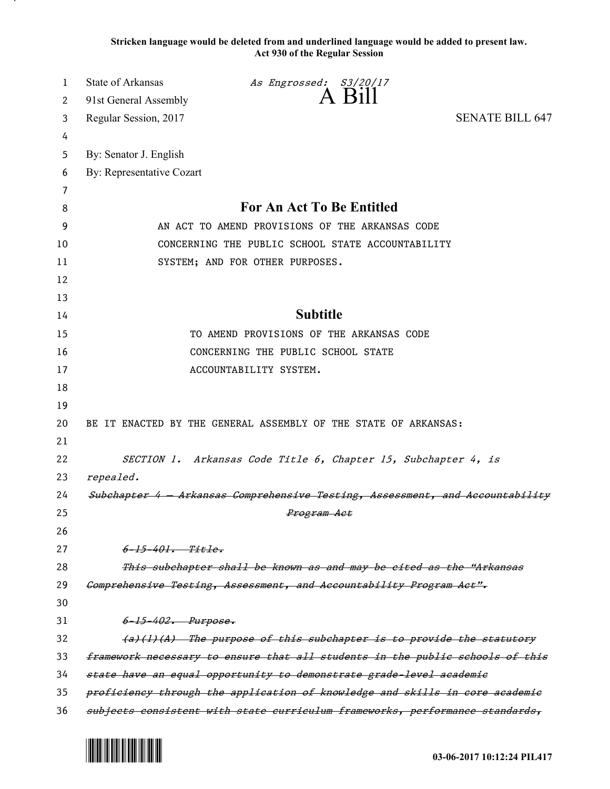**Stricken language would be deleted from and underlined language would be added to present law. Act 930 of the Regular Session**

| 1  | <b>State of Arkansas</b>  | As Engrossed: S3/20/17                                                        |                        |
|----|---------------------------|-------------------------------------------------------------------------------|------------------------|
| 2  | 91st General Assembly     | $A$ $B11$                                                                     |                        |
| 3  | Regular Session, 2017     |                                                                               | <b>SENATE BILL 647</b> |
| 4  |                           |                                                                               |                        |
| 5  | By: Senator J. English    |                                                                               |                        |
| 6  | By: Representative Cozart |                                                                               |                        |
| 7  |                           |                                                                               |                        |
| 8  |                           | <b>For An Act To Be Entitled</b>                                              |                        |
| 9  |                           | AN ACT TO AMEND PROVISIONS OF THE ARKANSAS CODE                               |                        |
| 10 |                           | CONCERNING THE PUBLIC SCHOOL STATE ACCOUNTABILITY                             |                        |
| 11 |                           | SYSTEM; AND FOR OTHER PURPOSES.                                               |                        |
| 12 |                           |                                                                               |                        |
| 13 |                           |                                                                               |                        |
| 14 |                           | <b>Subtitle</b>                                                               |                        |
| 15 |                           | TO AMEND PROVISIONS OF THE ARKANSAS CODE                                      |                        |
| 16 |                           | CONCERNING THE PUBLIC SCHOOL STATE                                            |                        |
| 17 |                           | ACCOUNTABILITY SYSTEM.                                                        |                        |
| 18 |                           |                                                                               |                        |
| 19 |                           |                                                                               |                        |
| 20 |                           | BE IT ENACTED BY THE GENERAL ASSEMBLY OF THE STATE OF ARKANSAS:               |                        |
| 21 |                           |                                                                               |                        |
| 22 |                           | SECTION 1. Arkansas Code Title 6, Chapter 15, Subchapter 4, is                |                        |
| 23 | repealed.                 |                                                                               |                        |
| 24 |                           | Subchapter 4 - Arkansas Comprehensive Testing, Assessment, and Accountability |                        |
| 25 |                           | <del>Program Act</del>                                                        |                        |
| 26 |                           |                                                                               |                        |
| 27 | $6 - 15 - 401$ . Title.   |                                                                               |                        |
| 28 |                           | This subchapter shall be known as and may be cited as the "Arkansas           |                        |
| 29 |                           | Comprehensive Testing, Assessment, and Accountability Program Aet",           |                        |
| 30 |                           |                                                                               |                        |
| 31 | 6-15-402. Purpose.        |                                                                               |                        |
| 32 |                           | (a)(1)(A) The purpose of this subchapter is to provide the statutory          |                        |
| 33 |                           | framework necessary to ensure that all students in the public schools of this |                        |
| 34 |                           | state have an equal opportunity to demonstrate grade level academic           |                        |
| 35 |                           | proficiency through the application of knowledge and skills in core academic  |                        |
| 36 |                           | subjects consistent with state curriculum frameworks, performance standards,  |                        |



.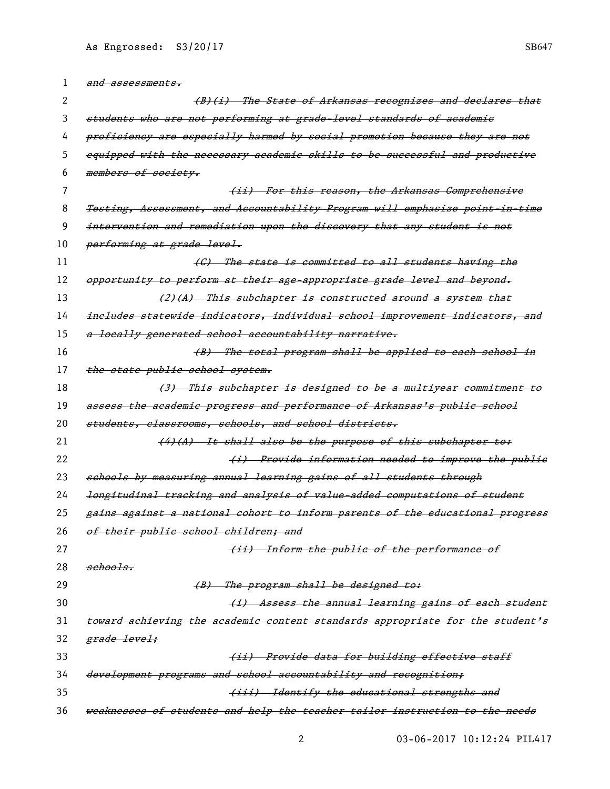| 1        | and assessments.                                                              |
|----------|-------------------------------------------------------------------------------|
| 2        | (B)(i) The State of Arkansas recognizes and declares that                     |
| 3        | students who are not performing at grade-level standards of academic          |
| 4        | proficiency are especially harmed by social promotion because they are not    |
| 5        | equipped with the necessary academic skills to be successful and productive   |
| 6        | members of society.                                                           |
| $\prime$ | (ii) For this reason, the Arkansas Comprehensive                              |
| 8        | Testing, Assessment, and Accountability Program will emphasize point in-time  |
| 9        | intervention and remediation upon the discovery that any student is not       |
| 10       | performing at grade level.                                                    |
| 11       | (G) The state is committed to all students having the                         |
| 12       | opportunity to perform at their age-appropriate grade level and beyond.       |
| 13       | (2)(A) This subchapter is constructed around a system that                    |
| 14       | includes statewide indicators, individual school improvement indicators, and  |
| 15       | a locally generated school accountability narrative.                          |
| 16       | (B) The total program shall be applied to each school in                      |
| 17       | the state public school system.                                               |
| 18       | (3) This subchapter is designed to be a multiyear commitment to               |
| 19       | assess the academic progress and performance of Arkansas's public school      |
| 20       | students, classrooms, schools, and school districts.                          |
| 21       | (4)(A) It shall also be the purpose of this subchapter to:                    |
| 22       | (i) Provide information needed to improve the public                          |
| 23       | schools by measuring annual learning gains of all students through            |
| 24       | longitudinal tracking and analysis of value-added computations of student     |
| 25       | gains against a national cohort to inform parents of the educational progress |
| 26       | of their public school children; and                                          |
| 27       | (ii) Inform the public of the performance of                                  |
| 28       | sehools.                                                                      |
| 29       | (B) The program shall be designed to:                                         |
| 30       | (i) Assess the annual learning gains of each student                          |
| 31       | toward achieving the academic content standards appropriate for the student's |
| 32       | <del>grade level;</del>                                                       |
| 33       | (ii) Provide data for building effective staff                                |
| 34       | development programs and school accountability and recognition;               |
| 35       | (iii) Identify the educational strengths and                                  |
| 36       | weaknesses of students and help the teacher tailor instruction to the needs   |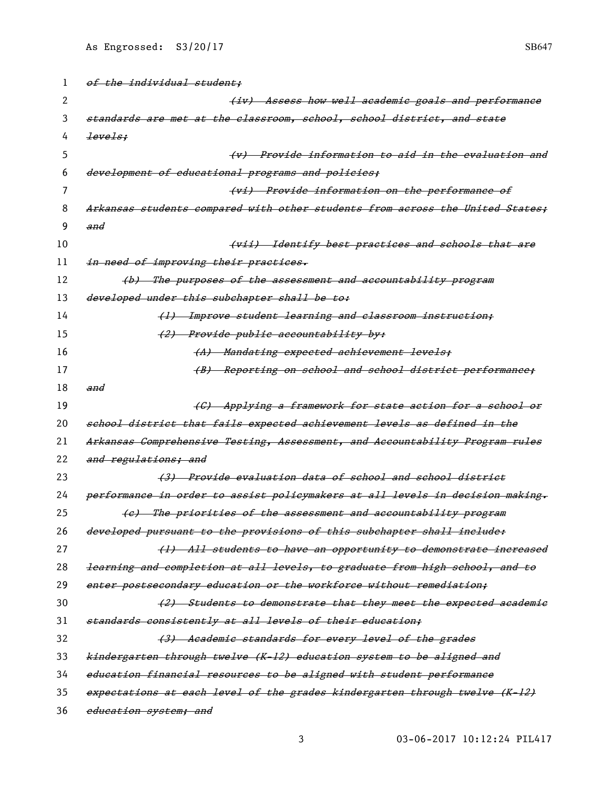| 1  | of the individual student;                                                    |
|----|-------------------------------------------------------------------------------|
| 2  | (iv) Assess how well academic goals and performance                           |
| 3  | standards are met at the classroom, school, school district, and state        |
| 4  | levels;                                                                       |
| 5  | (v) Provide information to aid in the evaluation and                          |
| 6  | development of educational programs and policies;                             |
| 7  | (vi) Provide information on the performance of                                |
| 8  | Arkansas students compared with other students from across the United States; |
| 9  | and                                                                           |
| 10 | (vii) Identify best practices and schools that are                            |
| 11 | in need of improving their practices.                                         |
| 12 | (b) The purposes of the assessment and accountability program                 |
| 13 | developed under this subchapter shall be to:                                  |
| 14 | (1) Improve student learning and classroom instruction;                       |
| 15 | (2) Provide public accountability by:                                         |
| 16 | (A) Mandating expected achievement levels;                                    |
| 17 | (B) Reporting on school and school district performance;                      |
| 18 | and                                                                           |
| 19 | (C) Applying a framework for state action for a school or                     |
| 20 | school district that fails expected achievement levels as defined in the      |
| 21 | Arkansas Comprehensive Testing, Assessment, and Accountability Program rules  |
| 22 | and regulations; and                                                          |
| 23 | (3) Provide evaluation data of school and school district                     |
| 24 | performance in order to assist policymakers at all levels in decision making, |
| 25 | (e) The priorities of the assessment and accountability program               |
| 26 | developed pursuant to the provisions of this subchapter shall include:        |
| 27 | (1) All students to have an opportunity to demonstrate increased              |
| 28 | learning and completion at all levels, to graduate from high school, and to   |
| 29 | enter postsecondary education or the workforce without remediation:           |
| 30 | (2) Students to demonstrate that they meet the expected academic              |
| 31 | standards consistently at all levels of their education;                      |
| 32 | (3) Academic standards for every level of the grades                          |
| 33 | kindergarten through twelve (K-12) education system to be aligned and         |
| 34 | education financial resources to be aligned with student performance          |
| 35 | expectations at each level of the grades kindergarten through twelve (K-12)   |
| 36 | education system; and                                                         |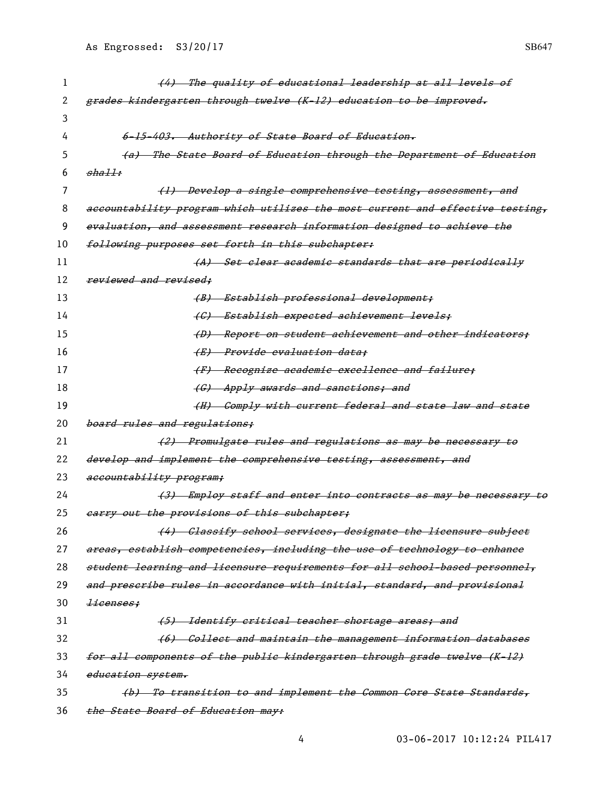| 1  | (4) The quality of educational leadership at all levels of                    |
|----|-------------------------------------------------------------------------------|
| 2  | grades kindergarten through twelve (K-12) education to be improved.           |
| 3  |                                                                               |
| 4  | 6-15-403. Authority of State Board of Education.                              |
| 5  | (a) The State Board of Education through the Department of Education          |
| 6  | shall:                                                                        |
| 7  | (1) Develop a single comprehensive testing, assessment, and                   |
| 8  | aecountability program which utilizes the most current and effective testing, |
| 9  | evaluation, and assessment research information designed to achieve the       |
| 10 | following purposes set forth in this subchapter:                              |
| 11 | (A) Set clear academic standards that are periodically                        |
| 12 | reviewed and revised:                                                         |
| 13 | (B) Establish professional development;                                       |
| 14 | (C) Establish expected achievement levels;                                    |
| 15 | (D) Report on student achievement and other indicators;                       |
| 16 | (E) Provide evaluation data:                                                  |
| 17 | (F) Recognize academic excellence and failure;                                |
| 18 | (G) Apply awards and sanctions; and                                           |
| 19 | (H) Comply with current federal and state law and state                       |
| 20 | board rules and regulations;                                                  |
| 21 | (2) Promulgate rules and regulations as may be necessary to                   |
| 22 | develop and implement the comprehensive testing, assessment, and              |
| 23 | accountability program;                                                       |
| 24 | (3) Employ staff and enter into contracts as may be necessary<br>tθ           |
| 25 | earry out the provisions of this subchapter;                                  |
| 26 | (4) Classify school services, designate the licensure subject                 |
| 27 | areas, establish competencies, including the use of technology to enhance     |
| 28 | student learning and licensure requirements for all school-based personnel,   |
| 29 | and prescribe rules in accordance with initial, standard, and provisional     |
| 30 | <del>licenses:</del>                                                          |
| 31 | (5) Identify critical teacher shortage areas; and                             |
| 32 | (6) Collect and maintain the management information databases                 |
| 33 | for all components of the public kindergarten through grade twelve (K-12)     |
| 34 | education system.                                                             |
| 35 | (b) To transition to and implement the Common Core State Standards,           |
| 36 | the State Board of Education may:                                             |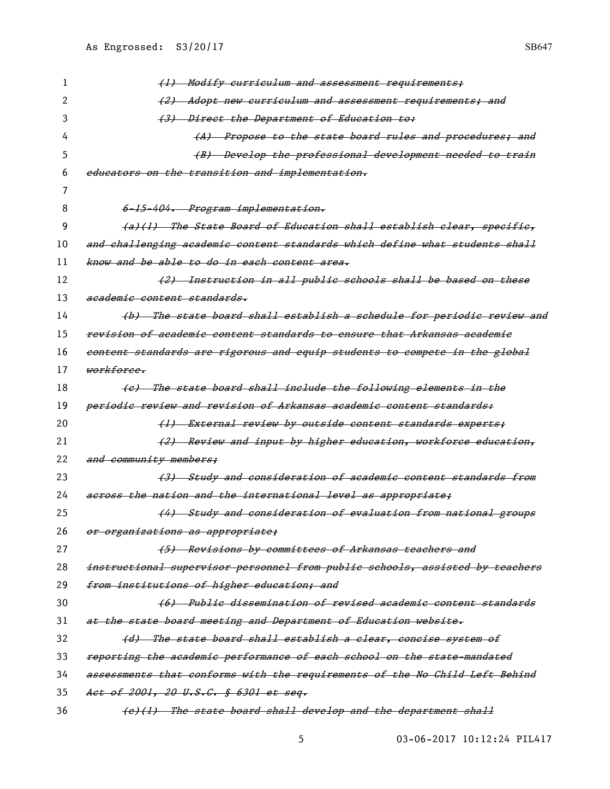| 1  | (1) Modify curriculum and assessment requirements;                                 |
|----|------------------------------------------------------------------------------------|
| 2  | (2) Adopt new curriculum and assessment requirements; and                          |
| З  | (3) Direct the Department of Education to:                                         |
| 4  | (A) Propose to the state board rules and procedures; and                           |
| 5  | (B) Develop the professional development needed to train                           |
| 6  | educators on the transition and implementation.                                    |
| 7  |                                                                                    |
| 8  | 6-15-404. Program implementation.                                                  |
| 9  | (a)(1) The State Board of Education shall establish clear, specifie,               |
| 10 | and challenging academic content standards which define what students shall        |
| 11 | know and be able to do in each content area.                                       |
| 12 | (2) Instruction in all public schools shall be based on these                      |
| 13 | academic content standards.                                                        |
| 14 | (b) The state board shall establish a schedule for periodic review and             |
| 15 | <del>revision of academic content standards to ensure that Arkansas academic</del> |
| 16 | content standards are rigorous and equip students to compete in the global         |
| 17 | <del>workforce.</del>                                                              |
| 18 | (e) The state board shall include the following elements in the                    |
| 19 | <del>periodie review and revision of Arkansas academic content standards:</del>    |
| 20 | (1) External review by outside content standards experts;                          |
| 21 | (2) Review and input by higher education, workforce education,                     |
| 22 | and community members;                                                             |
| 23 | (3) Study and consideration of academic content standards from                     |
| 24 | across the nation and the international level as appropriate;                      |
| 25 | (4) Study and consideration of evaluation from national groups                     |
| 26 | or organizations as appropriate;                                                   |
| 27 | (5) Revisions by committees of Arkansas teachers and                               |
| 28 | instructional supervisor personnel from public schools, assisted by teachers       |
| 29 | from institutions of higher education; and                                         |
| 30 | (6) Public dissemination of revised academic content standards                     |
| 31 | at the state board meeting and Department of Education website.                    |
| 32 | (d) The state board shall establish a clear, concise system of                     |
| 33 | reporting the academic performance of each school on the state mandated            |
| 34 | assessments that conforms with the requirements of the No Child Left Behind        |
| 35 | Act of 2001, 20 U.S.C. § 6301 et seq.                                              |
| 36 | (e)(1) The state board shall develop and the department shall                      |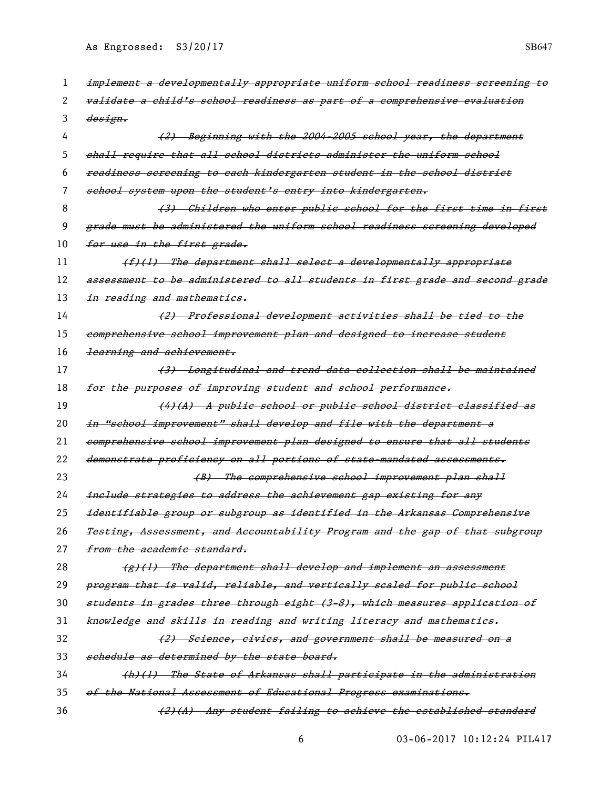| 1  | implement a developmentally appropriate uniform school readiness sereening to |
|----|-------------------------------------------------------------------------------|
| 2  | validate a child's school readiness as part of a comprehensive evaluation     |
| 3  | <i>design.</i>                                                                |
| 4  | (2) Beginning with the 2004-2005 school year, the department                  |
| 5  | shall require that all school districts administer the uniform school         |
| 6  | readiness sereening to each kindergarten student in the school district       |
| 7  | school system upon the student's entry into kindergarten.                     |
| 8  | (3) Children who enter public school for the first time in first              |
| 9  | grade must be administered the uniform school readiness screening developed   |
| 10 | for use in the first grade.                                                   |
| 11 | $(f)$ (1) The department shall select a developmentally appropriate           |
| 12 | assessment to be administered to all students in first grade and second grade |
| 13 | in reading and mathematics.                                                   |
| 14 | (2) Professional development activities shall be tied to the                  |
| 15 | comprehensive school improvement plan and designed to increase student        |
| 16 | learning and achievement.                                                     |
| 17 | (3) Longitudinal and trend data collection shall be maintained                |
| 18 | for the purposes of improving student and school performance.                 |
| 19 | (4)(A) A public school or public school district classified as                |
| 20 | in "school improvement" shall develop and file with the department a          |
| 21 | comprehensive school improvement plan designed to ensure that all students    |
| 22 | demonstrate proficiency on all portions of state-mandated assessments.        |
| 23 | (B) The comprehensive school improvement plan shall                           |
| 24 | include strategies to address the achievement gap existing for any            |
| 25 | identifiable group or subgroup as identified in the Arkansas Comprehensive    |
| 26 | Testing, Assessment, and Accountability Program and the gap of that subgroup  |
| 27 | from the academic standard.                                                   |
| 28 | $\{g\}$ (1) The department shall develop and implement an assessment          |
| 29 | program that is valid, reliable, and vertically scaled for public school      |
| 30 | students in grades three through eight (3-8), which measures application of   |
| 31 | knowledge and skills in reading and writing literacy and mathematies.         |
| 32 | (2) Science, civies, and government shall be measured on a                    |
| 33 | schedule as determined by the state board.                                    |
| 34 | (h)(l) The State of Arkansas shall participate in the administration          |
| 35 | of the National Assessment of Educational Progress examinations.              |
| 36 | (2)(A) Any student failing to achieve the established standard                |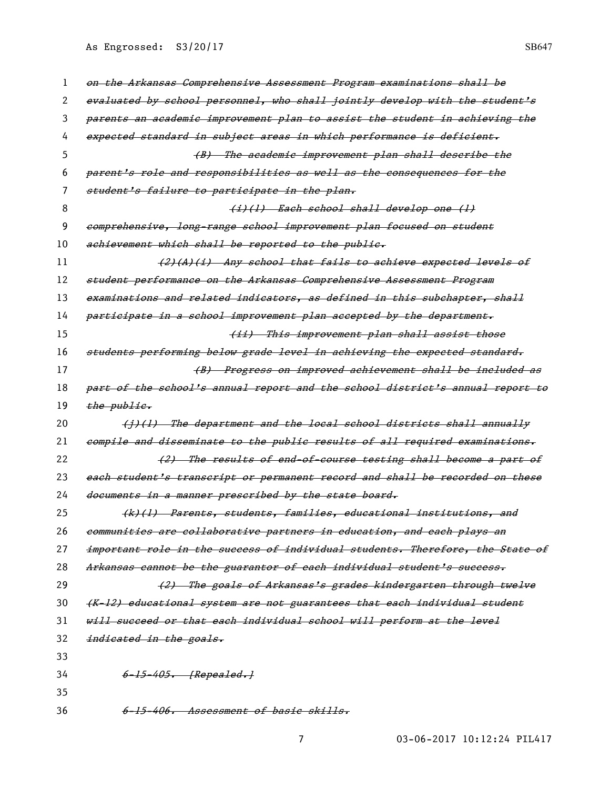| 1  | on the Arkansas Comprehensive Assessment Program examinations shall be        |
|----|-------------------------------------------------------------------------------|
| 2  | evaluated by school personnel, who shall jointly develop with the student's   |
| 3  | parents an academic improvement plan to assist the student in achieving the   |
| 4  | expected standard in subject areas in which performance is deficient.         |
| 5  | (B) The academic improvement plan shall describe the                          |
| 6  | parent's role and responsibilities as well as the consequences for the        |
| 7  | student's failure to participate in the plan.                                 |
| 8  | (i)(l) Each school shall develop one (l)                                      |
| 9  | comprehensive, long-range school improvement plan focused on student          |
| 10 | achievement which shall be reported to the public.                            |
| 11 | (2)(A)(i) Any school that fails to achieve expected levels of                 |
| 12 | student performance on the Arkansas Comprehensive Assessment Program          |
| 13 | examinations and related indicators, as defined in this subchapter, shall     |
| 14 | participate in a school improvement plan accepted by the department.          |
| 15 | (ii) This improvement plan shall assist those                                 |
| 16 | students performing below grade level in achieving the expected standard.     |
| 17 | (B) Progress on improved achievement shall be included as                     |
| 18 | part of the school's annual report and the school district's annual report to |
| 19 | the public.                                                                   |
| 20 | (1)(1) The department and the local school districts shall annually           |
| 21 | compile and disseminate to the public results of all required examinations.   |
| 22 | (2) The results of end of course testing shall become a part of               |
| 23 | each student's transcript or permanent record and shall be recorded on these  |
| 24 | documents in a manner prescribed by the state board.                          |
| 25 | (k)(l) Parents, students, families, educational institutions, and             |
| 26 | communities are collaborative partners in education, and each plays an        |
| 27 | important role in the success of individual students. Therefore, the State of |
| 28 | Arkansas cannot be the guarantor of each individual student's success.        |
| 29 |                                                                               |
|    | (2) The goals of Arkansas's grades kindergarten through twelve                |
| 30 | (K-12) educational system are not guarantees that each individual student     |
| 31 | will succeed or that each individual school will perform at the level         |
| 32 | indicated in the goals.                                                       |
| 33 |                                                                               |
| 34 | 6-15-405. [Repealed.]                                                         |
| 35 |                                                                               |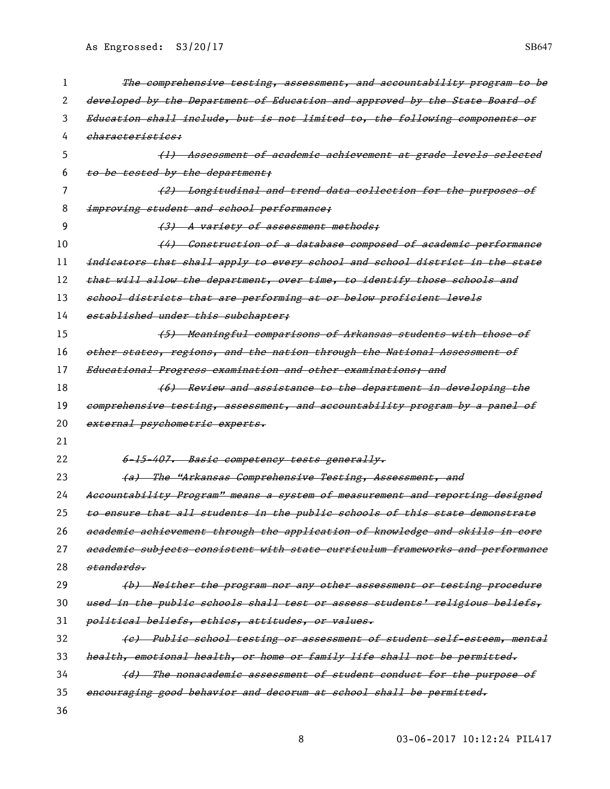| 1  | The comprehensive testing, assessment, and accountability program to be       |
|----|-------------------------------------------------------------------------------|
| 2  | developed by the Department of Education and approved by the State Board of   |
| 3  | Education shall include, but is not limited to, the following components or   |
| 4  | <i>eharacteristics:</i>                                                       |
| 5  | (1) Assessment of academic achievement at grade levels selected               |
| 6  | to be tested by the department;                                               |
| 7  | (2) Longitudinal and trend data collection for the purposes of                |
| 8  | improving student and school performance;                                     |
| 9  | (3) A variety of assessment methods;                                          |
| 10 | (4) Construction of a database composed of academic performance               |
| 11 | indicators that shall apply to every school and school district in the state  |
| 12 | that will allow the department, over time, to identify those schools and      |
| 13 | school districts that are performing at or below proficient levels            |
| 14 | established under this subchapter;                                            |
| 15 | (5) Meaningful comparisons of Arkansas students with those of                 |
| 16 | other states, regions, and the nation through the National Assessment of      |
| 17 | Educational Progress examination and other examinations; and                  |
| 18 | (6) Review and assistance to the department in developing the                 |
| 19 | comprehensive testing, assessment, and accountability program by a panel of   |
| 20 | external psychometric experts.                                                |
| 21 |                                                                               |
| 22 | 6-15-407. Basic competency tests generally.                                   |
| 23 | (a) The "Arkansas Comprehensive Testing, Assessment, and                      |
| 24 | Accountability Program" means a system of measurement and reporting designed  |
| 25 | to ensure that all students in the public schools of this state demonstrate   |
| 26 | academic achievement through the application of knowledge and skills in core  |
| 27 | aeademie subjects consistent with state curriculum frameworks and performanee |
| 28 | standards.                                                                    |
| 29 | (b) Neither the program nor any other assessment or testing procedure         |
| 30 | used in the public schools shall test or assess students' religious beliefs,  |
| 31 | political beliefs, ethics, attitudes, or values.                              |
| 32 | (e) Publie school testing or assessment of student self-esteem, mental        |
| 33 | health, emotional health, or home or family life shall not be permitted.      |
| 34 | (d) The nonacademic assessment of student conduct for the purpose of          |
| 35 | encouraging good behavior and decorum at school shall be permitted.           |
| 36 |                                                                               |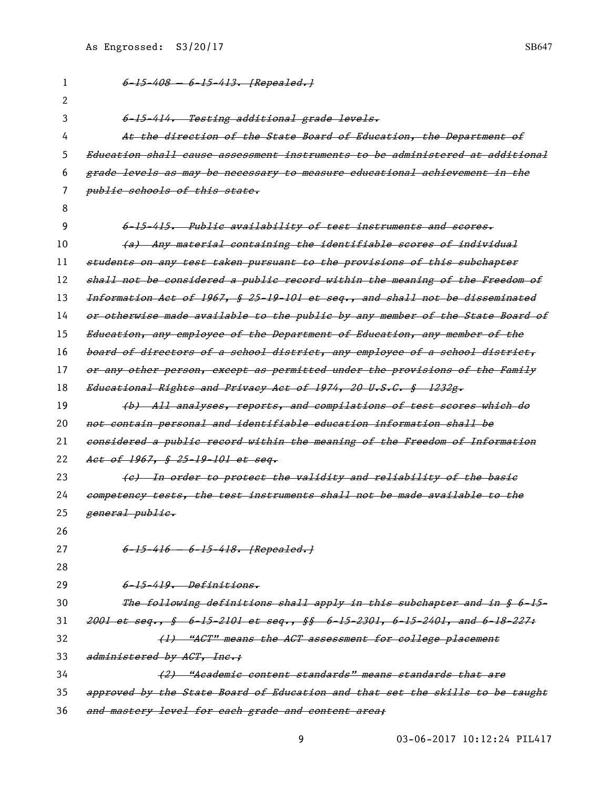1 6-15-408 - 6-15-413. [Repealed.] 2 3 6-15-414. Testing additional grade levels. 4 At the direction of the State Board of Education, the Department of 5 Education shall cause assessment instruments to be administered at additional 6 grade levels as may be necessary to measure educational achievement in the 7 *public schools of this state.* 8 9 6-15-415. Public availability of test instruments and scores. 10 (a) Any material containing the identifiable scores of individual 11 students on any test taken pursuant to the provisions of this subchapter 12 shall not be considered a public record within the meaning of the Freedom of 13 Information Act of 1967, § 25-19-101 et seq., and shall not be disseminated 14 or otherwise made available to the public by any member of the State Board of 15 Education, any employee of the Department of Education, any member of the 16 board of directors of a school district, any employee of a school district, 17 or any other person, except as permitted under the provisions of the Family 18 Educational Rights and Privacy Act of 1974, 20 U.S.C. § 1232g. 19 (b) All analyses, reports, and compilations of test scores which do 20 not contain personal and identifiable education information shall be 21 considered a public record within the meaning of the Freedom of Information 22 Act of 1967, § 25-19-101 et seg. 23 (e) In order to protect the validity and reliability of the basic 24 competency tests, the test instruments shall not be made available to the 25 general public. 26 27 6-15-416 - 6-15-418. [Repealed.] 28 29 6-15-419. Definitions. 30 The following definitions shall apply in this subchapter and in § 6-15- 31 2001 et seq., § 6-15-2101 et seq., §§ 6-15-2301, 6-15-2401, and 6-18-227: 32 (1) "ACT" means the ACT assessment for college placement 33 administered by ACT, Inc.: 34 (2) "Academic content standards" means standards that are 35 approved by the State Board of Education and that set the skills to be taught

36 and mastery level for each grade and content area;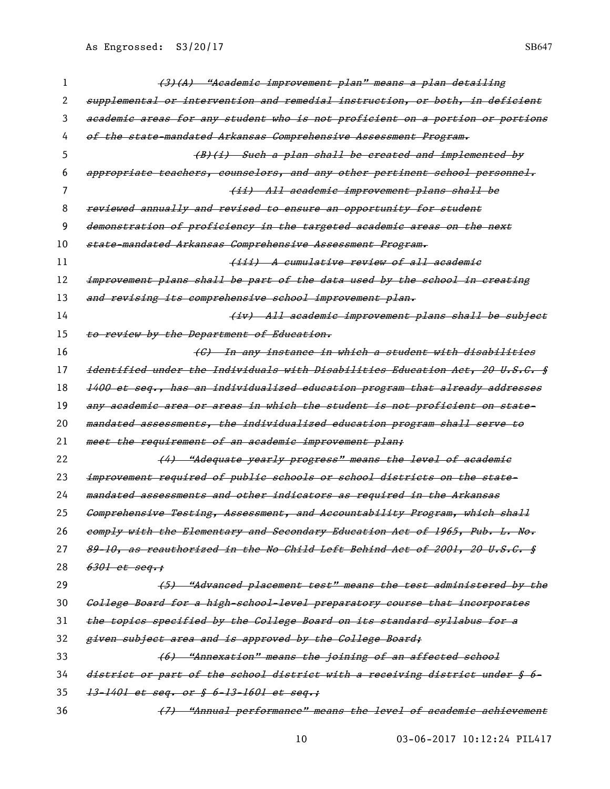| 1  | (3)(A) "Academic improvement plan" means a plan detailing                     |
|----|-------------------------------------------------------------------------------|
| 2  | supplemental or intervention and remedial instruction, or both, in deficient  |
| 3  | academic areas for any student who is not proficient on a portion or portions |
| 4  | of the state-mandated Arkansas Comprehensive Assessment Program.              |
| 5. | $(B)(i)$ Such a plan shall be created and implemented by                      |
| 6  | appropriate teachers, counselors, and any other pertinent school personnel.   |
| 7  | (ii) All academic improvement plans shall be                                  |
| 8  | reviewed annually and revised to ensure an opportunity for student            |
| 9  | demonstration of proficiency in the targeted academic areas on the next       |
| 10 | state-mandated Arkansas Comprehensive Assessment Program.                     |
| 11 | (iii) A cumulative review of all academic                                     |
| 12 | improvement plans shall be part of the data used by the school in creating    |
| 13 | and revising its comprehensive school improvement plan.                       |
| 14 | (iv) All academic improvement plans shall be subject                          |
| 15 | to review by the Department of Education.                                     |
| 16 | (C) In any instance in which a student with disabilities                      |
| 17 | identified under the Individuals with Disabilities Education Act, 20 U.S.C. § |
| 18 | 1400 et seq., has an individualized education program that already addresses  |
| 19 | any academic area or areas in which the student is not proficient on state-   |
| 20 | mandated assessments, the individualized education program shall serve to     |
| 21 | meet the requirement of an academic improvement plan;                         |
| 22 | (4) "Adequate yearly progress" means the level of academic                    |
| 23 | improvement required of public schools or school districts on the state-      |
| 24 | mandated assessments and other indicators as required in the Arkansas         |
| 25 | Comprehensive Testing, Assessment, and Accountability Program, which shall    |
| 26 | comply with the Elementary and Secondary Education Act of 1965, Pub. L. No.   |
| 27 | 89-10, as reauthorized in the No Child Left Behind Act of 2001, 20 U.S.C. §   |
| 28 | $6301$ et seq.;                                                               |
| 29 | (5) "Advanced placement test" means the test administered by the              |
| 30 | College Board for a high-school-level preparatory course that incorporates    |
| 31 | the topics specified by the College Board on its standard syllabus for a      |
| 32 | given subject area and is approved by the College Board;                      |
| 33 | (6) "Annexation" means the joining of an affected school                      |
| 34 | district or part of the school district with a receiving district under § 6-  |
| 35 | 13-1401 et seq. or § 6-13-1601 et seq.;                                       |
| 36 | (7) "Annual performance" means the level of academic achievement              |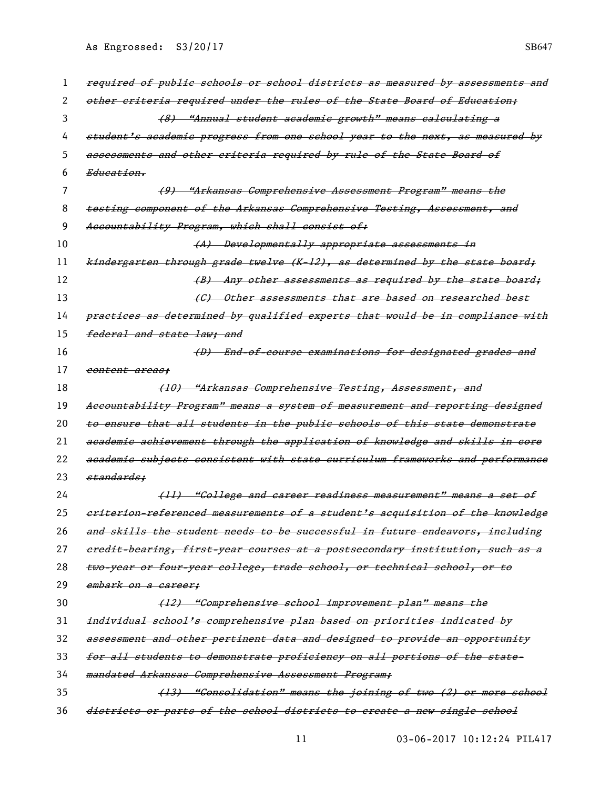| 1  | required of public schools or school districts as measured by assessments and |
|----|-------------------------------------------------------------------------------|
| 2  | other criteria required under the rules of the State Board of Education;      |
| 3  | (8) "Annual student academic growth" means calculating a                      |
| 4  | student's academic progress from one school year to the next, as measured by  |
| 5  | assessments and other criteria required by rule of the State Board of         |
| 6  | Education.                                                                    |
| 7  | (9) "Arkansas Comprehensive Assessment Program" means the                     |
| 8  | testing component of the Arkansas Comprehensive Testing, Assessment, and      |
| 9  | Accountability Program, which shall consist of:                               |
| 10 | (A) Developmentally appropriate assessments in                                |
| 11 | kindergarten through grade twelve (K-12), as determined by the state board;   |
| 12 | (B) Any other assessments as required by the state board;                     |
| 13 | (C) Other assessments that are based on researched best                       |
| 14 | practices as determined by qualified experts that would be in compliance with |
| 15 | federal and state law: and                                                    |
| 16 | (D) End-of-course examinations for designated grades and                      |
| 17 | content areas:                                                                |
| 18 | (10) "Arkansas Comprehensive Testing, Assessment, and                         |
| 19 | Accountability Program" means a system of measurement and reporting designed  |
| 20 | to ensure that all students in the public schools of this state demonstrate   |
| 21 | academic achievement through the application of knowledge and skills in core  |
| 22 | academic subjects consistent with state curriculum frameworks and performance |
| 23 | standards:                                                                    |
| 24 | (11) "College and career readiness measurement" means a set of                |
| 25 | eriterion-referenced measurements of a student's acquisition of the knowledge |
| 26 | and skills the student needs to be successful in future endeavors, including  |
| 27 | eredit-bearing, first-year courses at a postsecondary institution, such as a  |
| 28 | two-year or four-year college, trade school, or technical school, or to       |
| 29 | embark on a career;                                                           |
| 30 | (12) "Comprehensive school improvement plan" means the                        |
| 31 | individual school's comprehensive plan based on priorities indicated by       |
| 32 | assessment and other pertinent data and designed to provide an opportunity    |
| 33 | for all students to demonstrate proficiency on all portions of the state-     |
| 34 | mandated Arkansas Comprehensive Assessment Program;                           |
| 35 | (13) "Consolidation" means the joining of two (2) or more school              |
| 36 | districts or parts of the school districts to create a new single school      |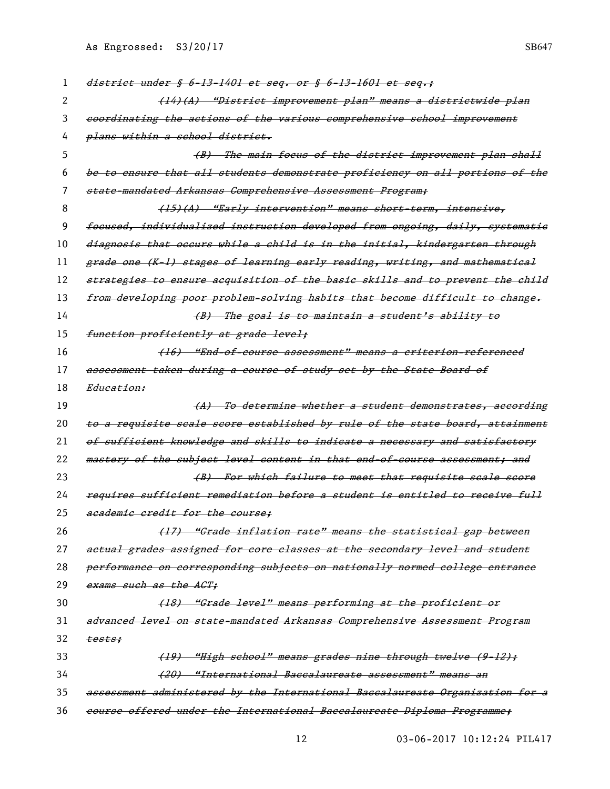| 1  | district under $$6-13-1401$ et seq. or $$6-13-1601$ et seq.;                  |
|----|-------------------------------------------------------------------------------|
| 2  | (14)(A) "District improvement plan" means a districtwide plan                 |
| 3  | coordinating the actions of the various comprehensive school improvement      |
| 4  | plans within a school district.                                               |
| 5  | (B) The main focus of the district improvement plan shall                     |
| 6  | be to ensure that all students demonstrate proficiency on all portions of the |
| 7  | state-mandated Arkansas Comprehensive Assessment Program;                     |
| 8  | (15)(A) "Early intervention" means short-term, intensive,                     |
| 9  | foeused, individualized instruction developed from ongoing, daily, systematie |
| 10 | diagnosis that occurs while a child is in the initial, kindergarten through   |
| 11 | grade one (K-1) stages of learning early reading, writing, and mathematical   |
| 12 | strategies to ensure acquisition of the basic skills and to prevent the child |
| 13 | from developing poor problem-solving habits that become difficult to change.  |
| 14 | (B) The goal is to maintain a student's ability to                            |
| 15 | <del>function proficiently at grade level;</del>                              |
| 16 | (16) "End-of-course assessment" means a criterion-referenced                  |
| 17 | assessment taken during a course of study set by the State Board of           |
| 18 | Education:                                                                    |
| 19 | (A) To determine whether a student demonstrates, according                    |
| 20 | to a requisite seale seore established by rule of the state board, attainment |
| 21 | of sufficient knowledge and skills to indicate a necessary and satisfactory   |
| 22 | mastery of the subject level content in that end-of-course assessment; and    |
| 23 | (B) For which failure to meet that requisite scale score                      |
| 24 | reguires sufficient remediation before a student is entitled to receive full  |
| 25 | academic credit for the course:                                               |
| 26 | (17) "Grade inflation rate" means the statistical gap between                 |
| 27 | actual grades assigned for core classes at the secondary level and student    |
| 28 | performance on corresponding subjects on nationally normed college entrance   |
| 29 | exams such as the ACT;                                                        |
| 30 | (18) "Grade level" means performing at the proficient or                      |
| 31 | advanced level on state-mandated Arkansas Comprehensive Assessment Program    |
| 32 |                                                                               |
| 33 | tests:                                                                        |
|    | (19) "High school" means grades nine through twelve (9-12);                   |
| 34 | (20) "International Baccalaureate assessment" means an                        |
| 35 | assessment administered by the International Baccalaureate Organization for a |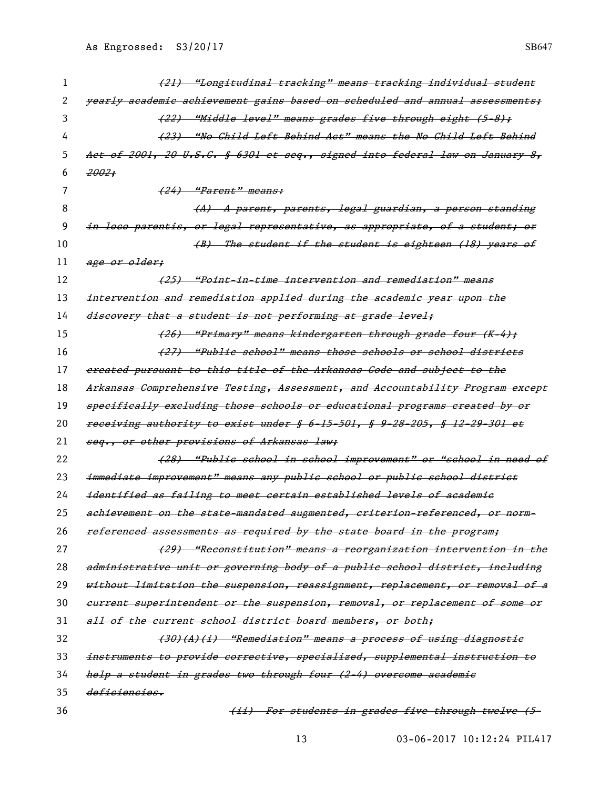| 1  | (21) "Longitudinal tracking" means tracking individual student                |
|----|-------------------------------------------------------------------------------|
| 2  | yearly academic achievement gains based on scheduled and annual assessments:  |
| 3  | (22) "Middle level" means grades five through eight (5–8);                    |
| 4  | (23) "No Child Left Behind Act" means the No Child Left Behind                |
| 5  | Act of 2001, 20 U.S.C. § 6301 et seq., signed into federal law on January 8,  |
| 6  | 2002:                                                                         |
| 7  | (24) "Parent" means:                                                          |
| 8  | (A) A parent, parents, legal guardian, a person standing                      |
| 9  | in loco parentis, or legal representative, as appropriate, of a student; or   |
| 10 | (B) The student if the student is eighteen (18) years of                      |
| 11 | age or older;                                                                 |
| 12 | <del>(25) "Point-in-time intervention and remediation" means</del>            |
| 13 | intervention and remediation applied during the academic year upon the        |
| 14 | discovery that a student is not performing at grade level;                    |
| 15 | <del>(26) "Primary" means kindergarten through grade four (K-4);</del>        |
| 16 | <del>(27) "Public school" means those schools or school districts</del>       |
| 17 | ereated pursuant to this title of the Arkansas Gode and subject to the        |
| 18 | Arkansas Comprehensive Testing, Assessment, and Accountability Program except |
| 19 | specifically excluding those schools or educational programs created by or    |
| 20 | receiving authority to exist under § 6-15-501, § 9-28-205, § 12-29-301 et     |
| 21 | seq., or other provisions of Arkansas law;                                    |
| 22 | (28) "Public school in school improvement" or "school in need of              |
| 23 | immediate improvement" means any public school or public school district      |
| 24 | identified as failing to meet certain established levels of academic          |
| 25 | achievement on the state-mandated augmented, criterion-referenced, or norm-   |
| 26 | referenced assessments as required by the state board in the program;         |
| 27 | (29) "Reconstitution" means a reorganization intervention in the              |
| 28 | administrative unit or governing body of a public school district, including  |
| 29 | without limitation the suspension, reassignment, replacement, or removal of a |
| 30 | eurrent superintendent or the suspension, removal, or replacement of some or  |
| 31 | all of the current school district board members, or both;                    |
| 32 | (30)(A)(i) "Remediation" means a process of using diagnostic                  |
| 33 | instruments to provide corrective, specialized, supplemental instruction to   |
| 34 | help a student in grades two through four (2-4) overcome academic             |
| 35 | deficiencies.                                                                 |
| 36 | (ii) For students in grades five through twelve (5-                           |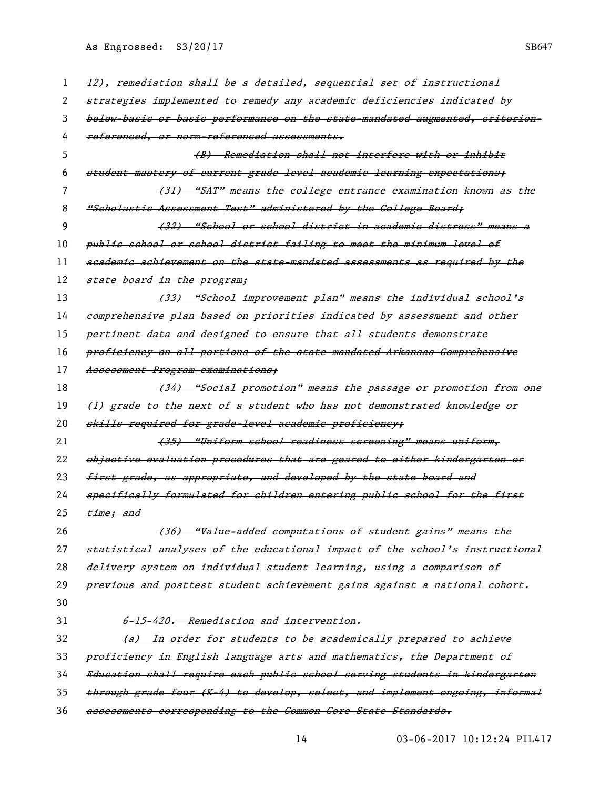| 1  | 12), remediation shall be a detailed, sequential set of instructional        |
|----|------------------------------------------------------------------------------|
| 2  | strategies implemented to remedy any academic deficiencies indicated by      |
| 3  | below-basie or basie performance on the state-mandated augmented, criterion- |
| 4  | referenced, or norm-referenced assessments,                                  |
| 5  | (B) Remediation shall not interfere with or inhibit                          |
| 6  | student mastery of current grade level academic learning expectations;       |
| 7  | (31) "SAT" means the college entrance examination known as the               |
| 8  | "Scholastic Assessment Test" administered by the College Board;              |
| 9  | (32) "School or school district in academic distress" means a                |
| 10 | publie school or school district failing to meet the minimum level of        |
| 11 | academic achievement on the state-mandated assessments as required by the    |
| 12 | state board in the program;                                                  |
| 13 | (33) "School improvement plan" means the individual school's                 |
| 14 | comprehensive plan based on priorities indicated by assessment and other     |
| 15 | pertinent data and designed to ensure that all students demonstrate          |
| 16 | proficiency on all portions of the state-mandated Arkansas Comprehensive     |
| 17 | Assessment Program examinations;                                             |
| 18 | (34) "Social promotion" means the passage or promotion from one              |
| 19 | (1) grade to the next of a student who has not demonstrated knowledge or     |
| 20 | skills required for grade-level academic proficiency;                        |
| 21 | (35) "Uniform school readiness screening" means uniform,                     |
| 22 | objective evaluation procedures that are geared to either kindergarten or    |
| 23 | first grade, as appropriate, and developed by the state board and            |
| 24 | specifically formulated for children entering public school for the first    |
| 25 | time; and                                                                    |
| 26 | (36) "Value-added computations of student gains" means the                   |
| 27 | statistical analyses of the educational impact of the school's instructional |
| 28 | delivery system on individual student learning, using a comparison of        |
| 29 | previous and posttest student achievement gains against a national cohort.   |
| 30 |                                                                              |
| 31 | 6-15-420. Remediation and intervention.                                      |
| 32 | <u>In order for students to be academically prepared to achieve</u>          |
| 33 | proficiency in English language arts and mathematics, the Department of      |
| 34 | Education shall require each public school serving students in kindergarten  |
| 35 | through grade four (K-4) to develop, select, and implement ongoing, informal |
| 36 | assessments corresponding to the Common Core State Standards.                |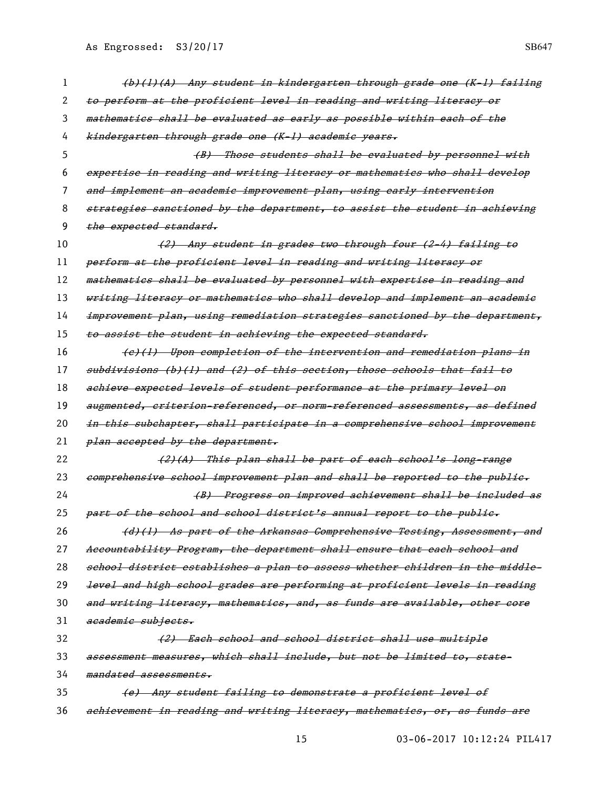| 1  | (b)(l)(A) Any student in kindergarten through grade one (K-l) failing        |
|----|------------------------------------------------------------------------------|
| 2  | to perform at the proficient level in reading and writing literacy or        |
| 3  | mathematics shall be evaluated as early as possible within each of the       |
| 4  | kindergarten through grade one (K-1) academic years.                         |
| 5  | (B) Those students shall be evaluated by personnel with                      |
| 6  | expertise in reading and writing literacy or mathematics who shall develop   |
| 7  | and implement an academic improvement plan, using early intervention         |
| 8  | strategies sanctioned by the department, to assist the student in achieving  |
| 9  | the expected standard.                                                       |
| 10 | (2) Any student in grades two through four (2-4) failing to                  |
| 11 | perform at the proficient level in reading and writing literacy or           |
| 12 | mathematics shall be evaluated by personnel with expertise in reading and    |
| 13 | writing literacy or mathematics who shall develop and implement an academic  |
| 14 | improvement plan, using remediation strategies sanetioned by the department, |
| 15 | to assist the student in achieving the expected standard,                    |
| 16 | (e)(1) Upon completion of the intervention and remediation plans in          |
| 17 | subdivisions (b)(l) and (2) of this section, those schools that fail to      |
| 18 | achieve expected levels of student performance at the primary level on       |
| 19 | augmented, eriterion-referenced, or norm-referenced assessments, as defined  |
| 20 | in this subchapter, shall participate in a comprehensive school improvement  |
| 21 | plan accepted by the department.                                             |
| 22 | (2)(A) This plan shall be part of each school's long-range                   |
| 23 | comprehensive school improvement plan and shall be reported to the public.   |
| 24 | (B) Progress on improved achievement shall be included as                    |
| 25 | part of the school and school district's annual report to the publie.        |
| 26 | (d)(1) As part of the Arkansas Comprehensive Testing, Assessment, and        |
| 27 | Aecountability Program, the department shall ensure that each school and     |
| 28 | school district establishes a plan to assess whether children in the middle- |
| 29 | level and high school grades are performing at proficient levels in reading  |
| 30 | and writing literacy, mathematies, and, as funds are available, other core   |
| 31 | academic subjects.                                                           |
| 32 | (2) Each school and school district shall use multiple                       |
| 33 | assessment measures, which shall include, but not be limited to, state-      |
| 34 | mandated assessments.                                                        |
| 35 | (e) Any student failing to demonstrate a proficient level of                 |
| 36 | achievement in reading and writing literacy, mathematics, or, as funds are   |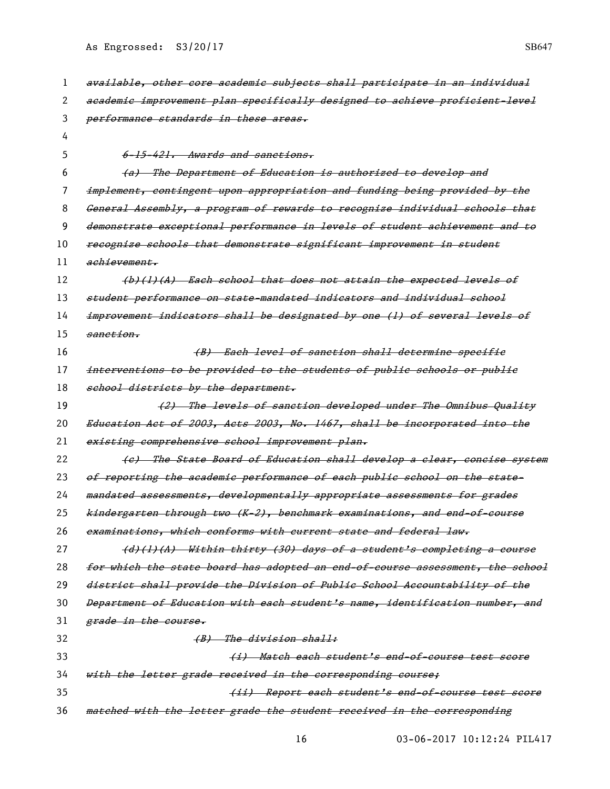| 1  | available, other core academic subjects shall participate in an individual    |
|----|-------------------------------------------------------------------------------|
| 2  | academic improvement plan specifically designed to achieve proficient-level   |
| 3  | performance standards in these areas.                                         |
| 4  |                                                                               |
| 5  | 6-15-421. Awards and sanctions.                                               |
| 6  | The Department of Education is authorized to develop and<br><del>(a)</del>    |
| 7  | implement, contingent upon appropriation and funding being provided by the    |
| 8  | General Assembly, a program of rewards to recognize individual schools that   |
| 9  | demonstrate exceptional performance in levels of student achievement and to   |
| 10 | recognize schools that demonstrate significant improvement in student         |
| 11 | achievement.                                                                  |
| 12 | (b)(1)(A) Each school that does not attain the expected levels of             |
| 13 | student performance on state-mandated indicators and individual school        |
| 14 | improvement indicators shall be designated by one (1) of several levels of    |
| 15 | sanction.                                                                     |
| 16 | (B) Each level of sanction shall determine specific                           |
| 17 | interventions to be provided to the students of public schools or public      |
| 18 | school districts by the department.                                           |
| 19 | (2) The levels of sanetion developed under The Omnibus Quality                |
| 20 | Education Act of 2003, Acts 2003, No. 1467, shall be incorporated into the    |
| 21 | existing comprehensive school improvement plan.                               |
| 22 | (c) The State Board of Education shall develop a clear, concise system        |
| 23 | of reporting the academic performance of each public school on the state-     |
| 24 | mandated assessments, developmentally appropriate assessments for grades      |
| 25 | kindergarten through two (K-2), benehmark examinations, and end-of-course     |
| 26 | examinations, which conforms with current state and federal law.              |
| 27 | (d)(l)(A) Within thirty (30) days of a student's completing a course          |
| 28 | for which the state board has adopted an end of course assessment, the school |
| 29 | district shall provide the Division of Public School Accountability of the    |
| 30 | Department of Education with each student's name, identification number, and  |
| 31 | <del>grade in the course.</del>                                               |
| 32 | (B) The division shall:                                                       |
| 33 | (i) Match each student's end-of-course test score                             |
| 34 | with the letter grade received in the corresponding course;                   |
| 35 | (ii) Report each student's end-of-course test score                           |
| 36 | matched with the letter grade the student received in the corresponding       |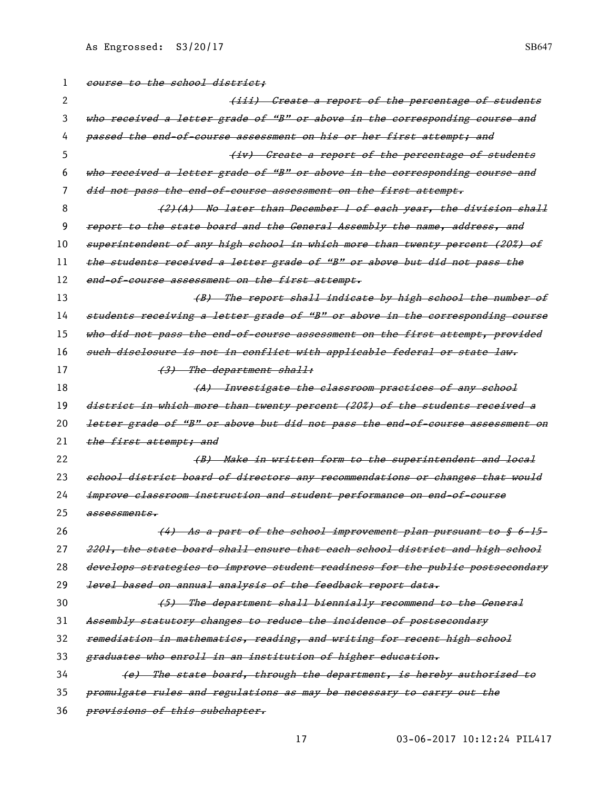| 1  | course to the school district:                                                           |
|----|------------------------------------------------------------------------------------------|
| 2  | (iii) Create a report of the percentage of students                                      |
| 3  | who received a letter grade of "B" or above in the corresponding course and              |
| 4  | <del>passed the end-of-course assessment on his or her first attempt; and</del>          |
| 5  | (iv) Create a report of the percentage of students                                       |
| 6  | who received a letter grade of "B" or above in the corresponding course and              |
| 7  | did not pass the end of course assessment on the first attempt.                          |
| 8  | (2)(A) No later than December 1 of each year, the division shall                         |
| 9  | report to the state board and the General Assembly the name, address, and                |
| 10 | superintendent of any high school in which more than twenty percent (20%) of             |
| 11 | the students received a letter grade of "B" or above but did not pass the                |
| 12 | end-of-course assessment on the first attempt.                                           |
| 13 | (B) The report shall indicate by high school the number of                               |
| 14 | students receiving a letter grade of "B" or above in the corresponding course            |
| 15 | who did not pass the end-of-course assessment on the first attempt, provided             |
| 16 | such disclosure is not in conflict with applicable federal or state law.                 |
| 17 | (3) The department shall:                                                                |
| 18 | (A) Investigate the elassroom practices of any school                                    |
| 19 | district in which more than twenty percent (20%) of the students received a              |
| 20 | <del>letter grade of "B" or above but did not pass the end-of-course assessment on</del> |
| 21 | the first attempt; and                                                                   |
| 22 | (B) Make in written form to the superintendent and local                                 |
| 23 | school district board of directors any recommendations or changes that would             |
| 24 | improve elassroom instruction and student performance on end-of-course                   |
| 25 | assessments.                                                                             |
| 26 | (4) As a part of the school improvement plan pursuant to § 6-15-                         |
| 27 | 2201, the state board shall ensure that each school district and high school             |
| 28 | develops strategies to improve student readiness for the public postsecondary            |
| 29 | level based on annual analysis of the feedback report data.                              |
| 30 | (5) The department shall biennially recommend to the General                             |
| 31 | Assembly statutory changes to reduce the incidence of postsecondary                      |
| 32 | remediation in mathematies, reading, and writing for recent high school                  |
| 33 | graduates who enroll in an institution of higher education.                              |
| 34 | (e) The state board, through the department, is hereby authorized to                     |
| 35 | promulgate rules and regulations as may be necessary to carry out the                    |
| 36 | provisions of this subchapter.                                                           |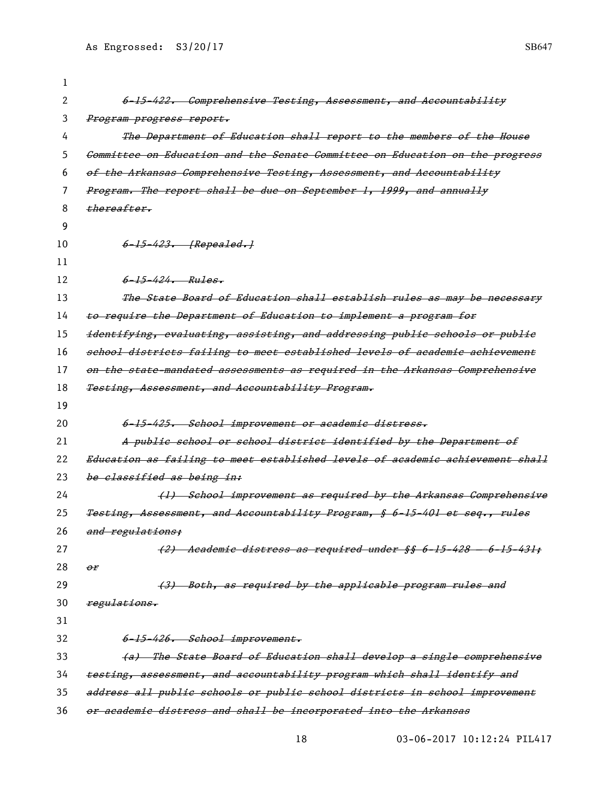| 1  |                                                                               |
|----|-------------------------------------------------------------------------------|
| 2  | 6-15-422. Comprehensive Testing, Assessment, and Accountability               |
| 3  | <del>Program progress report.</del>                                           |
| 4  | The Department of Education shall report to the members of the House          |
| 5  | Committee on Education and the Senate Committee on Education on the progress  |
| 6  | of the Arkansas Comprehensive Testing, Assessment, and Accountability         |
| 7  | Program. The report shall be due on September 1, 1999, and annually           |
| 8  | thereafter,                                                                   |
| 9  |                                                                               |
| 10 | 6-15-423. [Repealed.]                                                         |
| 11 |                                                                               |
| 12 | $6 - 15 - 424$ . Rules.                                                       |
| 13 | The State Board of Education shall establish rules as may be necessary        |
| 14 | to require the Department of Education to implement a program for             |
| 15 | identifying, evaluating, assisting, and addressing public schools or public   |
| 16 | school districts failing to meet established levels of academic achievement   |
| 17 | on the state-mandated assessments as required in the Arkansas Comprehensive   |
| 18 | Testing, Assessment, and Accountability Program.                              |
| 19 |                                                                               |
| 20 | 6-15-425. School improvement or academic distress.                            |
| 21 | A public school or school district identified by the Department of            |
| 22 | Education as failing to meet established levels of academic achievement shall |
| 23 | be classified as being in:                                                    |
| 24 | (1) School improvement as required by the Arkansas Comprehensive              |
| 25 | Testing, Assessment, and Accountability Program, § 6-15-401 et seq., rules    |
| 26 | and regulations;                                                              |
| 27 | (2) Academic distress as required under §§ 6-15-428 - 6-15-431;               |
| 28 | $\theta$ r                                                                    |
| 29 | (3) Both, as required by the applicable program rules and                     |
| 30 | regulations.                                                                  |
| 31 |                                                                               |
| 32 | 6-15-426. School improvement.                                                 |
| 33 | (a) The State Board of Education shall develop a single comprehensive         |
| 34 | testing, assessment, and accountability program which shall identify and      |
| 35 | address all public schools or public school districts in school improvement   |
| 36 | or academic distress and shall be incorporated into the Arkansas              |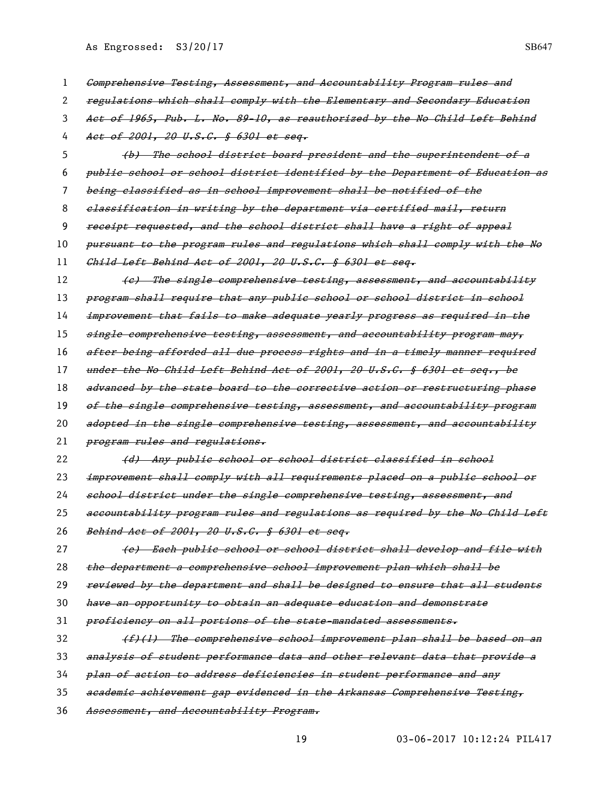| 1  | Comprehensive Testing, Assessment, and Accountability Program rules and       |
|----|-------------------------------------------------------------------------------|
| 2  | regulations which shall comply with the Elementary and Secondary Education    |
| 3  | Aet of 1965, Pub. L. No. 89-10, as reauthorized by the No Child Left Behind   |
| 4  | Act of 2001, 20 U.S.C. § 6301 et seq.                                         |
| 5  | (b) The school district board president and the superintendent of a           |
| 6  | public school or school district identified by the Department of Education as |
| 7  | being elassified as in school improvement shall be notified of the            |
| 8  | elassification in writing by the department via certified mail, return        |
| 9  | receipt requested, and the school district shall have a right of appeal       |
| 10 | pursuant to the program rules and regulations which shall comply with the No  |
| 11 | Child Left Behind Act of 2001, 20 U.S.C. § 6301 et seq.                       |
| 12 | (e) The single comprehensive testing, assessment, and accountability          |
| 13 | program shall require that any public school or school district in school     |
| 14 | improvement that fails to make adequate yearly progress as required in the    |
| 15 | single comprehensive testing, assessment, and accountability program may,     |
| 16 | after being afforded all due process rights and in a timely manner required   |
| 17 | under the No Child Left Behind Aet of 2001, 20 U.S.C. § 6301 et seg., be      |
| 18 | advanced by the state board to the corrective action or restructuring phase   |
| 19 | of the single comprehensive testing, assessment, and accountability program   |
| 20 | adopted in the single comprehensive testing, assessment, and accountability   |
| 21 | program rules and regulations.                                                |
| 22 | (d) Any public school or school district classified in school                 |
| 23 | improvement shall comply with all requirements placed on a public school or   |
| 24 | school district under the single comprehensive testing, assessment, and       |
| 25 | aecountability program rules and regulations as required by the No Child Left |
| 26 | Behind Act of 2001, 20 U.S.C. § 6301 et seq.                                  |
| 27 | (e) Each public school or school district shall develop and file with         |
| 28 | the department a comprehensive school improvement plan which shall be         |
| 29 | reviewed by the department and shall be designed to ensure that all students  |
| 30 | have an opportunity to obtain an adequate education and demonstrate           |
| 31 | proficiency on all portions of the state-mandated assessments.                |
| 32 | $(f)$ (1) The comprehensive school improvement plan shall be based on an      |
| 33 | analysis of student performance data and other relevant data that provide a   |
| 34 | plan of action to address deficiencies in student performance and any         |
| 35 | academic achievement gap evidenced in the Arkansas Comprehensive Testing,     |
| 36 | Assessment, and Accountability Program.                                       |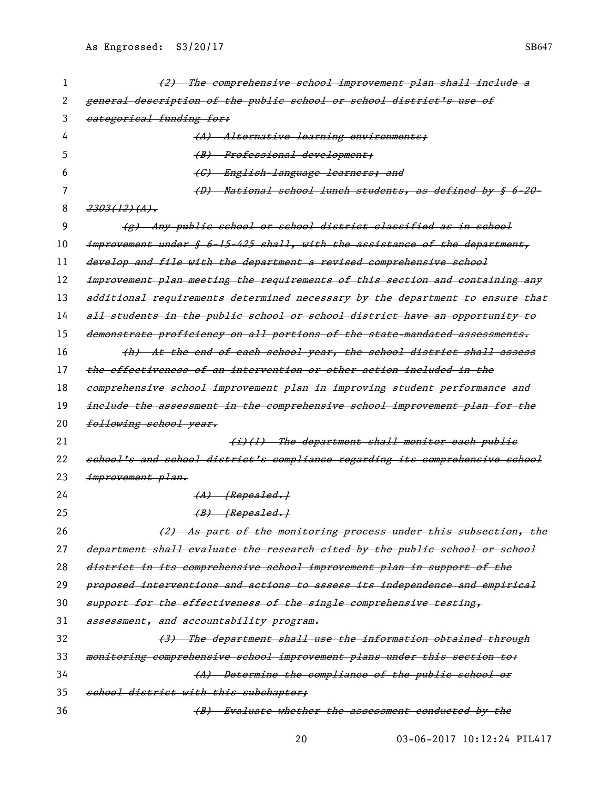| 1  | (2) The comprehensive school improvement plan shall include a                 |
|----|-------------------------------------------------------------------------------|
| 2  | general description of the public school or school district's use of          |
| 3  | eategorical funding for:                                                      |
| 4  | (A) Alternative learning environments;                                        |
| 5  | (B) Professional development;                                                 |
| 6  | (C) English-language learners; and                                            |
| 7  | (D) National school lunch students, as defined by § 6-20-                     |
| 8  | $2303(12)(A)$ .                                                               |
| 9  | (g) Any public school or school district classified as in school              |
| 10 | improvement under § 6-15-425 shall, with the assistance of the department,    |
| 11 | develop and file with the department a revised comprehensive school           |
| 12 | improvement plan meeting the requirements of this section and containing any  |
| 13 | additional requirements determined necessary by the department to ensure that |
| 14 | all students in the public school or school district have an opportunity to   |
| 15 | demonstrate proficiency on all portions of the state-mandated assessments.    |
| 16 | (h) At the end of each school year, the school district shall assess          |
| 17 | the effectiveness of an intervention or other action included in the          |
| 18 | eomprehensive school improvement plan in improving student performance and    |
| 19 | include the assessment in the comprehensive school improvement plan for the   |
| 20 | following school year.                                                        |
| 21 | (i)(l) The department shall monitor each publie                               |
| 22 | school's and school district's compliance regarding its comprehensive school  |
| 23 | improvement plan.                                                             |
| 24 | $(A)$ [Repealed.]                                                             |
| 25 | $(B)$ [Repealed.]                                                             |
| 26 | (2) As part of the monitoring process under this subsection, the              |
| 27 | department shall evaluate the research eited by the public school or school   |
| 28 | district in its comprehensive school improvement plan in support of the       |
| 29 | proposed interventions and actions to assess its independence and empirical   |
| 30 | support for the effectiveness of the single comprehensive testing,            |
| 31 | assessment, and accountability program.                                       |
| 32 | (3) The department shall use the information obtained through                 |
| 33 | monitoring comprehensive school improvement plans under this section to:      |
| 34 | (A) Determine the compliance of the public school or                          |
| 35 | school district with this subchapter;                                         |
| 36 | (B) Evaluate whether the assessment conducted by the                          |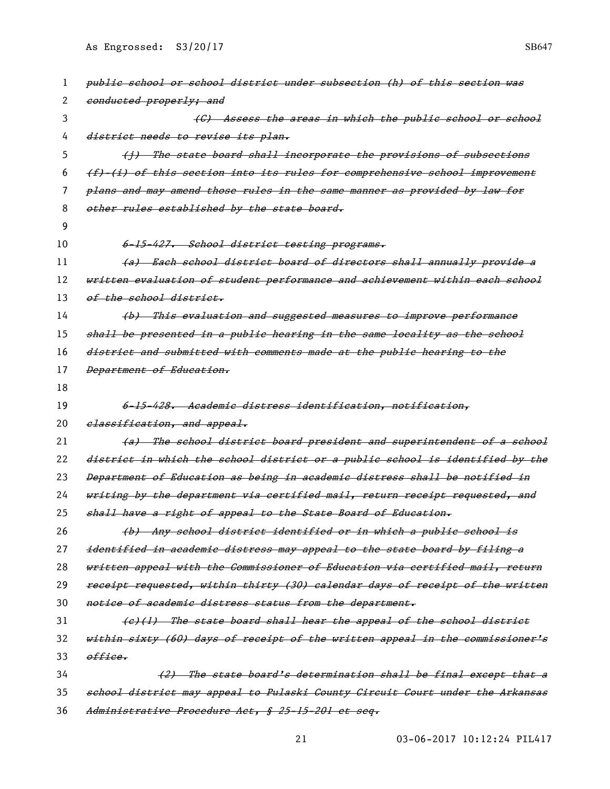| 1  | public school or school district under subsection (h) of this section was     |
|----|-------------------------------------------------------------------------------|
| 2  | conducted properly; and                                                       |
| 3  | (C) Assess the areas in which the public school or school                     |
| 4  | district needs to revise its plan.                                            |
| 5  | (j) The state board shall incorporate the provisions of subsections           |
| 6  | (f) (i) of this section into its rules for comprehensive school improvement   |
| 7  | plans and may amend those rules in the same manner as provided by law for     |
| 8  | other rules established by the state board.                                   |
| 9  |                                                                               |
| 10 | 6-15-427. School district testing programs.                                   |
| 11 | (a) Each school district board of directors shall annually provide a          |
| 12 | written evaluation of student performance and achievement within each school  |
| 13 | of the school district.                                                       |
| 14 | (b) This evaluation and suggested measures to improve performance             |
| 15 | shall be presented in a publie hearing in the same locality as the school     |
| 16 | district and submitted with comments made at the public hearing to the        |
| 17 | Department of Education.                                                      |
| 18 |                                                                               |
| 19 | <del>6-15-428. Academic distress identification, notification,</del>          |
| 20 | elassification, and appeal.                                                   |
| 21 | (a) The school district board president and superintendent of a school        |
| 22 | district in which the school district or a public school is identified by the |
| 23 | Department of Education as being in academic distress shall be notified in    |
| 24 | writing by the department via certified mail, return receipt requested, and   |
| 25 | shall have a right of appeal to the State Board of Education,                 |
| 26 | (b) Any school district identified or in which a public school is             |
| 27 | identified in academic distress may appeal to the state board by filing a     |
| 28 | written appeal with the Commissioner of Education via certified mail, return  |
| 29 | receipt requested, within thirty (30) calendar days of receipt of the written |
| 30 | notice of academic distress status from the department.                       |
| 31 | (e)(1) The state board shall hear the appeal of the school district           |
| 32 | within sixty (60) days of receipt of the written appeal in the commissioner's |
| 33 | office.                                                                       |
| 34 | (2) The state board's determination shall be final except that a              |
| 35 | school district may appeal to Pulaski County Circuit Court under the Arkansas |
| 36 | Administrative Procedure Act, § 25-15-201 et seq.                             |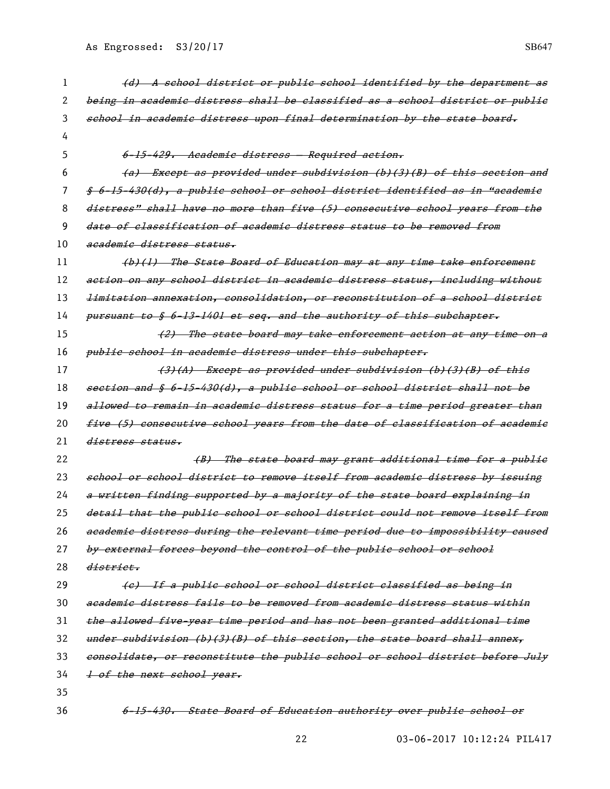| 1  | (d) A school district or public school identified by the department as                  |
|----|-----------------------------------------------------------------------------------------|
| 2  | being in academic distress shall be classified as a school district or publie           |
| 3  | school in academic distress upon final determination by the state board,                |
| 4  |                                                                                         |
| 5  | 6-15-429. Academic distress - Required action.                                          |
| 6  | (a) Except as provided under subdivision (b)(3)(B) of this section and                  |
| 7  | <u> § 6-15-430(d), a public school or school district identified as in "academic</u>    |
| 8  | distress" shall have no more than five (5) consecutive school years from the            |
| 9  | date of classification of academic distress status to be removed from                   |
| 10 | academic distress status.                                                               |
| 11 | (b)(1) The State Board of Education may at any time take enforcement                    |
| 12 | action on any school district in academic distress status, including without            |
| 13 | <del>limitation annexation, consolidation, or reconstitution of a school district</del> |
| 14 | pursuant to § 6-13-1401 et seq. and the authority of this subehapter.                   |
| 15 | (2) The state board may take enforcement action at any time on a                        |
| 16 | <del>public school in academic distress under this subchapter.</del>                    |
| 17 | (3)(A) Except as provided under subdivision (b)(3)(B) of this                           |
| 18 | section and § 6-15-430(d), a public school or school district shall not be              |
| 19 | allowed to remain in academic distress status for a time period greater than            |
| 20 | five (5) consecutive school years from the date of classification of academic           |
| 21 | distress status.                                                                        |
| 22 | (B) The state board may grant additional time for a public                              |
| 23 | school or school district to remove itself from academic distress by issuing            |
| 24 | a written finding supported by a majority of the state board explaining in              |
| 25 | detail that the public school or school district could not remove itself from           |
| 26 | academic distress during the relevant time period due to impossibility caused           |
| 27 | by external forces beyond the control of the public school or school                    |
| 28 | <del>district.</del>                                                                    |
| 29 | (e) If a publie school or school district classified as being in                        |
| 30 | academic distress fails to be removed from academic distress status within              |
| 31 | the allowed five year time period and has not been granted additional time              |
| 32 | under subdivision (b)(3)(B) of this section, the state board shall annex,               |
| 33 | consolidate, or reconstitute the public school or school district before July           |
| 34 | 1 of the next school year.                                                              |
| 35 |                                                                                         |
| 36 | State Board of Education authority over public school or<br><del>6-15-430.</del>        |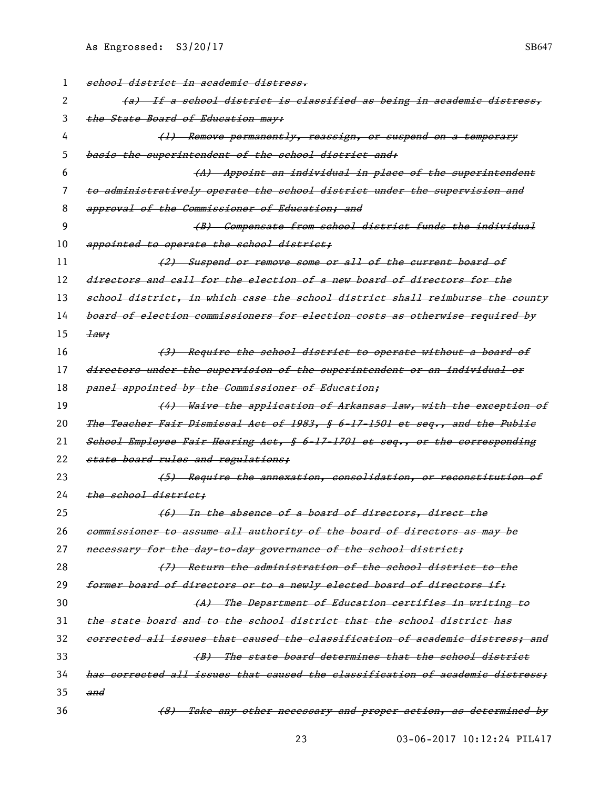| 1  | school district in academic distress.                                         |
|----|-------------------------------------------------------------------------------|
| 2  | (a) If a school district is classified as being in academic distress,         |
| 3  | the State Board of Education may:                                             |
| 4  | (1) Remove permanently, reassign, or suspend on a temporary                   |
| 5  | basis the superintendent of the school district and:                          |
| 6  | (A) Appoint an individual in place of the superintendent                      |
| 7  | to administratively operate the school district under the supervision and     |
| 8  | approval of the Commissioner of Education; and                                |
| 9  | (B) Compensate from school district funds the individual                      |
| 10 | appointed to operate the school district;                                     |
| 11 | (2) Suspend or remove some or all of the current board of                     |
| 12 | directors and call for the election of a new board of directors for the       |
| 13 | school district, in which case the school district shall reimburse the county |
| 14 | board of election commissioners for election costs as otherwise required by   |
| 15 | $\pm a$ w:                                                                    |
| 16 | (3) Require the school district to operate without a board of                 |
| 17 | directors under the supervision of the superintendent or an individual or     |
| 18 | panel appointed by the Commissioner of Education;                             |
| 19 | (4) Waive the application of Arkansas law, with the exception of              |
| 20 | The Teacher Fair Dismissal Act of 1983, § 6-17-1501 et seq., and the Public   |
| 21 | School Employee Fair Hearing Act, § 6-17-1701 et seq., or the corresponding   |
| 22 | state board rules and regulations;                                            |
| 23 | (5) Require the annexation, consolidation, or reconstitution of               |
| 24 | the school district:                                                          |
| 25 | (6) In the absence of a board of directors, direct the                        |
| 26 | commissioner to assume all authority of the board of directors as may be      |
| 27 | necessary for the day to day governance of the school district;               |
| 28 | (7) Return the administration of the school district to the                   |
| 29 | former board of directors or to a newly elected board of directors if.        |
| 30 | (A) The Department of Education certifies in writing to                       |
| 31 | the state board and to the school district that the school district has       |
| 32 | corrected all issues that caused the classification of academic distress: and |
| 33 | (B) The state board determines that the school district                       |
| 34 | has corrected all issues that caused the classification of academic distress; |
| 35 | and                                                                           |
| 36 | (8) Take any other necessary and proper action, as determined by              |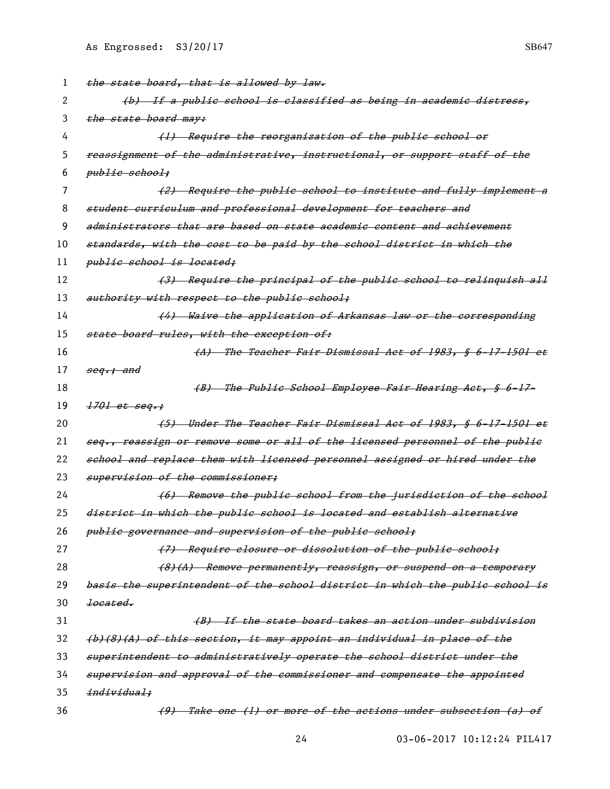| 1  | the state board, that is allowed by law.                                      |
|----|-------------------------------------------------------------------------------|
| 2  | (b) If a public school is classified as being in academic distress,           |
| 3  | the state board may:                                                          |
| 4  | (1) Require the reorganization of the public school or                        |
| 5  | reassignment of the administrative, instructional, or support staff of the    |
| 6  | publie school;                                                                |
|    | (2) Require the public school to institute and fully implement a              |
| 8  | student curriculum and professional development for teachers and              |
| 9  | administrators that are based on state academic content and achievement       |
| 10 | standards, with the cost to be paid by the school district in which the       |
| 11 | public school is located;                                                     |
| 12 | (3) Require the principal of the public school to relinquish all              |
| 13 | authority with respect to the public school;                                  |
| 14 | (4) Waive the application of Arkansas law or the corresponding                |
| 15 | state board rules, with the exception of:                                     |
| 16 | (A) The Teacher Fair Dismissal Act of 1983, § 6-17-1501 et                    |
| 17 | <del>seq.; and</del>                                                          |
| 18 | (B) The Publie School Employee Fair Hearing Act, § 6-17-                      |
| 19 | $1701$ et seq.;                                                               |
| 20 | <del>(5) Under The Teacher Fair Dismissal Act of 1983, § 6-17-1501 et</del>   |
| 21 | seg., reassign or remove some or all of the licensed personnel of the public  |
| 22 | school and replace them with licensed personnel assigned or hired under the   |
| 23 | supervision of the commissioner;                                              |
| 24 | (6) Remove the public school from the jurisdiction of the school              |
| 25 | district in which the public school is located and establish alternative      |
| 26 | public governance and supervision of the public school;                       |
| 27 | (7) Require closure or dissolution of the public school;                      |
| 28 | (8)(A) Remove permanently, reassign, or suspend on a temporary                |
| 29 | basis the superintendent of the school district in which the public school is |
| 30 | <del>located.</del>                                                           |
| 31 | (B) If the state board takes an action under subdivision                      |
| 32 | (b)(8)(A) of this section, it may appoint an individual in place of the       |
| 33 | superintendent to administratively operate the school district under the      |
| 34 | supervision and approval of the commissioner and compensate the appointed     |
| 35 | individual;                                                                   |
| 36 | (9) Take one (1) or more of the actions under subsection (a) of               |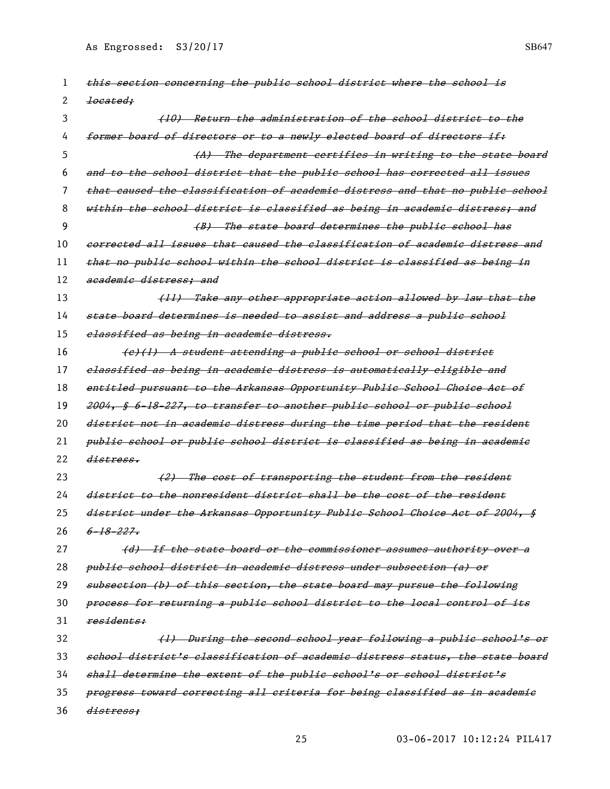| 1  | this section concerning the public school district where the school is         |
|----|--------------------------------------------------------------------------------|
| 2  | <del>located:</del>                                                            |
| 3  | (10) Return the administration of the school district to the                   |
| 4  | former board of directors or to a newly elected board of directors if:         |
| 5  | (A) The department certifies in writing to the state board                     |
| 6  | and to the school district that the public school has corrected all issues     |
| 7  | that caused the classification of academic distress and that no public school  |
| 8  | within the school district is classified as being in academic distress; and    |
| 9  | (B) The state board determines the public school has                           |
| 10 | corrected all issues that caused the classification of academic distress and   |
| 11 | that no public school within the school district is classified as being in     |
| 12 | academic distress: and                                                         |
| 13 | (11) Take any other appropriate action allowed by law that the                 |
| 14 | state board determines is needed to assist and address a public school         |
| 15 | classified as being in academic distress.                                      |
| 16 | (e)(1) A student attending a public school or school district                  |
| 17 | elassified as being in academic distress is automatically eligible and         |
| 18 | entitled pursuant to the Arkansas Opportunity Public School Choice Act of      |
| 19 | 2004, § 6-18-227, to transfer to another public school or public school        |
| 20 | district not in academic distress during the time period that the resident     |
| 21 | public school or public school district is classified as being in academic     |
| 22 | distress.                                                                      |
| 23 | (2) The cost of transporting the student from the resident                     |
| 24 | district to the nonresident district shall be the cost of the resident         |
| 25 | district under the Arkansas Opportunity Public School Choice Act of 2004, §    |
| 26 | $6 - 18 - 227$                                                                 |
| 27 | (d) If the state board or the commissioner assumes authority over a            |
| 28 | <del>public school district in academic distress under subsection (a) or</del> |
| 29 | subsection (b) of this section, the state board may pursue the following       |
| 30 | process for returning a public school district to the local control of its     |
| 31 | residents:                                                                     |
| 32 | (1) During the second school year following a public school's or               |
| 33 | school district's classification of academic distress status, the state board  |
| 34 | shall determine the extent of the public school's or school district's         |
| 35 | progress toward correcting all criteria for being classified as in academic    |
| 36 | <del>distress:</del>                                                           |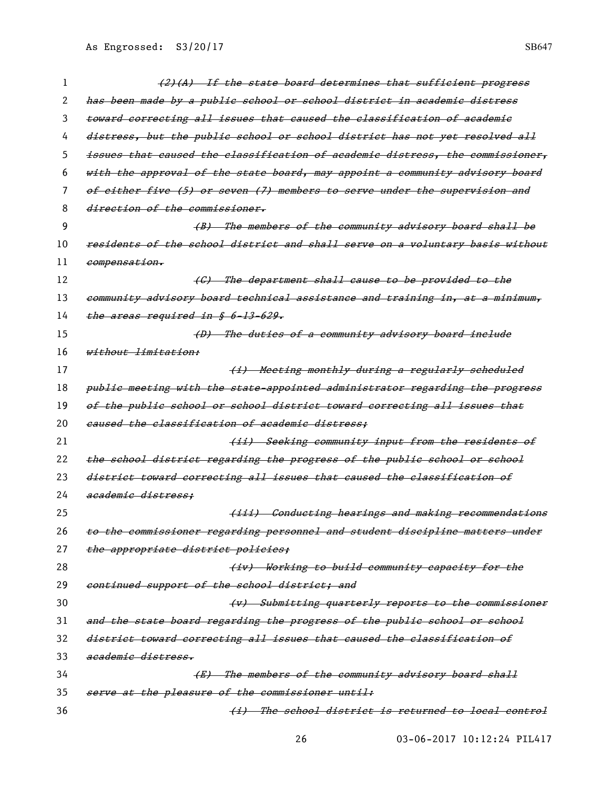| $\mathbf{I}$ | (2)(A) If the state board determines that sufficient progress                 |
|--------------|-------------------------------------------------------------------------------|
| 2            | has been made by a public school or school district in academic distress      |
| 3            | toward correcting all issues that caused the classification of academic       |
| 4            | distress, but the public school or school district has not yet resolved all   |
| 5            | issues that caused the classification of academic distress, the commissioner, |
| 6            | with the approval of the state board, may appoint a community advisory board  |
| 7            | of either five (5) or seven (7) members to serve under the supervision and    |
| 8            | direction of the commissioner.                                                |
| 9            | (B) The members of the community advisory board shall be                      |
| 10           | residents of the school district and shall serve on a voluntary basis without |
| 11           | <del>compensation.</del>                                                      |
| 12           | (C) The department shall cause to be provided to the                          |
| 13           | eommunity advisory board technical assistance and training in, at a minimum,  |
| 14           | the areas required in § 6-13-629.                                             |
| 15           | (D) The duties of a community advisory board inelude                          |
| 16           | <del>without limitation:</del>                                                |
| 17           | (i) Meeting monthly during a regularly scheduled                              |
| 18           | publie meeting with the state-appointed administrator regarding the progress  |
| 19           | of the public school or school district toward correcting all issues that     |
| 20           | caused the classification of academic distress:                               |
| 21           | (ii) Seeking community input from the residents of                            |
| 22           | the school district regarding the progress of the public school or school     |
| 23           | district toward correcting all issues that caused the classification of       |
| 24           | academic distress:                                                            |
| 25           | (iii) Conducting hearings and making recommendations                          |
| 26           | to the commissioner regarding personnel and student discipline matters under  |
| 27           | the appropriate district policies;                                            |
| 28           | (iv) Working to build community capacity for the                              |
| 29           | continued support of the school district; and                                 |
| 30           | (v) Submitting quarterly reports to the commissioner                          |
| 31           | and the state board regarding the progress of the public school or school     |
| 32           | district toward correcting all issues that caused the classification of       |
| 33           | academic distress.                                                            |
| 34           | (E) The members of the community advisory board shall                         |
| 35           | serve at the pleasure of the commissioner until:                              |
| 36           | (i) The school district is returned to local control                          |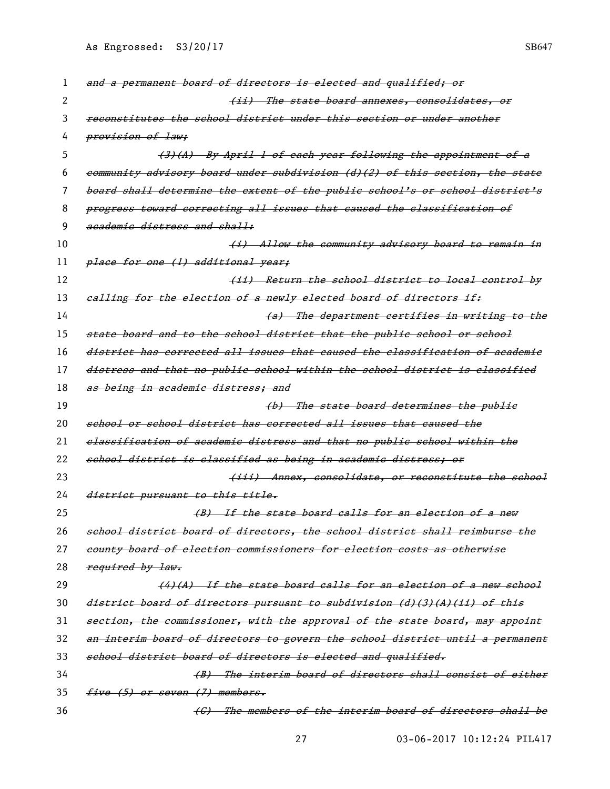| 1  | and a permanent board of directors is elected and qualified; or               |
|----|-------------------------------------------------------------------------------|
| 2  | <del>(ii) The state board annexes, consolidates, or</del>                     |
| 3  | reconstitutes the school district under this section or under another         |
| 4  | provision of law;                                                             |
| 5  | (3)(A) By April 1 of each year following the appointment of a                 |
| 6  | eommunity advisory board under subdivision (d)(2) of this section, the state  |
| 7  | board shall determine the extent of the public school's or school district's  |
| 8  | progress toward correcting all issues that caused the classification of       |
| 9  | academic distress and shall:                                                  |
| 10 | <del>(i) Allow the community advisory board to remain in</del>                |
| 11 | place for one (1) additional year;                                            |
| 12 | <del>(ii) Return the school district to local control by</del>                |
| 13 | ealling for the election of a newly elected board of directors if:            |
| 14 | (a) The department certifies in writing to the                                |
| 15 | state board and to the school district that the public school or school       |
| 16 | district has corrected all issues that caused the classification of academic  |
| 17 | distress and that no public school within the school district is classified   |
| 18 | as being in academic distress; and                                            |
| 19 | (b) The state board determines the public                                     |
| 20 | school or school district has corrected all issues that caused the            |
| 21 | elassification of academic distress and that no public school within the      |
| 22 | school district is classified as being in academic distress; or               |
| 23 | (iii) Annex, consolidate, or reconstitute the school                          |
| 24 | district pursuant to this title.                                              |
| 25 | (B) If the state board calls for an election of a new                         |
| 26 | school district board of directors, the school district shall reimburse the   |
| 27 |                                                                               |
| 28 | county board of election commissioners for election costs as otherwise        |
|    | required by law.                                                              |
| 29 | (4)(A) If the state board calls for an election of a new school               |
| 30 | district board of directors pursuant to subdivision (d)(3)(A)(ii) of this     |
| 31 | section, the commissioner, with the approval of the state board, may appoint  |
| 32 | an interim board of directors to govern the school district until a permanent |
| 33 | school district board of directors is elected and qualified.                  |
| 34 | (B) The interim board of directors shall consist of either                    |
| 35 | five (5) or seven (7) members.                                                |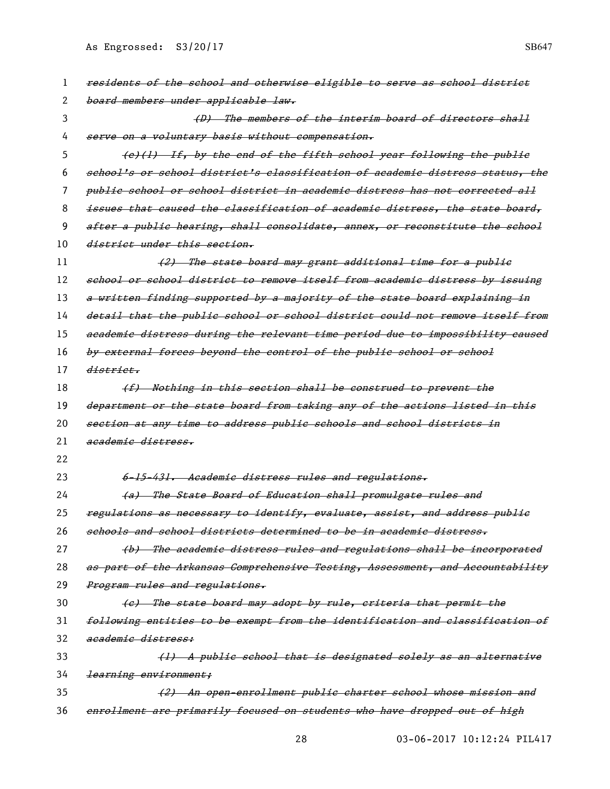| 1  | residents of the school and otherwise eligible to serve as school district    |
|----|-------------------------------------------------------------------------------|
| 2  | board members under applicable law.                                           |
| 3  | (D) The members of the interim board of directors shall                       |
| 4  | serve on a voluntary basis without compensation.                              |
| 5  | (e)(1) If, by the end of the fifth school year following the public           |
| 6  | school's or school district's classification of academic distress status, the |
| 7  | publie school or school district in academic distress has not corrected all   |
| 8  | issues that caused the classification of academic distress, the state board,  |
| 9  | after a public hearing, shall consolidate, annex, or reconstitute the school  |
| 10 | district under this section.                                                  |
| 11 | (2) The state board may grant additional time for a public                    |
| 12 | school or school district to remove itself from academic distress by issuing  |
| 13 | a written finding supported by a majority of the state board explaining in    |
| 14 | detail that the public school or school district could not remove itself from |
| 15 | academic distress during the relevant time period due to impossibility caused |
| 16 | by external forces beyond the control of the public school or school          |
| 17 | <del>district.</del>                                                          |
| 18 | (f) Nothing in this section shall be construed to prevent the                 |
| 19 | department or the state board from taking any of the actions listed in this   |
| 20 | section at any time to address public schools and school districts in         |
| 21 | academic distress.                                                            |
| 22 |                                                                               |
| 23 | 6-15-431. Academic distress rules and regulations.                            |
| 24 | (a) The State Board of Education shall promulgate rules and                   |
| 25 | regulations as necessary to identify, evaluate, assist, and address public    |
| 26 | schools and school districts determined to be in academic distress.           |
| 27 | (b) The academic distress rules and regulations shall be incorporated         |
| 28 | as part of the Arkansas Comprehensive Testing, Assessment, and Accountability |
| 29 | Program rules and regulations.                                                |
| 30 | (e) The state board may adopt by rule, criteria that permit the               |
| 31 | following entities to be exempt from the identification and classification of |
| 32 | academic distress:                                                            |
| 33 | (1) A public school that is designated solely as an alternative               |
| 34 | learning environment;                                                         |
| 35 | (2) An open-enrollment public charter school whose mission and                |
| 36 | enrollment are primarily focused on students who have dropped out of high     |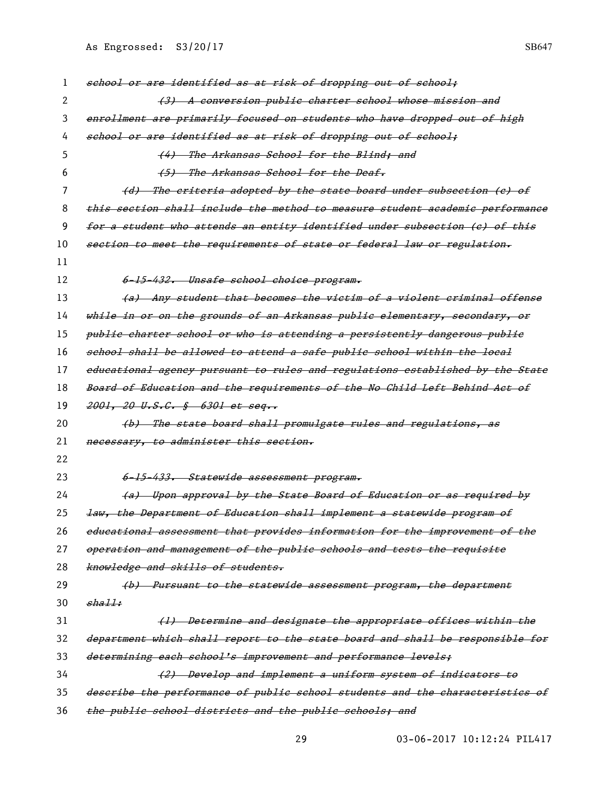| 1  | school or are identified as at risk of dropping out of school;                |
|----|-------------------------------------------------------------------------------|
| 2  | (3) A conversion public charter school whose mission and                      |
| 3  | enrollment are primarily focused on students who have dropped out of high     |
| 4  | school or are identified as at risk of dropping out of school;                |
| 5  | (4) The Arkansas School for the Blind; and                                    |
| 6  | (5) The Arkansas School for the Deaf.                                         |
| 7  | (d) The criteria adopted by the state board under subsection (c) of           |
| 8  | this section shall include the method to measure student academic performance |
| 9  | for a student who attends an entity identified under subsection (e) of this   |
| 10 | section to meet the requirements of state or federal law or regulation.       |
| 11 |                                                                               |
| 12 | 6-15-432. Unsafe school choice program.                                       |
| 13 | (a) Any student that becomes the vietim of a violent criminal offense         |
| 14 | while in or on the grounds of an Arkansas public elementary, secondary, or    |
| 15 | publie charter school or who is attending a persistently dangerous publie     |
| 16 | school shall be allowed to attend a safe public school within the local       |
| 17 | educational agency pursuant to rules and regulations established by the State |
| 18 | Board of Education and the requirements of the No Child Left Behind Act of    |
|    |                                                                               |
| 19 | 2001, 20 U.S.C. § 6301 et seq                                                 |
| 20 | (b) The state board shall promulgate rules and regulations, as                |
| 21 | necessary, to administer this section.                                        |
| 22 |                                                                               |
| 23 | 6-15-433. Statewide assessment program.                                       |
| 24 | (a) Upon approval by the State Board of Education or as required by           |
| 25 | law, the Department of Education shall implement a statewide program of       |
| 26 | educational assessment that provides information for the improvement of the   |
| 27 | operation and management of the public schools and tests the requisite        |
| 28 | knowledge and skills of students.                                             |
| 29 | (b) Pursuant to the statewide assessment program, the department              |
| 30 | shall:                                                                        |
| 31 | (1) Determine and designate the appropriate offices within the                |
| 32 | department which shall report to the state board and shall be responsible for |
| 33 | determining each school's improvement and performance levels;                 |
| 34 | (2) Develop and implement a uniform system of indicators to                   |
| 35 | describe the performance of public school students and the characteristics of |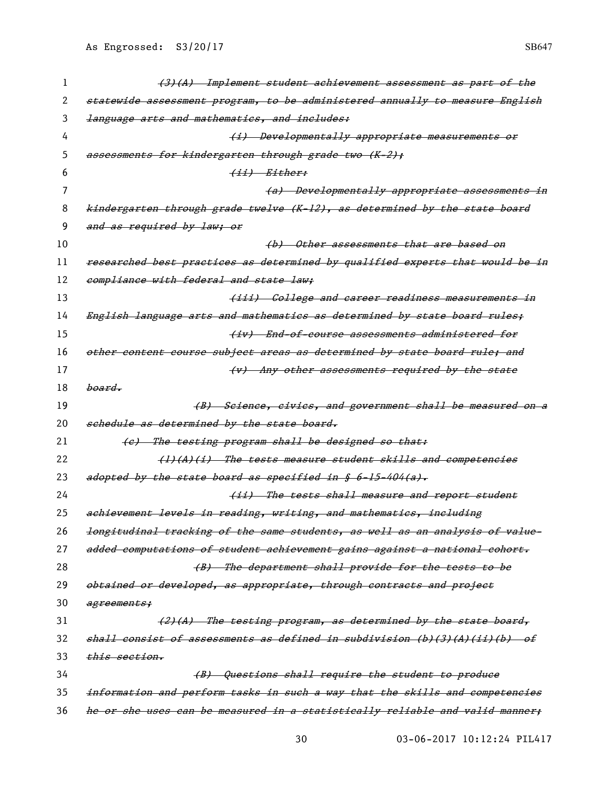| 1  | (3)(A) Implement student achievement assessment as part of the                |
|----|-------------------------------------------------------------------------------|
| 2  | statewide assessment program, to be administered annually to measure English  |
| 3  | language arts and mathematics, and includes:                                  |
| 4  | (i) Developmentally appropriate measurements or                               |
| 5  | assessments for kindergarten through grade two (K-2);                         |
| 6  | <del>(ii) Either:</del>                                                       |
| 7  | (a) Developmentally appropriate assessments in                                |
| 8  | kindergarten through grade twelve (K-12), as determined by the state board    |
| 9  | and as required by law; or                                                    |
| 10 | (b) Other assessments that are based on                                       |
| 11 | researched best practices as determined by qualified experts that would be in |
| 12 | compliance with federal and state law;                                        |
| 13 | (iii) College and career readiness measurements in                            |
| 14 | English language arts and mathematies as determined by state board rules;     |
| 15 | (iv) End-of-course assessments administered for                               |
| 16 | other content course subject areas as determined by state board rule; and     |
| 17 | (v) Any other assessments required by the state                               |
| 18 | <del>board.</del>                                                             |
| 19 | (B) Seienee, eivies, and government shall be measured on a                    |
| 20 | schedule as determined by the state board.                                    |
| 21 | (e) The testing program shall be designed so that:                            |
| 22 | $(1)$ $(1)$ $(1)$ The tests measure student skills and competencies           |
| 23 | adopted by the state board as specified in § 6-15-404(a).                     |
| 24 | (ii) The tests shall measure and report student                               |
| 25 | achievement levels in reading, writing, and mathematics, including            |
| 26 | longitudinal tracking of the same students, as well as an analysis of value-  |
| 27 | added computations of student achievement gains against a national cohort.    |
| 28 | (B) The department shall provide for the tests to be                          |
| 29 | obtained or developed, as appropriate, through contracts and project          |
| 30 | agreements;                                                                   |
| 31 | The testing program, as determined by the state board,<br><del>(2) (A)</del>  |
| 32 | shall consist of assessments as defined in subdivision (b)(3)(A)(ii)(b) of    |
| 33 | <del>this section.</del>                                                      |
| 34 | (B) Questions shall require the student to produce                            |
| 35 | information and perform tasks in such a way that the skills and competencies  |
| 36 | he or she uses can be measured in a statistically reliable and valid manner;  |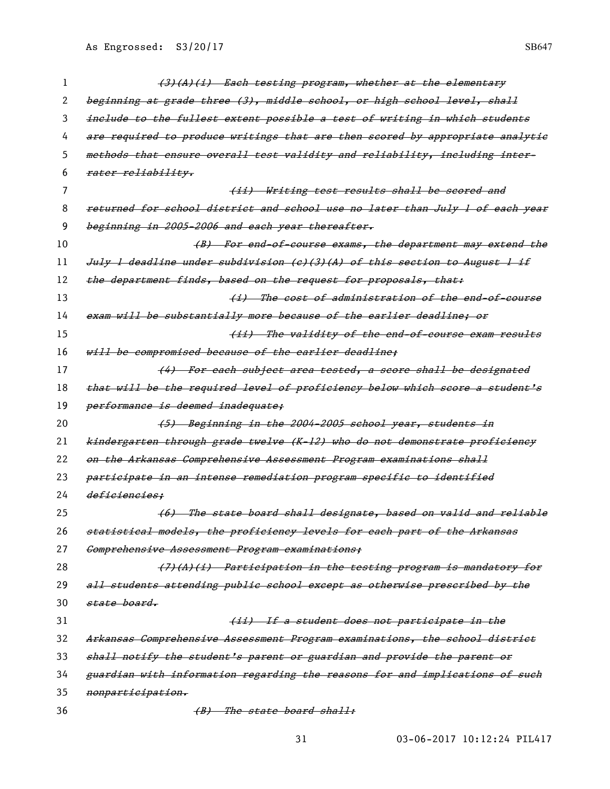| 1        | (3)(A)(i) Each testing program, whether at the elementary                     |
|----------|-------------------------------------------------------------------------------|
| 2        | beginning at grade three (3), middle school, or high school level, shall      |
| 3        | include to the fullest extent possible a test of writing in which students    |
| 4        | are required to produce writings that are then scored by appropriate analytie |
| 5        | methods that ensure overall test validity and reliability, including inter-   |
| 6        | rater reliability.                                                            |
| $\prime$ | (ii) Writing test results shall be scored and                                 |
| 8        | returned for school district and school use no later than July 1 of each year |
| 9        | beginning in 2005-2006 and each year thereafter.                              |
| 10       | (B) For end of course exams, the department may extend the                    |
| 11       | July 1 deadline under subdivision (e)(3)(A) of this section to August 1 if    |
| 12       | the department finds, based on the request for proposals, that:               |
| 13       | <del>(i) The cost of administration of the end-of-course</del>                |
| 14       | exam will be substantially more because of the earlier deadline; or           |
| 15       | (ii) The validity of the end-of-course exam results                           |
| 16       | will be compromised because of the earlier deadline;                          |
| 17       | (4) For each subject area tested, a seore shall be designated                 |
| 18       | that will be the required level of proficiency below which score a student's  |
| 19       | performance is deemed inadequate;                                             |
| 20       | (5) Beginning in the 2004-2005 school year, students in                       |
| 21       | kindergarten through grade twelve (K-12) who do not demonstrate proficiency   |
| 22       | on the Arkansas Comprehensive Assessment Program examinations shall           |
| 23       | participate in an intense remediation program specific to identified          |
| 24       | deficiencies:                                                                 |
| 25       | (6) The state board shall designate, based on valid and reliable              |
| 26       | statistical models, the proficiency levels for each part of the Arkansas      |
| 27       | Comprehensive Assessment Program examinations;                                |
| 28       | $(7)$ $(4)$ $(1)$ Participation in the testing program is mandatory for       |
| 29       | all students attending publie school except as otherwise prescribed by the    |
| 30       | state board.                                                                  |
| 31       | (ii) If a student does not participate in the                                 |
| 32       | Arkansas Comprehensive Assessment Program examinations, the school district   |
| 33       | shall notify the student's parent or guardian and provide the parent or       |
| 34       |                                                                               |
|          | guardian with information regarding the reasons for and implications of such  |
| 35       | nonparticipation.                                                             |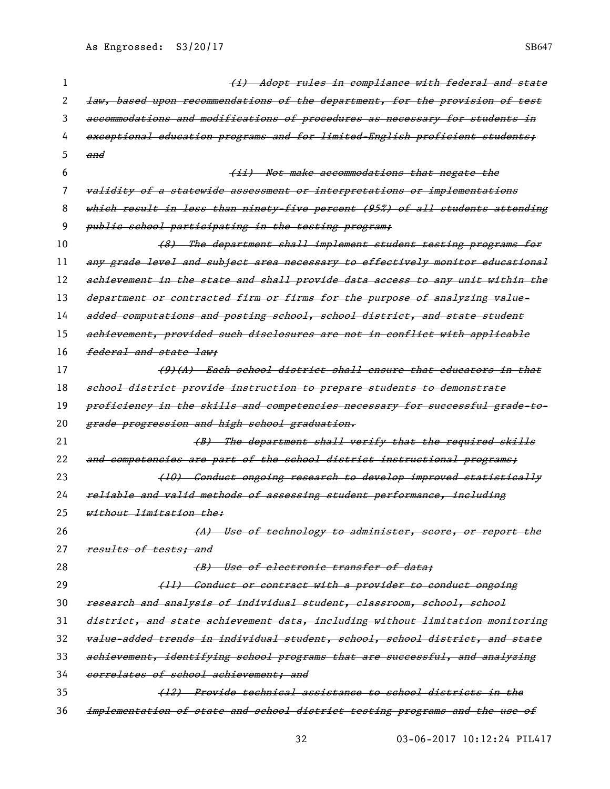|    | (i) Adopt rules in compliance with federal and state                          |
|----|-------------------------------------------------------------------------------|
| 2  | law, based upon recommendations of the department, for the provision of test  |
| 3  | aecommodations and modifications of procedures as necessary for students in   |
| 4  | exceptional education programs and for limited English proficient students;   |
| 5  | and                                                                           |
| 6  | (ii) Not make accommodations that negate the                                  |
| 7  | validity of a statewide assessment or interpretations or implementations      |
| 8  | which result in less than ninety-five percent (95%) of all students attending |
| 9  | public school participating in the testing program;                           |
| 10 | (8) The department shall implement student testing programs for               |
| 11 | any grade level and subject area necessary to effectively monitor educational |
| 12 | achievement in the state and shall provide data access to any unit within the |
| 13 | department or contracted firm or firms for the purpose of analyzing value-    |
| 14 | added computations and posting school, school district, and state student     |
| 15 | achievement, provided such disclosures are not in conflict with applicable    |
| 16 | federal and state law:                                                        |
| 17 | (9)(A) Each school district shall ensure that educators in that               |
| 18 | school district provide instruction to prepare students to demonstrate        |
| 19 | proficiency in the skills and competencies necessary for successful grade-to- |
| 20 | grade progression and high school graduation.                                 |
| 21 | (B) The department shall verify that the required skills                      |
| 22 | and competencies are part of the school district instructional programs:      |
| 23 | (10) Conduct ongoing research to develop improved statistically               |
| 24 | reliable and valid methods of assessing student performance, including        |
| 25 | without limitation the:                                                       |
| 26 | (A) Use of technology to administer, score, or report the                     |
| 27 | results of tests; and                                                         |
| 28 | (B) Use of electronic transfer of data;                                       |
| 29 | (11) Conduct or contract with a provider to conduct ongoing                   |
| 30 | research and analysis of individual student, classroom, school, school        |
| 31 | district, and state achievement data, including without limitation monitoring |
| 32 | value-added trends in individual student, school, school district, and state  |
| 33 | achievement, identifying school programs that are successful, and analyzing   |
| 34 | correlates of school achievement; and                                         |
| 35 | (12) Provide technical assistance to school districts in the                  |
| 36 | implementation of state and school district testing programs and the use of   |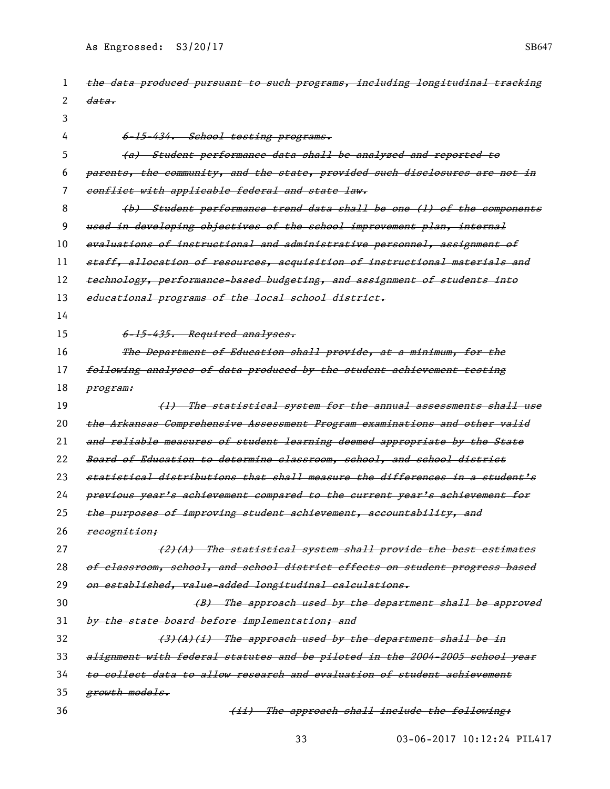| 1  | the data produced pursuant to such programs, including longitudinal tracking |
|----|------------------------------------------------------------------------------|
| 2  | <del>data.</del>                                                             |
| 3  |                                                                              |
| 4  | 6-15-434. School testing programs.                                           |
| 5  | (a) Student performance data shall be analyzed and reported to               |
| 6  | parents, the community, and the state, provided such disclosures are not in  |
| 7  | conflict with applicable federal and state law.                              |
| 8  | (b) Student performance trend data shall be one (1) of the components        |
| 9  | used in developing objectives of the school improvement plan, internal       |
| 10 | evaluations of instructional and administrative personnel, assignment of     |
| 11 | staff, allocation of resources, acquisition of instructional materials and   |
| 12 | technology, performance-based budgeting, and assignment of students into     |
| 13 | educational programs of the local school district.                           |
| 14 |                                                                              |
| 15 | 6-15-435. Required analyses.                                                 |
| 16 | The Department of Education shall provide, at a minimum, for the             |
| 17 | following analyses of data produced by the student achievement testing       |
| 18 | program:                                                                     |
| 19 | (1) The statistical system for the annual assessments shall use              |
| 20 | the Arkansas Comprehensive Assessment Program examinations and other valid   |
| 21 | and reliable measures of student learning deemed appropriate by the State    |
| 22 | Board of Education to determine classroom, school, and school district       |
| 23 | statistical distributions that shall measure the differences in a student's  |
| 24 | previous year's achievement compared to the current year's achievement for   |
| 25 | the purposes of improving student achievement, accountability, and           |
| 26 | recognition;                                                                 |
| 27 | (2)(A) The statistical system shall provide the best estimates               |
| 28 | of classroom, school, and school district effects on student progress based  |
| 29 | on established, value-added longitudinal calculations.                       |
| 30 | (B) The approach used by the department shall be approved                    |
| 31 | by the state board before implementation; and                                |
| 32 | $(3)$ $(A)$ $(i)$ The approach used by the department shall be in            |
| 33 | alignment with federal statutes and be piloted in the 2004-2005 school year  |
| 34 | to collect data to allow research and evaluation of student achievement      |
| 35 | growth models.                                                               |
| 36 | (ii) The approach shall include the following:                               |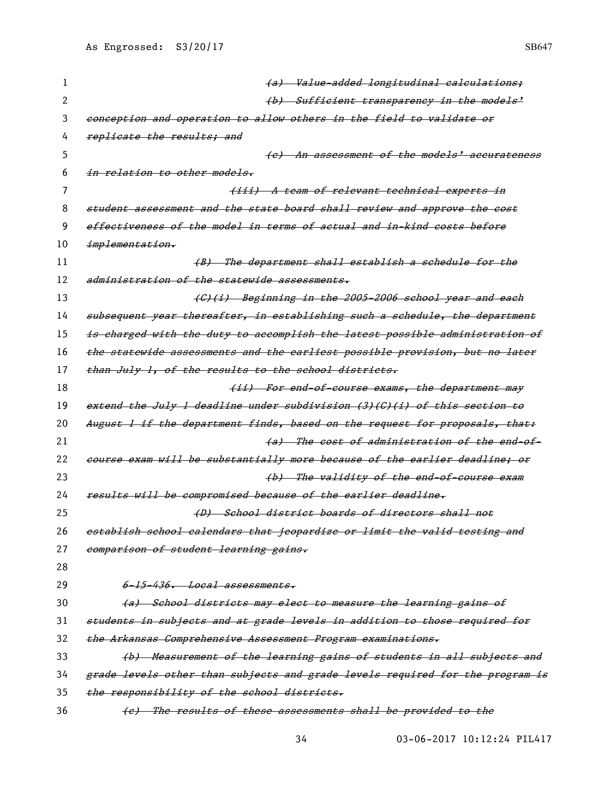| 1  | (a) Value-added longitudinal calculations;                                    |
|----|-------------------------------------------------------------------------------|
| 2  | (b) Sufficient transparency in the models'                                    |
| 3  | conception and operation to allow others in the field to validate or          |
| 4  | replicate the results; and                                                    |
| 5  | (e) An assessment of the models' accurateness                                 |
| 6  | $in$ relation to other models.                                                |
| 7  | (iii) A team of relevant technical experts in                                 |
| 8  | student assessment and the state board shall review and approve the cost      |
| 9  | effectiveness of the model in terms of actual and in-kind costs before        |
| 10 | implementation.                                                               |
| 11 | (B) The department shall establish a schedule for the                         |
| 12 | administration of the statewide assessments.                                  |
| 13 | (G)(i) Beginning in the 2005-2006 school year and each                        |
| 14 | subsequent year thereafter, in establishing such a schedule, the department   |
| 15 | is charged with the duty to accomplish the latest possible administration of  |
| 16 | the statewide assessments and the earliest possible provision, but no later   |
| 17 | than July 1, of the results to the school districts.                          |
| 18 | (ii) For end-of-course exams, the department may                              |
| 19 | extend the July 1 deadline under subdivision (3)(G)(i) of this section to     |
| 20 | August 1 if the department finds, based on the request for proposals, that:   |
| 21 | (a) The cost of administration of the end-of-                                 |
| 22 | course exam will be substantially more because of the earlier deadline; or    |
| 23 | (b) The validity of the end-of-course exam                                    |
| 24 | results will be compromised because of the earlier deadline.                  |
| 25 | (D) School district boards of directors shall not                             |
| 26 | establish school calendars that jeopardize or limit the valid testing and     |
| 27 | comparison of student learning gains.                                         |
| 28 |                                                                               |
| 29 | 6-15-436. Local assessments.                                                  |
| 30 | (a) School districts may elect to measure the learning gains of               |
| 31 | students in subjects and at grade levels in addition to those required for    |
| 32 | the Arkansas Comprehensive Assessment Program examinations.                   |
| 33 | (b) Measurement of the learning gains of students in all subjects and         |
| 34 | grade levels other than subjects and grade levels required for the program is |
| 35 | the responsibility of the school districts.                                   |
| 36 | (c) The results of these assessments shall be provided to the                 |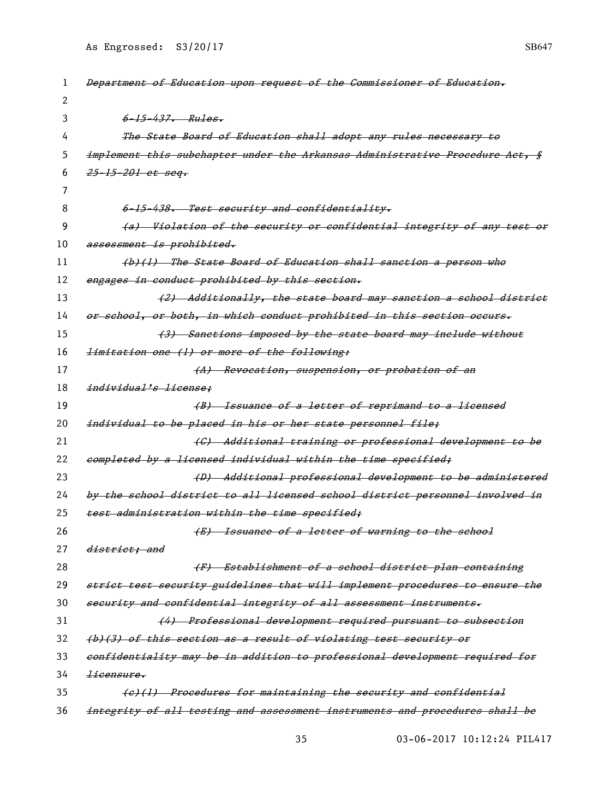| 1  | Department of Education upon request of the Commissioner of Education.       |
|----|------------------------------------------------------------------------------|
| 2  |                                                                              |
| 3  | $6 - 15 - 437$ . $Rules.$                                                    |
| 4  | The State Board of Education shall adopt any rules necessary to              |
| 5  | implement this subchapter under the Arkansas Administrative Procedure Act, § |
| 6  | <del>25-15-201 et seq.</del>                                                 |
| 7  |                                                                              |
| 8  | 6-15-438. Test security and confidentiality.                                 |
| 9  | (a) Violation of the security or confidential integrity of any test or       |
| 10 | assessment is prohibited.                                                    |
| 11 | (b)(1) The State Board of Education shall sanction a person who              |
| 12 | engages in conduct prohibited by this section.                               |
| 13 | (2) Additionally, the state board may sanetion a school district             |
| 14 | or school, or both, in which conduct prohibited in this section occurs.      |
| 15 | (3) Sanctions imposed by the state board may include without                 |
| 16 | <i>limitation one (1) or more of the following:</i>                          |
| 17 | (A) Revocation, suspension, or probation of an                               |
| 18 | individual's license;                                                        |
| 19 | (B) Issuance of a letter of reprimand to a licensed                          |
| 20 | individual to be placed in his or her state personnel file;                  |
| 21 | (C) Additional training or professional development to be                    |
| 22 | completed by a licensed individual within the time specified;                |
| 23 | (D) Additional professional development to be administered                   |
| 24 | by the school district to all licensed school district personnel involved in |
| 25 | test administration within the time specified;                               |
| 26 | (E) Issuance of a letter of warning to the school                            |
| 27 | district; and                                                                |
| 28 | (F) Establishment of a school district plan containing                       |
| 29 | strict test security guidelines that will implement procedures to ensure the |
| 30 | security and confidential integrity of all assessment instruments.           |
| 31 | (4) Professional development required pursuant to subsection                 |
| 32 | (b)(3) of this section as a result of violating test security or             |
| 33 | confidentiality may be in addition to professional development required for  |
| 34 | licensure.                                                                   |
| 35 | (e)(1) Procedures for maintaining the security and confidential              |
| 36 | integrity of all testing and assessment instruments and procedures shall be  |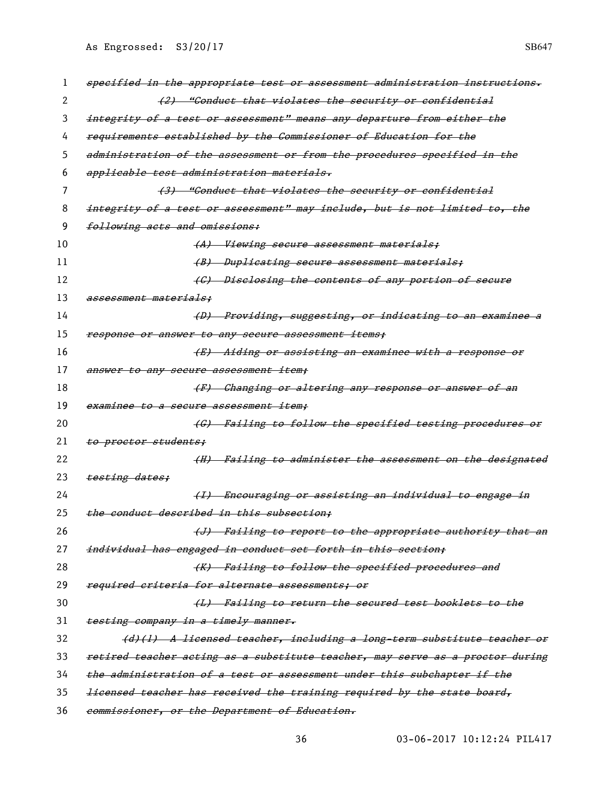| 1  | specified in the appropriate test or assessment administration instructions.   |
|----|--------------------------------------------------------------------------------|
| 2  | (2) "Conduct that violates the security or confidential                        |
| 3  | integrity of a test or assessment" means any departure from either the         |
| 4  | requirements established by the Commissioner of Education for the              |
| 5  | administration of the assessment or from the procedures specified in the       |
| 6  | applicable test administration materials.                                      |
| 7  | (3) "Conduct that violates the security or confidential                        |
| 8  | integrity of a test or assessment" may include, but is not limited to, the     |
| 9  | following acts and omissions:                                                  |
| 10 | (A) Viewing secure assessment materials;                                       |
| 11 | (B) Duplicating secure assessment materials;                                   |
| 12 | (C) Diselosing the contents of any portion of secure                           |
| 13 | <del>assessment materials:</del>                                               |
| 14 | (D) Providing, suggesting, or indicating to an examinee a                      |
| 15 | response or answer to any secure assessment items;                             |
| 16 | (E) Aiding or assisting an examinee with a response or                         |
| 17 | answer to any secure assessment item;                                          |
| 18 | (F) Changing or altering any response or answer of an                          |
| 19 | <del>examinee to a secure assessment item:</del>                               |
| 20 | (G) Failing to follow the specified testing procedures or                      |
| 21 | to proctor students:                                                           |
| 22 | (H) Failing to administer the assessment on the designated                     |
| 23 | testing dates;                                                                 |
| 24 | (I) Encouraging or assisting an individual to engage in                        |
| 25 | the conduct described in this subsection;                                      |
| 26 | (J) Failing to report to the appropriate authority that an                     |
| 27 | individual has engaged in conduct set forth in this section;                   |
| 28 | (K) Failing to follow the specified procedures and                             |
| 29 | required criteria for alternate assessments; or                                |
| 30 | (L) Failing to return the secured test booklets to the                         |
| 31 | testing company in a timely manner.                                            |
| 32 | (d)(l) A licensed teacher, including a long-term substitute teacher or         |
| 33 | retired teacher acting as a substitute teacher, may serve as a proctor during  |
| 34 | the administration of a test or assessment under this subchapter if the        |
| 35 | <i>licensed teacher has received the training required by the state board,</i> |
| 36 | commissioner, or the Department of Education.                                  |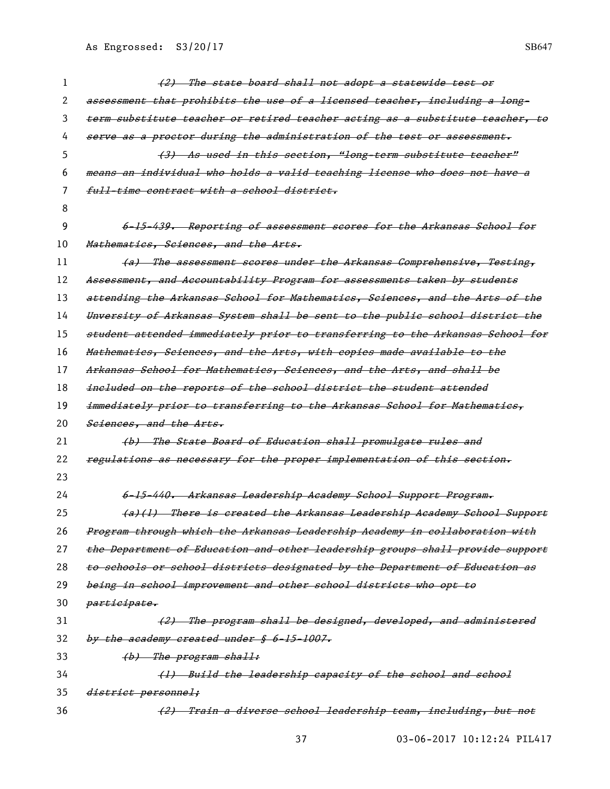8

23

2 assessment that prohibits the use of a licensed teacher, including a long-3 term substitute teacher or retired teacher acting as a substitute teacher, to 4 serve as a proctor during the administration of the test or assessment. 5 (3) As used in this section, "long-term substitute teacher" 6 means an individual who holds a valid teaching license who does not have a 7 full-time contract with a school district. 9 6-15-439. Reporting of assessment scores for the Arkansas School for 10 Mathematics, Sciences, and the Arts. 11 (a) The assessment scores under the Arkansas Comprehensive, Testing, 12 Assessment, and Accountability Program for assessments taken by students 13 attending the Arkansas School for Mathematics, Sciences, and the Arts of the 14 Unversity of Arkansas System shall be sent to the public school district the 15 student attended immediately prior to transferring to the Arkansas School for 16 Mathematics, Sciences, and the Arts, with copies made available to the 17 Arkansas School for Mathematics, Sciences, and the Arts, and shall be 18 *included on the reports of the school district the student attended* 19 immediately prior to transferring to the Arkansas School for Mathematics, 20 Sciences, and the Arts. 21 (b) The State Board of Education shall promulgate rules and 22 regulations as necessary for the proper implementation of this section. 24 6-15-440. Arkansas Leadership Academy School Support Program. 25 (a)(1) There is created the Arkansas Leadership Academy School Support 26 Program through which the Arkansas Leadership Academy in collaboration with 27 the Department of Education and other leadership groups shall provide support 28 to schools or school districts designated by the Department of Education as 29 being in school improvement and other school districts who opt to 30 *participate.* 31 (2) The program shall be designed, developed, and administered  $32$  by the academy created under  $$6-15-1007$ . 33  $(b)$  The program shall: 34 (1) Build the leadership capacity of the school and school 35 *district personnel;* 36 (2) Train a diverse school leadership team, including, but not

1 (2) The state board shall not adopt a statewide test or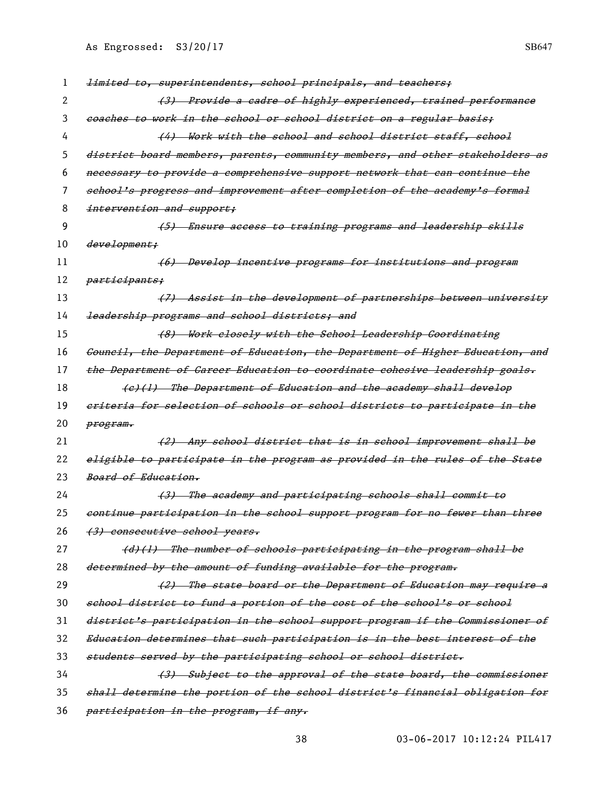| ı  | <del>limited to, superintendents, school principals, and teachers;</del>      |
|----|-------------------------------------------------------------------------------|
| 2  | (3) Provide a cadre of highly experienced, trained performance                |
| 3  | eoaches to work in the school or school district on a regular basis;          |
| 4  | (4) Work with the school and school district staff, school                    |
| 5  | district board members, parents, community members, and other stakeholders as |
| 6  | necessary to provide a comprehensive support network that can continue the    |
| 7  | school's progress and improvement after completion of the academy's formal    |
| 8  | intervention and support;                                                     |
| 9  | <del>(5) Ensure access to training programs and leadership skills</del>       |
| 10 | development;                                                                  |
| 11 | (6) Develop incentive programs for institutions and program                   |
| 12 | <del>participants;</del>                                                      |
| 13 | (7) Assist in the development of partnerships between university              |
| 14 | leadership programs and school districts; and                                 |
| 15 | (8) Work closely with the School Leadership Coordinating                      |
| 16 | Council, the Department of Education, the Department of Higher Education, and |
| 17 | the Department of Career Education to coordinate cohesive leadership goals.   |
| 18 | (e)(1) The Department of Education and the academy shall develop              |
| 19 | eriteria for selection of schools or school districts to participate in the   |
| 20 | <del>program.</del>                                                           |
| 21 | <del>(2) Any school district that is in school improvement shall be</del>     |
| 22 | eligible to participate in the program as provided in the rules of the State  |
| 23 | <del>Board of Education.</del>                                                |
| 24 | (3) The academy and participating schools shall commit to                     |
| 25 | continue participation in the school support program for no fewer than three  |
| 26 | (3) consecutive school years.                                                 |
| 27 | (d)(l) The number of schools participating in the program shall be            |
| 28 | determined by the amount of funding available for the program.                |
| 29 | (2) The state board or the Department of Education may require a              |
| 30 | school district to fund a portion of the cost of the school's or school       |
| 31 | district's participation in the school support program if the Commissioner of |
| 32 | Education determines that such participation is in the best interest of the   |
| 33 | students served by the participating school or school district.               |
| 34 | (3) Subject to the approval of the state board, the commissioner              |
| 35 | shall determine the portion of the school district's financial obligation for |
| 36 | participation in the program, if any.                                         |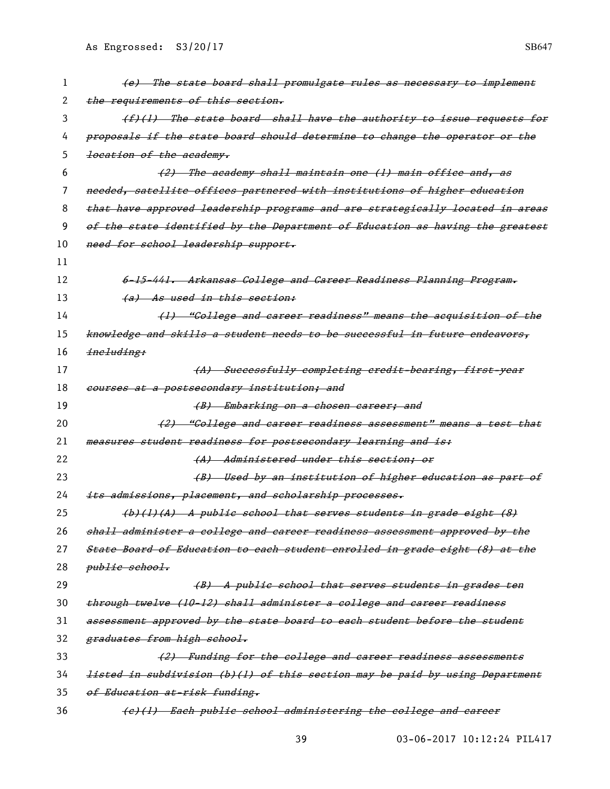| 1  | (e) The state board shall promulgate rules as necessary to implement          |
|----|-------------------------------------------------------------------------------|
| 2  | the requirements of this section.                                             |
| 3  | (f)(1) The state board shall have the authority to issue requests for         |
| 4  | proposals if the state board should determine to change the operator or the   |
| 5. | <del>location of the academy.</del>                                           |
| 6  | (2) The academy shall maintain one (1) main office and, as                    |
| 7  | needed, satellite offices partnered with institutions of higher education     |
| 8  | that have approved leadership programs and are strategically located in areas |
| 9  | of the state identified by the Department of Education as having the greatest |
| 10 | need for school leadership support.                                           |
| 11 |                                                                               |
| 12 | 6-15-441. Arkansas Gollege and Career Readiness Planning Program.             |
| 13 | (a) As used in this section:                                                  |
| 14 | (1) "College and career readiness" means the acquisition of the               |
| 15 | knowledge and skills a student needs to be successful in future endeavors,    |
| 16 | ineluding:                                                                    |
| 17 | (A) Successfully completing credit-bearing, first-year                        |
| 18 | courses at a postsecondary institution; and                                   |
| 19 | (B) Embarking on a chosen career; and                                         |
| 20 | (2) "Gollege and career readiness assessment" means a test that               |
| 21 | measures student readiness for postsecondary learning and is:                 |
| 22 | (A) Administered under this section; or                                       |
| 23 | (B) Used by an institution of higher education as part of                     |
| 24 | its admissions, placement, and scholarship processes.                         |
| 25 | $(b)$ (1)(A) A public school that serves students in grade eight (8)          |
| 26 | shall administer a college and career readiness assessment approved by the    |
| 27 | State Board of Education to each student enrolled in grade eight (8) at the   |
| 28 | <i>public school.</i>                                                         |
| 29 | (B) A public school that serves students in grades ten                        |
| 30 | through twelve (10-12) shall administer a college and career readiness        |
| 31 | assessment approved by the state board to each student before the student     |
| 32 | graduates from high school.                                                   |
| 33 | (2) Funding for the college and career readiness assessments                  |
| 34 | listed in subdivision (b)(l) of this section may be paid by using Department  |
| 35 | of Education at-risk funding.                                                 |
| 36 | (e)(1) Each public school administering the college and career                |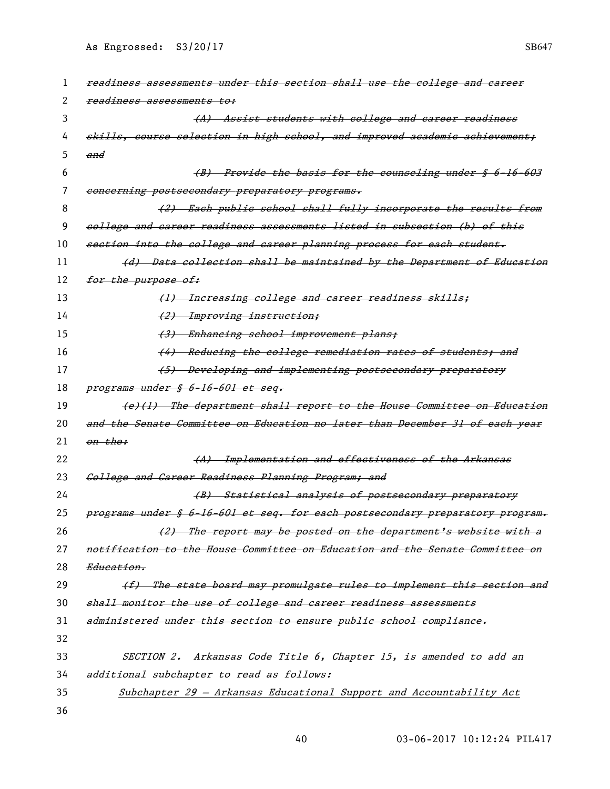| 1  | readiness assessments under this section shall use the college and career     |
|----|-------------------------------------------------------------------------------|
| 2  | readiness assessments to:                                                     |
| 3  | (A) Assist students with college and career readiness                         |
| 4  | skills, course selection in high school, and improved academic achievement;   |
| 5  | and                                                                           |
| 6  | (B) Provide the basis for the counseling under § 6-16-603                     |
| 7  | concerning postsecondary preparatory programs.                                |
| 8  | (2) Each public school shall fully incorporate the results from               |
| 9  | eollege and career readiness assessments listed in subsection (b) of this     |
| 10 | section into the college and career planning process for each student.        |
| 11 | (d) Data collection shall be maintained by the Department of Education        |
| 12 | for the purpose of:                                                           |
| 13 | (1) Increasing college and career readiness skills;                           |
| 14 | (2) Improving instruction;                                                    |
| 15 | (3) Enhancing school improvement plans;                                       |
| 16 | (4) Reducing the college remediation rates of students; and                   |
| 17 | (5) Developing and implementing postsecondary preparatory                     |
| 18 | programs under § 6-16-601 et seq.                                             |
| 19 | (e)(1) The department shall report to the House Committee on Education        |
| 20 | and the Senate Committee on Education no later than December 31 of each year  |
| 21 | <del>on the:</del>                                                            |
| 22 | (A) Implementation and effectiveness of the Arkansas                          |
| 23 | College and Career Readiness Planning Program; and                            |
| 24 | (B) Statistical analysis of postsecondary preparatory                         |
| 25 | programs under § 6-16-601 et seq. for each postsecondary preparatory program. |
| 26 | (2) The report may be posted on the department's website with a               |
| 27 | notification to the House Committee on Education and the Senate Committee on  |
| 28 | <i>Education.</i>                                                             |
| 29 | (f) The state board may promulgate rules to implement this section and        |
| 30 | shall monitor the use of college and career readiness assessments             |
| 31 | administered under this section to ensure public school compliance.           |
| 32 |                                                                               |
| 33 | SECTION 2. Arkansas Code Title 6, Chapter 15, is amended to add an            |
| 34 | additional subchapter to read as follows:                                     |
| 35 | Subchapter 29 - Arkansas Educational Support and Accountability Act           |
| 36 |                                                                               |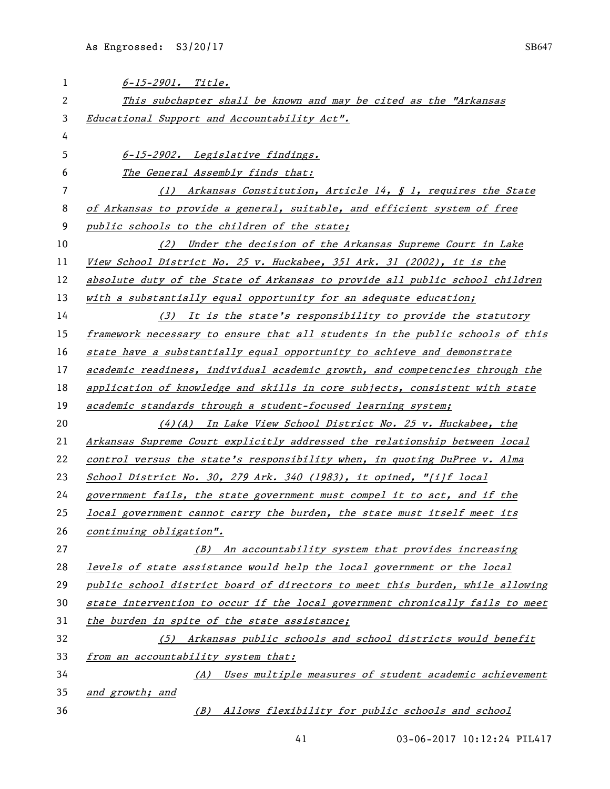| 1  | $6 - 15 - 2901$ . Title.                                                      |
|----|-------------------------------------------------------------------------------|
| 2  | This subchapter shall be known and may be cited as the "Arkansas              |
| 3  | Educational Support and Accountability Act".                                  |
| 4  |                                                                               |
| 5  | 6-15-2902. Legislative findings.                                              |
| 6  | The General Assembly finds that:                                              |
| 7  | (1) Arkansas Constitution, Article 14, $\oint$ 1, requires the State          |
| 8  | of Arkansas to provide a general, suitable, and efficient system of free      |
| 9  | public schools to the children of the state;                                  |
| 10 | (2) Under the decision of the Arkansas Supreme Court in Lake                  |
| 11 | View School District No. 25 v. Huckabee, 351 Ark. 31 (2002), it is the        |
| 12 | absolute duty of the State of Arkansas to provide all public school children  |
| 13 | with a substantially equal opportunity for an adequate education;             |
| 14 | (3) It is the state's responsibility to provide the statutory                 |
| 15 | framework necessary to ensure that all students in the public schools of this |
| 16 | state have a substantially equal opportunity to achieve and demonstrate       |
| 17 | academic readiness, individual academic growth, and competencies through the  |
| 18 | application of knowledge and skills in core subjects, consistent with state   |
| 19 | academic standards through a student-focused learning system;                 |
| 20 | $(4)$ (A) In Lake View School District No. 25 v. Huckabee, the                |
| 21 | Arkansas Supreme Court explicitly addressed the relationship between local    |
| 22 | control versus the state's responsibility when, in quoting DuPree v. Alma     |
| 23 | School District No. 30, 279 Ark. 340 (1983), it opined, "[i]f local           |
| 24 | government fails, the state government must compel it to act, and if the      |
| 25 | local government cannot carry the burden, the state must itself meet its      |
| 26 | continuing obligation".                                                       |
| 27 | (B) An accountability system that provides increasing                         |
| 28 | levels of state assistance would help the local government or the local       |
| 29 | public school district board of directors to meet this burden, while allowing |
| 30 | state intervention to occur if the local government chronically fails to meet |
| 31 | the burden in spite of the state assistance;                                  |
| 32 | (5) Arkansas public schools and school districts would benefit                |
| 33 | from an accountability system that:                                           |
| 34 | (A) Uses multiple measures of student academic achievement                    |
| 35 | and growth; and                                                               |
| 36 | (B) Allows flexibility for public schools and school                          |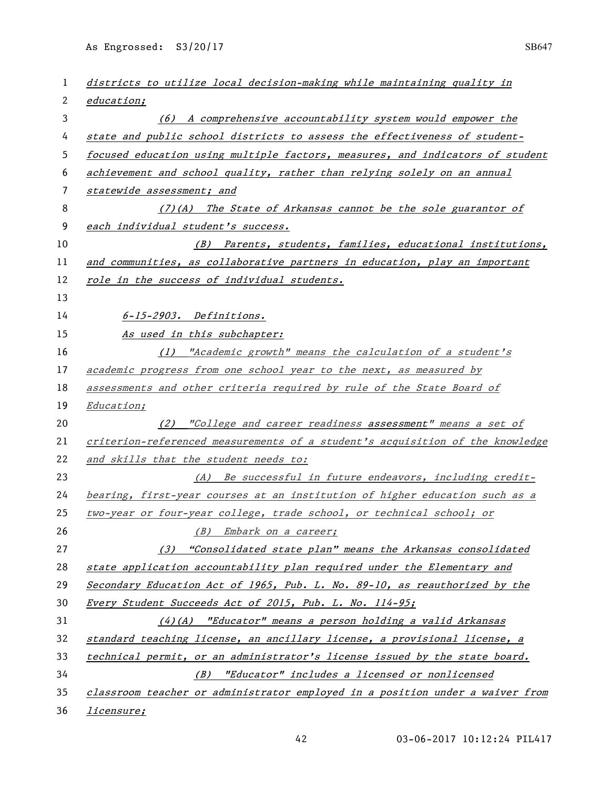| 1  | districts to utilize local decision-making while maintaining quality in       |
|----|-------------------------------------------------------------------------------|
| 2  | <i>education;</i>                                                             |
| 3  | (6) A comprehensive accountability system would empower the                   |
| 4  | state and public school districts to assess the effectiveness of student-     |
| 5  | focused education using multiple factors, measures, and indicators of student |
| 6  | achievement and school quality, rather than relying solely on an annual       |
| 7  | statewide assessment; and                                                     |
| 8  | $(7)$ (A) The State of Arkansas cannot be the sole guarantor of               |
| 9  | each individual student's success.                                            |
| 10 | (B) Parents, students, families, educational institutions,                    |
| 11 | and communities, as collaborative partners in education, play an important    |
| 12 | role in the success of individual students.                                   |
| 13 |                                                                               |
| 14 | 6-15-2903. Definitions.                                                       |
| 15 | As used in this subchapter:                                                   |
| 16 | (1) "Academic growth" means the calculation of a student's                    |
| 17 | academic progress from one school year to the next, as measured by            |
| 18 | assessments and other criteria required by rule of the State Board of         |
| 19 | <i>Education;</i>                                                             |
| 20 | (2) "College and career readiness assessment" means a set of                  |
| 21 | criterion-referenced measurements of a student's acquisition of the knowledge |
| 22 | and skills that the student needs to:                                         |
| 23 | (A) Be successful in future endeavors, including credit-                      |
| 24 | bearing, first-year courses at an institution of higher education such as a   |
| 25 | two-year or four-year college, trade school, or technical school; or          |
| 26 | (B) Embark on a career;                                                       |
| 27 | (3) "Consolidated state plan" means the Arkansas consolidated                 |
| 28 | state application accountability plan required under the Elementary and       |
| 29 | Secondary Education Act of 1965, Pub. L. No. 89-10, as reauthorized by the    |
| 30 | Every Student Succeeds Act of 2015, Pub. L. No. 114-95;                       |
| 31 | $(4)(A)$ "Educator" means a person holding a valid Arkansas                   |
| 32 | standard teaching license, an ancillary license, a provisional license, a     |
| 33 | technical permit, or an administrator's license issued by the state board.    |
| 34 | (B) "Educator" includes a licensed or nonlicensed                             |
| 35 | classroom teacher or administrator employed in a position under a waiver from |
| 36 | <i>licensure;</i>                                                             |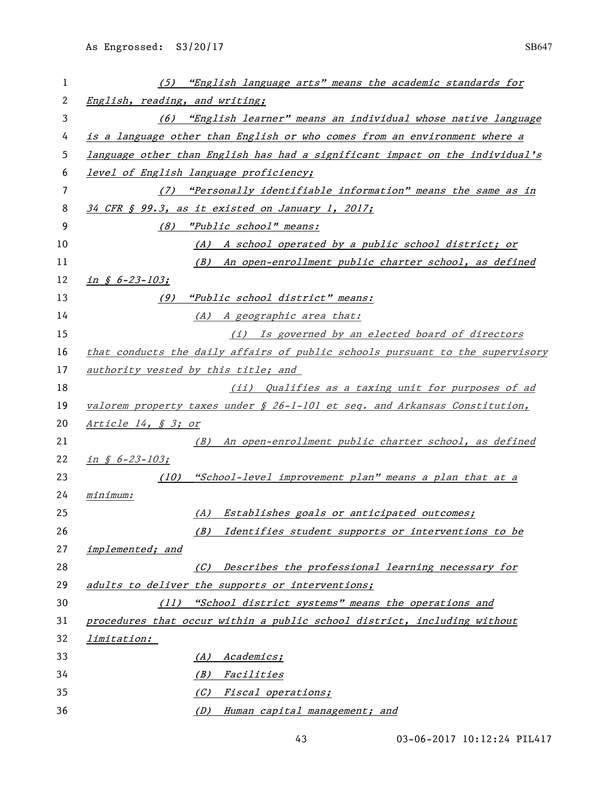| 1  | (5) "English language arts" means the academic standards for                     |
|----|----------------------------------------------------------------------------------|
| 2  | English, reading, and writing;                                                   |
| 3  | (6) "English learner" means an individual whose native language                  |
| 4  | is a language other than English or who comes from an environment where a        |
| 5  | language other than English has had a significant impact on the individual's     |
| 6  | level of English language proficiency;                                           |
| 7  | "Personally identifiable information" means the same as in<br>(7)                |
| 8  | 34 CFR § 99.3, as it existed on January 1, 2017;                                 |
| 9  | (8) "Public school" means:                                                       |
| 10 | (A) A school operated by a public school district; or                            |
| 11 | (B) An open-enrollment public charter school, as defined                         |
| 12 | $in$ $\zeta$ 6-23-103;                                                           |
| 13 | (9) "Public school district" means:                                              |
| 14 | (A) A geographic area that:                                                      |
| 15 | (i) Is governed by an elected board of directors                                 |
| 16 | that conducts the daily affairs of public schools pursuant to the supervisory    |
| 17 | authority vested by this title; and                                              |
| 18 | (ii) Qualifies as a taxing unit for purposes of ad                               |
| 19 | valorem property taxes under $\oint 26-l-l0l$ et seq. and Arkansas Constitution, |
| 20 | Article 14, § 3; or                                                              |
| 21 | (B) An open-enrollment public charter school, as defined                         |
| 22 | in $$6-23-103;$                                                                  |
| 23 | "School-level improvement plan" means a plan that at a<br>(10)                   |
| 24 | minimum:                                                                         |
| 25 | (A) Establishes goals or anticipated outcomes;                                   |
| 26 | Identifies student supports or interventions to be<br>(B)                        |
| 27 | implemented; and                                                                 |
| 28 | (C) Describes the professional learning necessary for                            |
| 29 | adults to deliver the supports or interventions;                                 |
| 30 | (11) "School district systems" means the operations and                          |
| 31 | procedures that occur within a public school district, including without         |
| 32 | <i>limitation:</i>                                                               |
| 33 | Academics;<br>(A)                                                                |
| 34 | Facilities<br>(B)                                                                |
| 35 | <i>Fiscal operations;</i><br>(C)                                                 |
| 36 | (D)<br>Human capital management; and                                             |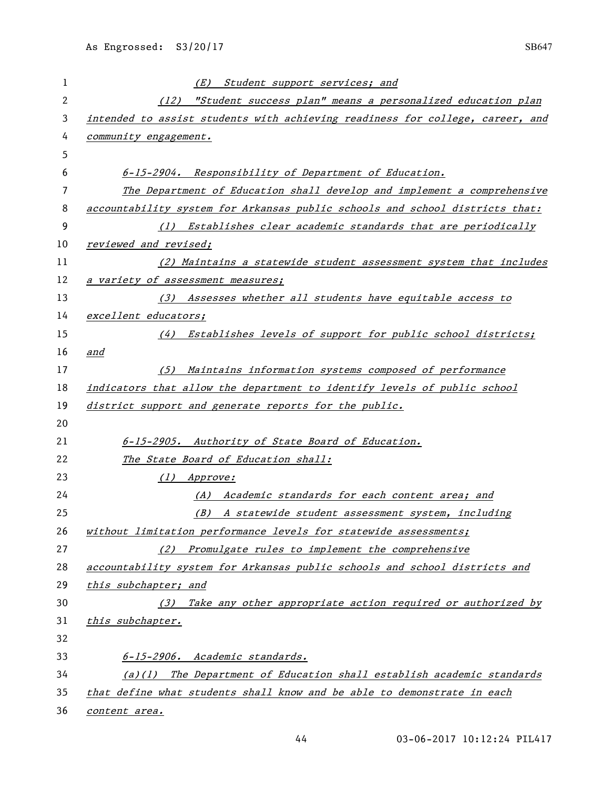| 1            | (E) Student support services; and                                                                  |
|--------------|----------------------------------------------------------------------------------------------------|
| $\mathbf{2}$ | (12) "Student success plan" means a personalized education plan                                    |
| 3            | intended to assist students with achieving readiness for college, career, and                      |
| 4            | community engagement.                                                                              |
| 5            |                                                                                                    |
| 6            | 6-15-2904. Responsibility of Department of Education.                                              |
| 7            | The Department of Education shall develop and implement a comprehensive                            |
| 8            | accountability system for Arkansas public schools and school districts that:                       |
| 9            | (1) Establishes clear academic standards that are periodically                                     |
| 10           | reviewed and revised;                                                                              |
| 11           | (2) Maintains a statewide student assessment system that includes                                  |
| 12           | a variety of assessment measures;                                                                  |
| 13           | (3) Assesses whether all students have equitable access to                                         |
| 14           | excellent educators;                                                                               |
| 15           | (4) Establishes levels of support for public school districts;                                     |
| 16           | and                                                                                                |
| 17           | Maintains information systems composed of performance<br>(5)                                       |
| 18           | indicators that allow the department to identify levels of public school                           |
| 19           | district support and generate reports for the public.                                              |
| 20           |                                                                                                    |
| 21           | 6-15-2905. Authority of State Board of Education.                                                  |
| 22           | The State Board of Education shall:                                                                |
| 23           | (1) Approve:                                                                                       |
| 24           | (A) Academic standards for each content area; and                                                  |
| 25           | (B) A statewide student assessment system, including                                               |
| 26           | without limitation performance levels for statewide assessments;                                   |
| 27<br>28     | (2) Promulgate rules to implement the comprehensive                                                |
| 29           | accountability system for Arkansas public schools and school districts and<br>this subchapter; and |
| 30           | (3) Take any other appropriate action required or authorized by                                    |
| 31           | this subchapter.                                                                                   |
| 32           |                                                                                                    |
| 33           | 6-15-2906. Academic standards.                                                                     |
| 34           | (a)(1) The Department of Education shall establish academic standards                              |
| 35           | that define what students shall know and be able to demonstrate in each                            |
| 36           | content area.                                                                                      |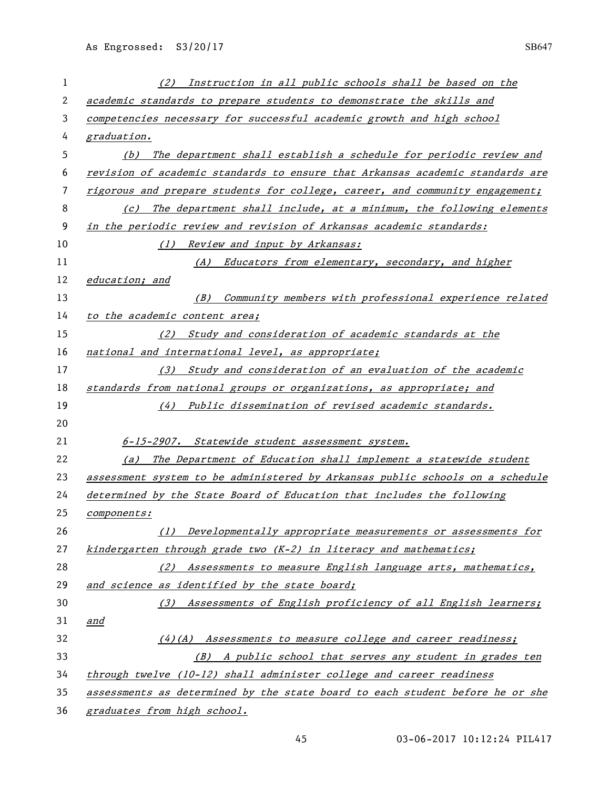| 1  | Instruction in all public schools shall be based on the<br>(2)                |
|----|-------------------------------------------------------------------------------|
| 2  | academic standards to prepare students to demonstrate the skills and          |
| 3  | competencies necessary for successful academic growth and high school         |
| 4  | graduation.                                                                   |
| 5  | (b) The department shall establish a schedule for periodic review and         |
| 6  | revision of academic standards to ensure that Arkansas academic standards are |
| 7  | rigorous and prepare students for college, career, and community engagement;  |
| 8  | The department shall include, at a minimum, the following elements<br>(c)     |
| 9  | in the periodic review and revision of Arkansas academic standards:           |
| 10 | Review and input by Arkansas:<br>(1)                                          |
| 11 | (A) Educators from elementary, secondary, and higher                          |
| 12 | education; and                                                                |
| 13 | (B) Community members with professional experience related                    |
| 14 | to the academic content area;                                                 |
| 15 | (2) Study and consideration of academic standards at the                      |
| 16 | national and international level, as appropriate;                             |
| 17 | (3) Study and consideration of an evaluation of the academic                  |
| 18 | standards from national groups or organizations, as appropriate; and          |
| 19 | (4) Public dissemination of revised academic standards.                       |
| 20 |                                                                               |
| 21 | 6-15-2907. Statewide student assessment system.                               |
| 22 | (a) The Department of Education shall implement a statewide student           |
| 23 | assessment system to be administered by Arkansas public schools on a schedule |
| 24 | determined by the State Board of Education that includes the following        |
| 25 | <i>components:</i>                                                            |
| 26 | (1) Developmentally appropriate measurements or assessments for               |
| 27 | kindergarten through grade two $(K-2)$ in literacy and mathematics;           |
| 28 | (2) Assessments to measure English language arts, mathematics,                |
| 29 | and science as identified by the state board;                                 |
| 30 | (3) Assessments of English proficiency of all English learners;               |
| 31 | and                                                                           |
| 32 | (4)(A) Assessments to measure college and career readiness;                   |
| 33 | (B) A public school that serves any student in grades ten                     |
| 34 | through twelve (10-12) shall administer college and career readiness          |
| 35 | assessments as determined by the state board to each student before he or she |
| 36 | graduates from high school.                                                   |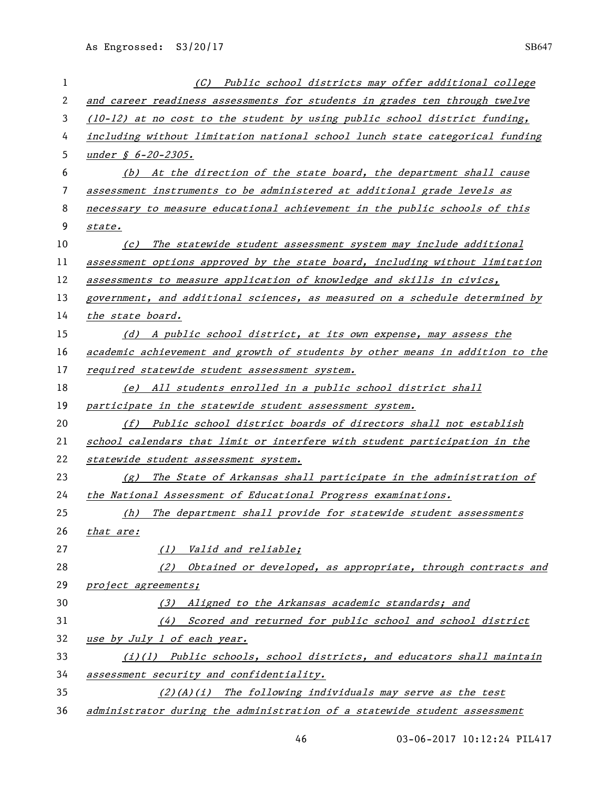| 1  | (C) Public school districts may offer additional college                      |
|----|-------------------------------------------------------------------------------|
| 2  | and career readiness assessments for students in grades ten through twelve    |
| 3  | $(10-12)$ at no cost to the student by using public school district funding,  |
| 4  | including without limitation national school lunch state categorical funding  |
| 5  | under $\oint$ 6-20-2305.                                                      |
| 6  | (b) At the direction of the state board, the department shall cause           |
| 7  | assessment instruments to be administered at additional grade levels as       |
| 8  | necessary to measure educational achievement in the public schools of this    |
| 9  | state.                                                                        |
| 10 | The statewide student assessment system may include additional<br>(c)         |
| 11 | assessment options approved by the state board, including without limitation  |
| 12 | assessments to measure application of knowledge and skills in civics,         |
| 13 | government, and additional sciences, as measured on a schedule determined by  |
| 14 | the state board.                                                              |
| 15 | (d) A public school district, at its own expense, may assess the              |
| 16 | academic achievement and growth of students by other means in addition to the |
| 17 | required statewide student assessment system.                                 |
| 18 | (e) All students enrolled in a public school district shall                   |
| 19 | participate in the statewide student assessment system.                       |
| 20 | (f) Public school district boards of directors shall not establish            |
| 21 | school calendars that limit or interfere with student participation in the    |
| 22 | statewide student assessment system.                                          |
| 23 | $(g)$ The State of Arkansas shall participate in the administration of        |
| 24 | the National Assessment of Educational Progress examinations.                 |
| 25 | (h) The department shall provide for statewide student assessments            |
| 26 | that are:                                                                     |
| 27 | (1) Valid and reliable;                                                       |
| 28 | (2) Obtained or developed, as appropriate, through contracts and              |
| 29 | project agreements;                                                           |
| 30 | (3) Aligned to the Arkansas academic standards; and                           |
| 31 | (4) Scored and returned for public school and school district                 |
| 32 | use by July 1 of each year.                                                   |
| 33 | $(i)(l)$ Public schools, school districts, and educators shall maintain       |
| 34 | assessment security and confidentiality.                                      |
| 35 | $(2)$ $(A)$ $(i)$ The following individuals may serve as the test             |
| 36 | administrator during the administration of a statewide student assessment     |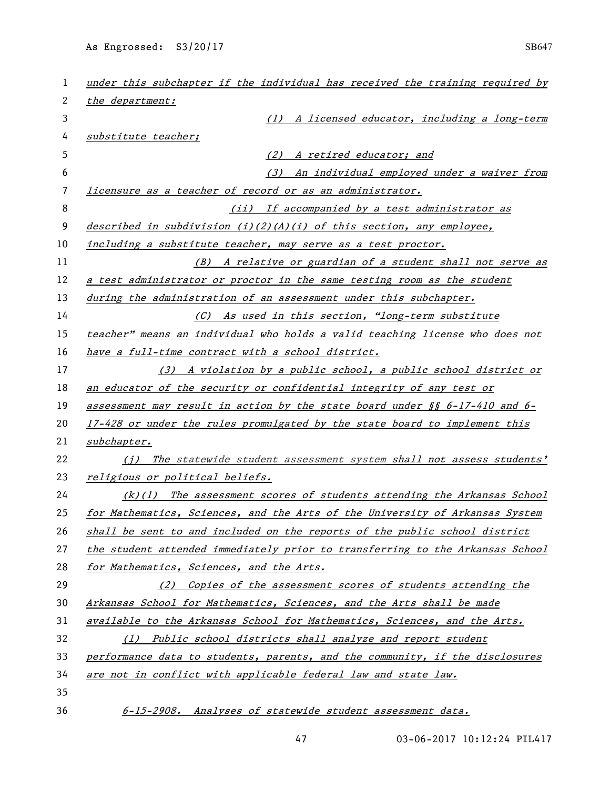| 1  | under this subchapter if the individual has received the training required by |
|----|-------------------------------------------------------------------------------|
| 2  | the department:                                                               |
| 3  | (1) A licensed educator, including a long-term                                |
| 4  | substitute teacher;                                                           |
| 5  | A retired educator; and<br>(2)                                                |
| 6  | An individual employed under a waiver from<br>(3)                             |
| 7  | licensure as a teacher of record or as an administrator.                      |
| 8  | (ii) If accompanied by a test administrator as                                |
| 9  | described in subdivision (i)(2)(A)(i) of this section, any employee,          |
| 10 | including a substitute teacher, may serve as a test proctor.                  |
| 11 | (B) A relative or guardian of a student shall not serve as                    |
| 12 | a test administrator or proctor in the same testing room as the student       |
| 13 | during the administration of an assessment under this subchapter.             |
| 14 | (C) As used in this section, "long-term substitute                            |
| 15 | teacher" means an individual who holds a valid teaching license who does not  |
| 16 | have a full-time contract with a school district.                             |
| 17 | (3) A violation by a public school, a public school district or               |
| 18 | an educator of the security or confidential integrity of any test or          |
| 19 | assessment may result in action by the state board under $\S$ 6-17-410 and 6- |
| 20 | 17-428 or under the rules promulgated by the state board to implement this    |
| 21 | <u>subchapter.</u>                                                            |
| 22 | (i) The statewide student assessment system shall not assess students'        |
| 23 | religious or political beliefs.                                               |
| 24 | $(k)(1)$ The assessment scores of students attending the Arkansas School      |
| 25 | for Mathematics, Sciences, and the Arts of the University of Arkansas System  |
| 26 | shall be sent to and included on the reports of the public school district    |
| 27 | the student attended immediately prior to transferring to the Arkansas School |
| 28 | for Mathematics, Sciences, and the Arts.                                      |
| 29 | (2) Copies of the assessment scores of students attending the                 |
| 30 | Arkansas School for Mathematics, Sciences, and the Arts shall be made         |
| 31 | available to the Arkansas School for Mathematics, Sciences, and the Arts.     |
| 32 | (1) Public school districts shall analyze and report student                  |
| 33 | performance data to students, parents, and the community, if the disclosures  |
| 34 | are not in conflict with applicable federal law and state law.                |
| 35 |                                                                               |
| 36 | 6-15-2908. Analyses of statewide student assessment data.                     |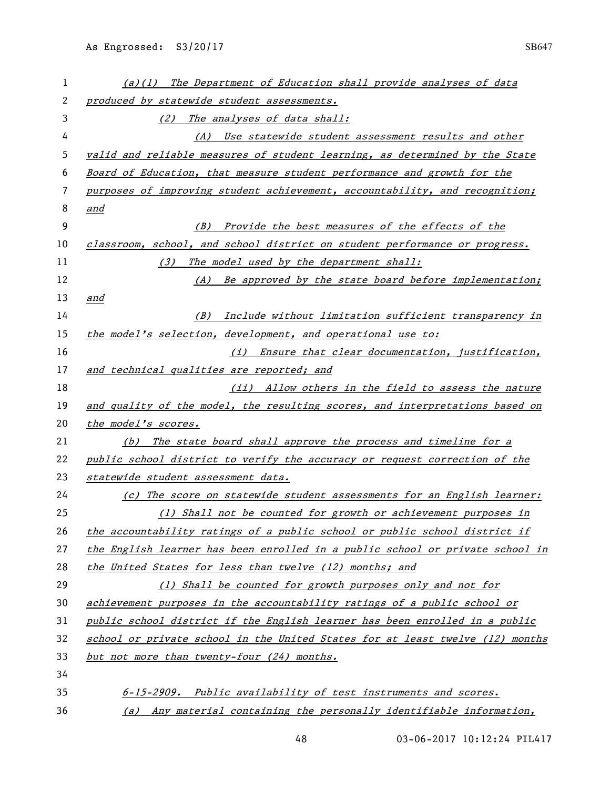| 1  | (a)(1) The Department of Education shall provide analyses of data             |
|----|-------------------------------------------------------------------------------|
| 2  | produced by statewide student assessments.                                    |
| 3  | (2) The analyses of data shall:                                               |
| 4  | (A) Use statewide student assessment results and other                        |
| 5  | valid and reliable measures of student learning, as determined by the State   |
| 6  | Board of Education, that measure student performance and growth for the       |
| 7  | purposes of improving student achievement, accountability, and recognition;   |
| 8  | and                                                                           |
| 9  | Provide the best measures of the effects of the<br>(B)                        |
| 10 | classroom, school, and school district on student performance or progress.    |
| 11 | The model used by the department shall:<br>(3)                                |
| 12 | (A) Be approved by the state board before implementation;                     |
| 13 | and                                                                           |
| 14 | Include without limitation sufficient transparency in<br>(B)                  |
| 15 | the model's selection, development, and operational use to:                   |
| 16 | (i) Ensure that clear documentation, justification,                           |
| 17 | and technical qualities are reported; and                                     |
| 18 | (ii) Allow others in the field to assess the nature                           |
| 19 | and quality of the model, the resulting scores, and interpretations based on  |
| 20 | the model's scores.                                                           |
| 21 | (b) The state board shall approve the process and timeline for a              |
| 22 | public school district to verify the accuracy or request correction of the    |
| 23 | statewide student assessment data.                                            |
| 24 | (c) The score on statewide student assessments for an English learner:        |
| 25 | (1) Shall not be counted for growth or achievement purposes in                |
| 26 | the accountability ratings of a public school or public school district if    |
| 27 | the English learner has been enrolled in a public school or private school in |
| 28 | the United States for less than twelve (12) months; and                       |
| 29 | (1) Shall be counted for growth purposes only and not for                     |
| 30 | achievement purposes in the accountability ratings of a public school or      |
| 31 | public school district if the English learner has been enrolled in a public   |
| 32 | school or private school in the United States for at least twelve (12) months |
| 33 | but not more than twenty-four (24) months.                                    |
| 34 |                                                                               |
| 35 | 6-15-2909. Public availability of test instruments and scores.                |
| 36 | (a) Any material containing the personally identifiable information,          |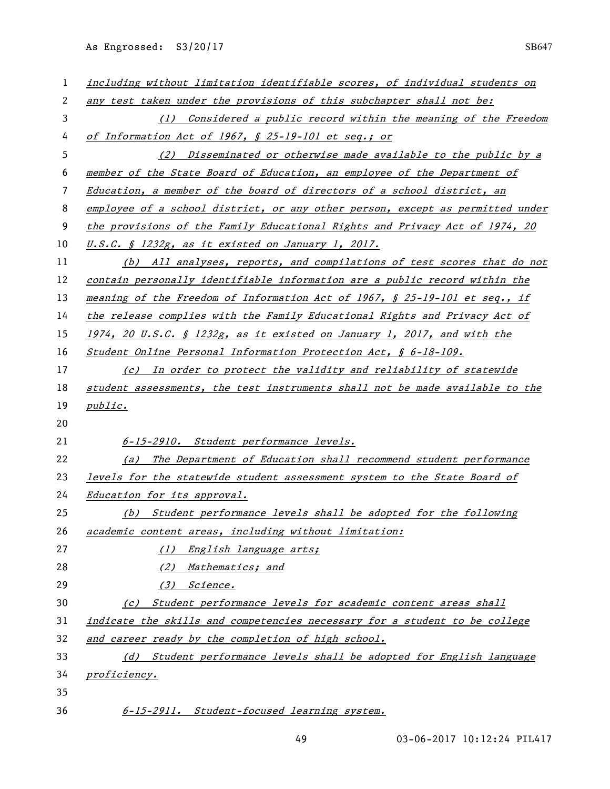| 1              | including without limitation identifiable scores, of individual students on   |
|----------------|-------------------------------------------------------------------------------|
| $\overline{c}$ | any test taken under the provisions of this subchapter shall not be:          |
| 3              | (1) Considered a public record within the meaning of the Freedom              |
| 4              | of Information Act of 1967, § 25-19-101 et seq.; or                           |
| 5              | (2) Disseminated or otherwise made available to the public by a               |
| 6              | member of the State Board of Education, an employee of the Department of      |
| 7              | Education, a member of the board of directors of a school district, an        |
| 8              | employee of a school district, or any other person, except as permitted under |
| 9              | the provisions of the Family Educational Rights and Privacy Act of 1974, 20   |
| 10             | U.S.C. § 1232g, as it existed on January 1, 2017.                             |
| 11             | (b) All analyses, reports, and compilations of test scores that do not        |
| 12             | contain personally identifiable information are a public record within the    |
| 13             | meaning of the Freedom of Information Act of 1967, § 25-19-101 et seq., if    |
| 14             | the release complies with the Family Educational Rights and Privacy Act of    |
| 15             | $1974$ , 20 U.S.C. § 1232g, as it existed on January 1, 2017, and with the    |
| 16             | Student Online Personal Information Protection Act, § 6-18-109.               |
| 17             | (c) In order to protect the validity and reliability of statewide             |
| 18             | student assessments, the test instruments shall not be made available to the  |
| 19             | public.                                                                       |
| 20             |                                                                               |
| 21             | 6-15-2910. Student performance levels.                                        |
| 22             | The Department of Education shall recommend student performance<br>(a)        |
| 23             | levels for the statewide student assessment system to the State Board of      |
| 24             | Education for its approval.                                                   |
| 25             | (b) Student performance levels shall be adopted for the following             |
| 26             | academic content areas, including without limitation:                         |
| 27             | (1) English language arts;                                                    |
| 28             | Mathematics; and<br>(2)                                                       |
| 29             | (3) Science.                                                                  |
| 30             | (c) Student performance levels for academic content areas shall               |
| 31             | indicate the skills and competencies necessary for a student to be college    |
| 32             | and career ready by the completion of high school.                            |
| 33             | (d) Student performance levels shall be adopted for English language          |
| 34             | proficiency.                                                                  |
| 35             |                                                                               |
| 36             | 6-15-2911. Student-focused learning system.                                   |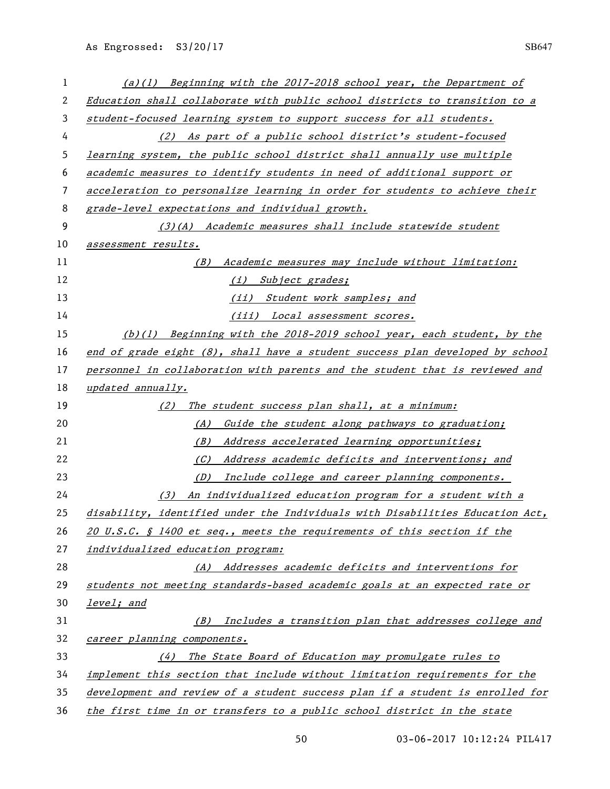| 1  | $(a)(1)$ Beginning with the 2017-2018 school year, the Department of             |
|----|----------------------------------------------------------------------------------|
| 2  | Education shall collaborate with public school districts to transition to a      |
| 3  | student-focused learning system to support success for all students.             |
| 4  | As part of a public school district's student-focused<br>(2)                     |
| 5  | learning system, the public school district shall annually use multiple          |
| 6  | academic measures to identify students in need of additional support or          |
| 7  | acceleration to personalize learning in order for students to achieve their      |
| 8  | grade-level expectations and individual growth.                                  |
| 9  | (3)(A) Academic measures shall include statewide student                         |
| 10 | assessment results.                                                              |
| 11 | (B) Academic measures may include without limitation:                            |
| 12 | Subject grades;<br>(i)                                                           |
| 13 | (ii) Student work samples; and                                                   |
| 14 | <u>(iii) Local assessment scores.</u>                                            |
| 15 | (b)(1) Beginning with the 2018-2019 school year, each student, by the            |
| 16 | end of grade eight $(8)$ , shall have a student success plan developed by school |
| 17 | personnel in collaboration with parents and the student that is reviewed and     |
| 18 | updated annually.                                                                |
| 19 | The student success plan shall, at a minimum:<br>(2)                             |
| 20 | Guide the student along pathways to graduation;<br>(A)                           |
| 21 | Address accelerated learning opportunities;<br>(B)                               |
| 22 | Address academic deficits and interventions; and<br>(C)                          |
| 23 | Include college and career planning components.<br>(D)                           |
| 24 | An individualized education program for a student with a<br>(3)                  |
| 25 | disability, identified under the Individuals with Disabilities Education Act,    |
| 26 | 20 U.S.C. $\S$ 1400 et seq., meets the requirements of this section if the       |
| 27 | individualized education program:                                                |
| 28 | (A) Addresses academic deficits and interventions for                            |
| 29 | students not meeting standards-based academic goals at an expected rate or       |
| 30 | level; and                                                                       |
| 31 | Includes a transition plan that addresses college and<br>(B)                     |
| 32 | career planning components.                                                      |
| 33 |                                                                                  |
|    | (4) The State Board of Education may promulgate rules to                         |
| 34 | implement this section that include without limitation requirements for the      |
| 35 | development and review of a student success plan if a student is enrolled for    |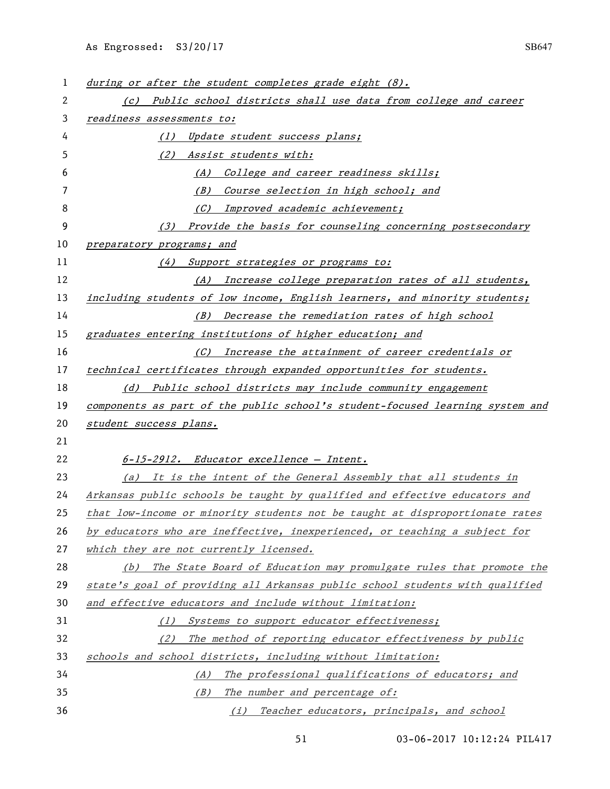| 1  | during or after the student completes grade eight (8).                        |
|----|-------------------------------------------------------------------------------|
| 2  | (c) Public school districts shall use data from college and career            |
| 3  | readiness assessments to:                                                     |
| 4  | (1) Update student success plans;                                             |
| 5  | (2) Assist students with:                                                     |
| 6  | (A) College and career readiness skills;                                      |
| 7  | (B) Course selection in high school; and                                      |
| 8  | (C) Improved academic achievement;                                            |
| 9  | Provide the basis for counseling concerning postsecondary<br>(3)              |
| 10 | preparatory programs; and                                                     |
| 11 | Support strategies or programs to:<br>(4)                                     |
| 12 | (A) Increase college preparation rates of all students,                       |
| 13 | including students of low income, English learners, and minority students;    |
| 14 | (B) Decrease the remediation rates of high school                             |
| 15 | graduates entering institutions of higher education; and                      |
| 16 | (C) Increase the attainment of career credentials or                          |
| 17 | technical certificates through expanded opportunities for students.           |
| 18 | (d) Public school districts may include community engagement                  |
| 19 | components as part of the public school's student-focused learning system and |
| 20 | student success plans.                                                        |
| 21 |                                                                               |
| 22 | 6-15-2912. Educator excellence - Intent.                                      |
| 23 | (a) It is the intent of the General Assembly that all students in             |
| 24 | Arkansas public schools be taught by qualified and effective educators and    |
| 25 | that low-income or minority students not be taught at disproportionate rates  |
| 26 | by educators who are ineffective, inexperienced, or teaching a subject for    |
| 27 | which they are not currently licensed.                                        |
| 28 | (b) The State Board of Education may promulgate rules that promote the        |
| 29 | state's goal of providing all Arkansas public school students with qualified  |
| 30 | and effective educators and include without limitation:                       |
| 31 | (1) Systems to support educator effectiveness;                                |
| 32 | (2) The method of reporting educator effectiveness by public                  |
| 33 | schools and school districts, including without limitation:                   |
| 34 | (A) The professional qualifications of educators; and                         |
| 35 | (B) The number and percentage of:                                             |
| 36 | (i) Teacher educators, principals, and school                                 |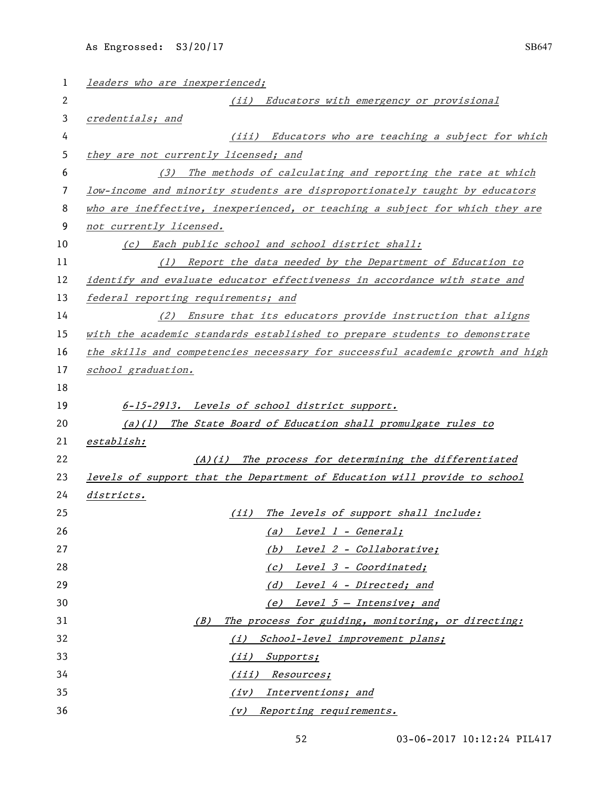| 1  | leaders who are inexperienced;                                                |
|----|-------------------------------------------------------------------------------|
| 2  | (ii) Educators with emergency or provisional                                  |
| 3  | credentials; and                                                              |
| 4  | (iii) Educators who are teaching a subject for which                          |
| 5  | they are not currently licensed; and                                          |
| 6  | The methods of calculating and reporting the rate at which<br>(3)             |
| 7  | low-income and minority students are disproportionately taught by educators   |
| 8  | who are ineffective, inexperienced, or teaching a subject for which they are  |
| 9  | not currently licensed.                                                       |
| 10 | (c) Each public school and school district shall:                             |
| 11 | (1) Report the data needed by the Department of Education to                  |
| 12 | identify and evaluate educator effectiveness in accordance with state and     |
| 13 | federal reporting requirements; and                                           |
| 14 | (2) Ensure that its educators provide instruction that aligns                 |
| 15 | with the academic standards established to prepare students to demonstrate    |
| 16 | the skills and competencies necessary for successful academic growth and high |
| 17 | school graduation.                                                            |
| 18 |                                                                               |
| 19 | 6-15-2913. Levels of school district support.                                 |
| 20 | $(a)(1)$ The State Board of Education shall promulgate rules to               |
| 21 | establish:                                                                    |
| 22 | (A)(i) The process for determining the differentiated                         |
| 23 | levels of support that the Department of Education will provide to school     |
| 24 | <i>districts.</i>                                                             |
| 25 | (ii) The levels of support shall include:                                     |
| 26 | (a) Level 1 - General;                                                        |
| 27 | (b) Level 2 - Collaborative;                                                  |
| 28 | (c) Level 3 - Coordinated;                                                    |
| 29 | (d) Level 4 - Directed; and                                                   |
| 30 | (e) Level $5$ - Intensive; and                                                |
| 31 | The process for guiding, monitoring, or directing:<br>(B)                     |
| 32 | (i) School-level improvement plans;                                           |
| 33 | (ii) Supports;                                                                |
| 34 | (iii) Resources;                                                              |
| 35 | (iv) Interventions; and                                                       |
| 36 | (v) Reporting requirements.                                                   |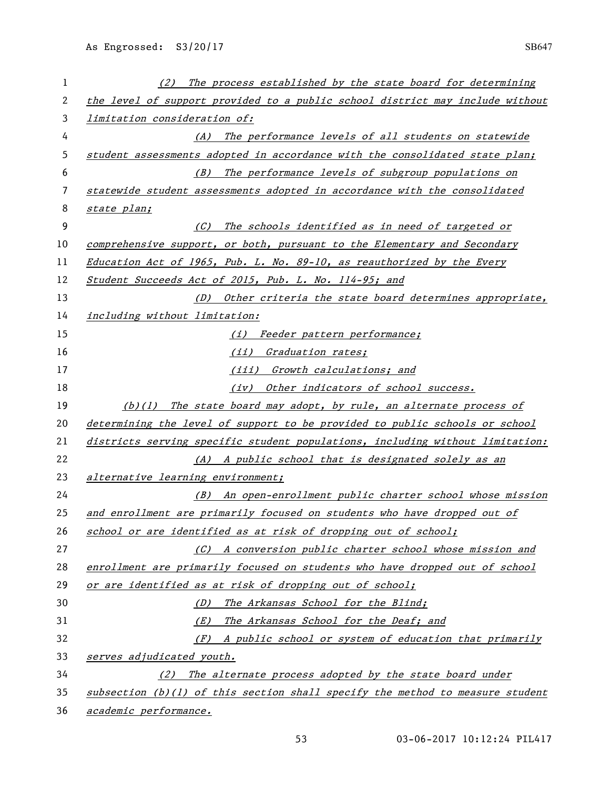| 1  | The process established by the state board for determining<br>(2)               |
|----|---------------------------------------------------------------------------------|
| 2  | the level of support provided to a public school district may include without   |
| 3  | limitation consideration of:                                                    |
| 4  | The performance levels of all students on statewide<br>(A)                      |
| 5  | student assessments adopted in accordance with the consolidated state plan;     |
| 6  | The performance levels of subgroup populations on<br>(B)                        |
| 7  | statewide student assessments adopted in accordance with the consolidated       |
| 8  | state plan;                                                                     |
| 9  | (C)<br>The schools identified as in need of targeted or                         |
| 10 | comprehensive support, or both, pursuant to the Elementary and Secondary        |
| 11 | Education Act of 1965, Pub. L. No. 89-10, as reauthorized by the Every          |
| 12 | Student Succeeds Act of 2015, Pub. L. No. 114-95; and                           |
| 13 | (D) Other criteria the state board determines appropriate,                      |
| 14 | including without limitation:                                                   |
| 15 | (i) Feeder pattern performance;                                                 |
| 16 | (ii) Graduation rates;                                                          |
| 17 | (iii) Growth calculations; and                                                  |
| 18 | (iv) Other indicators of school success.                                        |
| 19 | (b)(1) The state board may adopt, by rule, an alternate process of              |
| 20 | determining the level of support to be provided to public schools or school     |
| 21 | districts serving specific student populations, including without limitation:   |
| 22 | (A) A public school that is designated solely as an                             |
| 23 | alternative learning environment;                                               |
| 24 | (B) An open-enrollment public charter school whose mission                      |
| 25 | and enrollment are primarily focused on students who have dropped out of        |
| 26 | school or are identified as at risk of dropping out of school;                  |
| 27 | (C) A conversion public charter school whose mission and                        |
| 28 | enrollment are primarily focused on students who have dropped out of school     |
| 29 | or are identified as at risk of dropping out of school;                         |
| 30 | The Arkansas School for the Blind;<br>(D)                                       |
| 31 | The Arkansas School for the Deaf; and<br>(E)                                    |
| 32 | (F) A public school or system of education that primarily                       |
| 33 | serves adjudicated youth.                                                       |
| 34 | (2) The alternate process adopted by the state board under                      |
| 35 | subsection $(b)(1)$ of this section shall specify the method to measure student |
| 36 | academic performance.                                                           |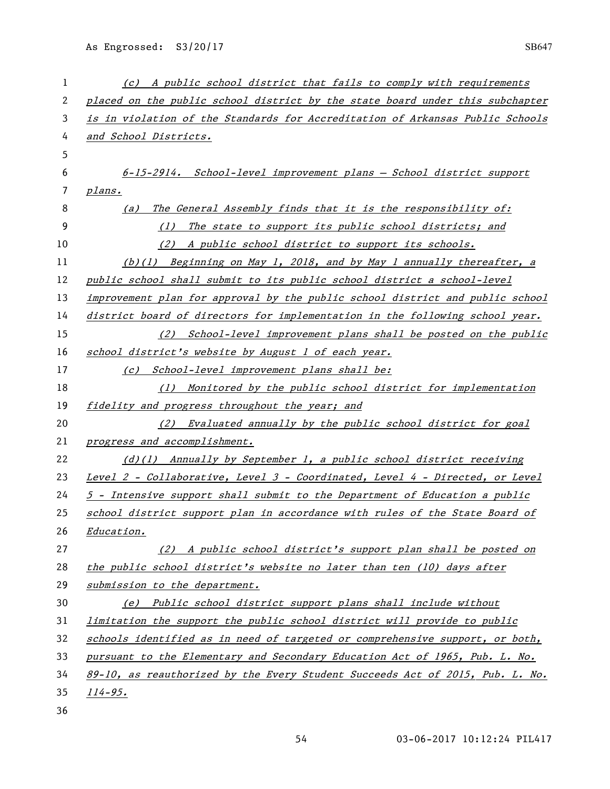| 1  | (c) A public school district that fails to comply with requirements           |
|----|-------------------------------------------------------------------------------|
| 2  | placed on the public school district by the state board under this subchapter |
| 3  | is in violation of the Standards for Accreditation of Arkansas Public Schools |
| 4  | and School Districts.                                                         |
| 5  |                                                                               |
| 6  | 6-15-2914. School-level improvement plans - School district support           |
| 7  | plans.                                                                        |
| 8  | The General Assembly finds that it is the responsibility of:<br>(a)           |
| 9  | (1) The state to support its public school districts; and                     |
| 10 | (2) A public school district to support its schools.                          |
| 11 | (b)(1) Beginning on May 1, 2018, and by May 1 annually thereafter, a          |
| 12 | public school shall submit to its public school district a school-level       |
| 13 | improvement plan for approval by the public school district and public school |
| 14 | district board of directors for implementation in the following school year.  |
| 15 | (2) School-level improvement plans shall be posted on the public              |
| 16 | school district's website by August 1 of each year.                           |
| 17 | (c) School-level improvement plans shall be:                                  |
| 18 | (1) Monitored by the public school district for implementation                |
| 19 | fidelity and progress throughout the year; and                                |
| 20 | (2) Evaluated annually by the public school district for goal                 |
| 21 | progress and accomplishment.                                                  |
| 22 | (d)(1) Annually by September 1, a public school district receiving            |
| 23 | Level 2 - Collaborative, Level 3 - Coordinated, Level 4 - Directed, or Level  |
| 24 | 5 - Intensive support shall submit to the Department of Education a public    |
| 25 | school district support plan in accordance with rules of the State Board of   |
| 26 | Education.                                                                    |
| 27 | (2) A public school district's support plan shall be posted on                |
| 28 | the public school district's website no later than ten (10) days after        |
| 29 | submission to the department.                                                 |
| 30 | (e) Public school district support plans shall include without                |
| 31 | limitation the support the public school district will provide to public      |
| 32 | schools identified as in need of targeted or comprehensive support, or both,  |
| 33 | pursuant to the Elementary and Secondary Education Act of 1965, Pub. L. No.   |
| 34 | 89-10, as reauthorized by the Every Student Succeeds Act of 2015, Pub. L. No. |
| 35 | $114 - 95.$                                                                   |
| 36 |                                                                               |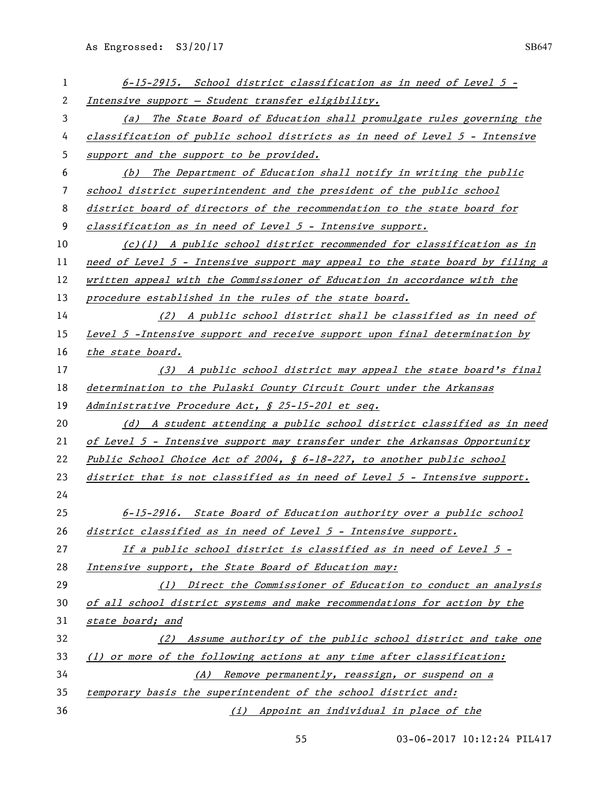| 1  | 6-15-2915. School district classification as in need of Level 5 -             |
|----|-------------------------------------------------------------------------------|
| 2  | Intensive support - Student transfer eligibility.                             |
| 3  | (a) The State Board of Education shall promulgate rules governing the         |
| 4  | classification of public school districts as in need of Level 5 - Intensive   |
| 5  | support and the support to be provided.                                       |
| 6  | The Department of Education shall notify in writing the public<br>(b)         |
| 7  | school district superintendent and the president of the public school         |
| 8  | district board of directors of the recommendation to the state board for      |
| 9  | classification as in need of Level 5 - Intensive support.                     |
| 10 | $(c)(1)$ A public school district recommended for classification as in        |
| 11 | need of Level 5 - Intensive support may appeal to the state board by filing a |
| 12 | written appeal with the Commissioner of Education in accordance with the      |
| 13 | procedure established in the rules of the state board.                        |
| 14 | (2) A public school district shall be classified as in need of                |
| 15 | Level 5 - Intensive support and receive support upon final determination by   |
| 16 | the state board.                                                              |
| 17 | (3) A public school district may appeal the state board's final               |
| 18 | determination to the Pulaski County Circuit Court under the Arkansas          |
| 19 | Administrative Procedure Act, § 25-15-201 et seq.                             |
| 20 | (d) A student attending a public school district classified as in need        |
| 21 | of Level 5 - Intensive support may transfer under the Arkansas Opportunity    |
| 22 | Public School Choice Act of 2004, § 6-18-227, to another public school        |
| 23 | district that is not classified as in need of Level $5$ - Intensive support.  |
| 24 |                                                                               |
| 25 | 6-15-2916. State Board of Education authority over a public school            |
| 26 | district classified as in need of Level 5 - Intensive support.                |
| 27 | If a public school district is classified as in need of Level 5 -             |
| 28 | Intensive support, the State Board of Education may:                          |
| 29 | (1) Direct the Commissioner of Education to conduct an analysis               |
| 30 | of all school district systems and make recommendations for action by the     |
| 31 | state board; and                                                              |
| 32 | (2) Assume authority of the public school district and take one               |
| 33 | (1) or more of the following actions at any time after classification:        |
| 34 | (A) Remove permanently, reassign, or suspend on a                             |
| 35 | temporary basis the superintendent of the school district and:                |
| 36 | (i) Appoint an individual in place of the                                     |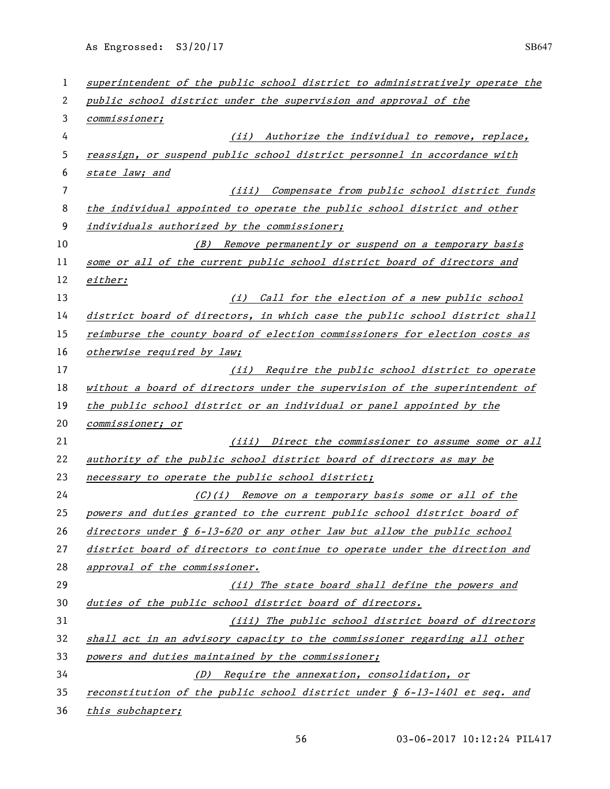| 1  | superintendent of the public school district to administratively operate the |
|----|------------------------------------------------------------------------------|
| 2  | public school district under the supervision and approval of the             |
| 3  | <i>commissioner;</i>                                                         |
| 4  | Authorize the individual to remove, replace,<br>(ii)                         |
| 5  | reassign, or suspend public school district personnel in accordance with     |
| 6  | state law; and                                                               |
| 7  | (iii) Compensate from public school district funds                           |
| 8  | the individual appointed to operate the public school district and other     |
| 9  | individuals authorized by the commissioner;                                  |
| 10 | Remove permanently or suspend on a temporary basis<br>(B)                    |
| 11 | some or all of the current public school district board of directors and     |
| 12 | either:                                                                      |
| 13 | (i) Call for the election of a new public school                             |
| 14 | district board of directors, in which case the public school district shall  |
| 15 | reimburse the county board of election commissioners for election costs as   |
| 16 | otherwise required by law;                                                   |
| 17 | Require the public school district to operate<br>(ii)                        |
| 18 | without a board of directors under the supervision of the superintendent of  |
| 19 | the public school district or an individual or panel appointed by the        |
| 20 | <i>commissioner; or</i>                                                      |
| 21 | (iii) Direct the commissioner to assume some or all                          |
| 22 | authority of the public school district board of directors as may be         |
| 23 | necessary to operate the public school district;                             |
| 24 | (C)(i) Remove on a temporary basis some or all of the                        |
| 25 | powers and duties granted to the current public school district board of     |
| 26 | directors under § 6-13-620 or any other law but allow the public school      |
| 27 | district board of directors to continue to operate under the direction and   |
| 28 | approval of the commissioner.                                                |
| 29 | (ii) The state board shall define the powers and                             |
| 30 | duties of the public school district board of directors.                     |
| 31 | (iii) The public school district board of directors                          |
| 32 | shall act in an advisory capacity to the commissioner regarding all other    |
| 33 | powers and duties maintained by the commissioner;                            |
| 34 | (D) Require the annexation, consolidation, or                                |
| 35 | reconstitution of the public school district under § 6-13-1401 et seq. and   |
| 36 | this subchapter;                                                             |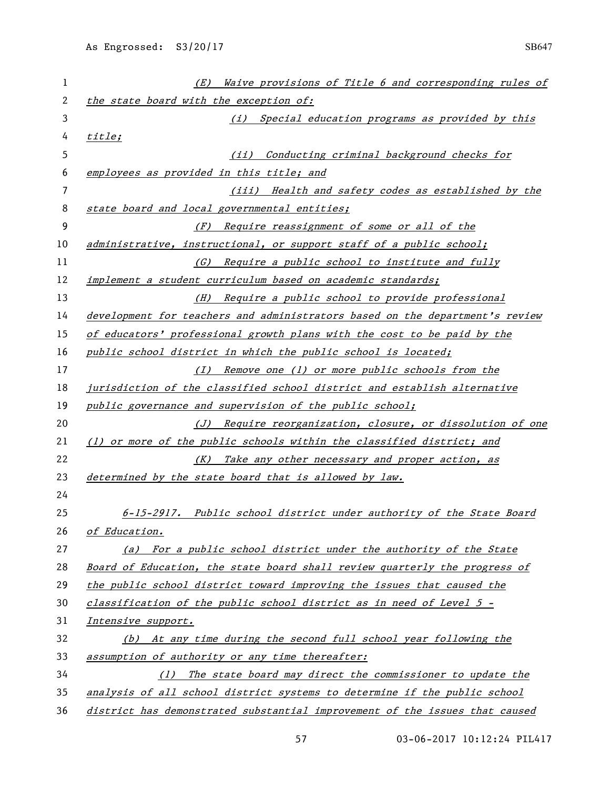| 1  | Waive provisions of Title 6 and corresponding rules of<br>(E)                |
|----|------------------------------------------------------------------------------|
| 2  | the state board with the exception of:                                       |
| 3  | (i) Special education programs as provided by this                           |
| 4  | title;                                                                       |
| 5  | Conducting criminal background checks for<br>(iii)                           |
| 6  | employees as provided in this title; and                                     |
| 7  | (iii) Health and safety codes as established by the                          |
| 8  | state board and local governmental entities;                                 |
| 9  | (F) Require reassignment of some or all of the                               |
| 10 | administrative, instructional, or support staff of a public school;          |
| 11 | (G) Require a public school to institute and fully                           |
| 12 | implement a student curriculum based on academic standards;                  |
| 13 | (H) Require a public school to provide professional                          |
| 14 | development for teachers and administrators based on the department's review |
| 15 | of educators' professional growth plans with the cost to be paid by the      |
| 16 | public school district in which the public school is located;                |
| 17 | (I) Remove one (1) or more public schools from the                           |
| 18 | jurisdiction of the classified school district and establish alternative     |
| 19 | public governance and supervision of the public school;                      |
| 20 | (J) Require reorganization, closure, or dissolution of one                   |
| 21 | (1) or more of the public schools within the classified district; and        |
| 22 | (K) Take any other necessary and proper action, as                           |
| 23 | determined by the state board that is allowed by law.                        |
| 24 |                                                                              |
| 25 | 6-15-2917. Public school district under authority of the State Board         |
| 26 | of Education.                                                                |
| 27 | (a) For a public school district under the authority of the State            |
| 28 | Board of Education, the state board shall review quarterly the progress of   |
| 29 | the public school district toward improving the issues that caused the       |
| 30 | classification of the public school district as in need of Level 5 -         |
| 31 | Intensive support.                                                           |
| 32 | (b) At any time during the second full school year following the             |
| 33 | assumption of authority or any time thereafter:                              |
| 34 | (1) The state board may direct the commissioner to update the                |
| 35 | analysis of all school district systems to determine if the public school    |
| 36 | district has demonstrated substantial improvement of the issues that caused  |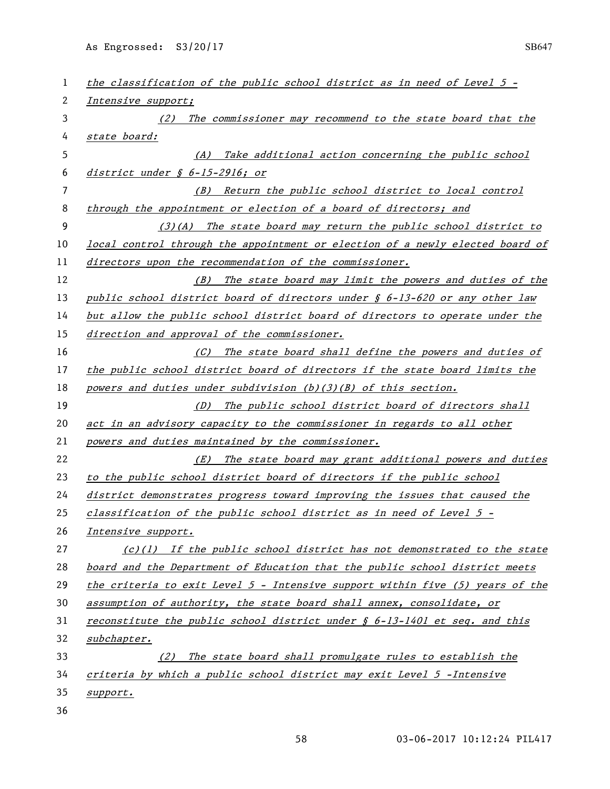| 1  | the classification of the public school district as in need of Level 5 -          |
|----|-----------------------------------------------------------------------------------|
| 2  | Intensive support;                                                                |
| 3  | The commissioner may recommend to the state board that the<br>(2)                 |
| 4  | state board:                                                                      |
| 5  | Take additional action concerning the public school<br>(A)                        |
| 6  | district under $\oint$ 6-15-2916; or                                              |
| 7  | Return the public school district to local control<br>(B)                         |
| 8  | through the appointment or election of a board of directors; and                  |
| 9  | $(3)(A)$ The state board may return the public school district to                 |
| 10 | local control through the appointment or election of a newly elected board of     |
| 11 | directors upon the recommendation of the commissioner.                            |
| 12 | (B) The state board may limit the powers and duties of the                        |
| 13 | public school district board of directors under § 6-13-620 or any other law       |
| 14 | but allow the public school district board of directors to operate under the      |
| 15 | direction and approval of the commissioner.                                       |
| 16 | (C) The state board shall define the powers and duties of                         |
| 17 | the public school district board of directors if the state board limits the       |
| 18 | powers and duties under subdivision $(b)(3)(B)$ of this section.                  |
| 19 | The public school district board of directors shall<br>(D)                        |
| 20 | act in an advisory capacity to the commissioner in regards to all other           |
| 21 | powers and duties maintained by the commissioner.                                 |
| 22 | (E) The state board may grant additional powers and duties                        |
| 23 | to the public school district board of directors if the public school             |
| 24 | district demonstrates progress toward improving the issues that caused the        |
| 25 | classification of the public school district as in need of Level 5 -              |
| 26 | Intensive support.                                                                |
| 27 | $(c)(1)$ If the public school district has not demonstrated to the state          |
| 28 | board and the Department of Education that the public school district meets       |
| 29 | the criteria to exit Level $5$ - Intensive support within five $(5)$ years of the |
| 30 | assumption of authority, the state board shall annex, consolidate, or             |
| 31 | reconstitute the public school district under $\oint$ 6-13-1401 et seq. and this  |
| 32 | subchapter.                                                                       |
| 33 | (2) The state board shall promulgate rules to establish the                       |
| 34 | criteria by which a public school district may exit Level 5 - Intensive           |
| 35 | support.                                                                          |
| 36 |                                                                                   |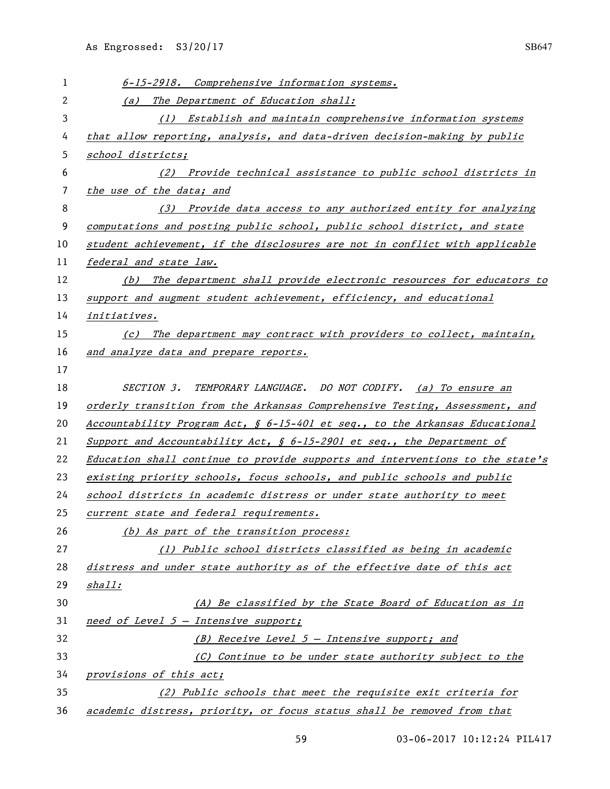| 1  | 6-15-2918. Comprehensive information systems.                                 |
|----|-------------------------------------------------------------------------------|
| 2  | The Department of Education shall:<br>(a)                                     |
| 3  | (1) Establish and maintain comprehensive information systems                  |
| 4  | that allow reporting, analysis, and data-driven decision-making by public     |
| 5  | school districts;                                                             |
| 6  | (2) Provide technical assistance to public school districts in                |
| 7  | the use of the data; and                                                      |
| 8  | (3) Provide data access to any authorized entity for analyzing                |
| 9  | computations and posting public school, public school district, and state     |
| 10 | student achievement, if the disclosures are not in conflict with applicable   |
| 11 | federal and state law.                                                        |
| 12 | (b) The department shall provide electronic resources for educators to        |
| 13 | support and augment student achievement, efficiency, and educational          |
| 14 | initiatives.                                                                  |
| 15 | (c) The department may contract with providers to collect, maintain,          |
| 16 | and analyze data and prepare reports.                                         |
| 17 |                                                                               |
| 18 | TEMPORARY LANGUAGE. DO NOT CODIFY. (a) To ensure an<br><i>SECTION 3.</i>      |
| 19 | orderly transition from the Arkansas Comprehensive Testing, Assessment, and   |
| 20 | Accountability Program Act, § 6-15-401 et seq., to the Arkansas Educational   |
| 21 | Support and Accountability Act, $\oint$ 6-15-2901 et seq., the Department of  |
| 22 | Education shall continue to provide supports and interventions to the state's |
| 23 | existing priority schools, focus schools, and public schools and public       |
| 24 | school districts in academic distress or under state authority to meet        |
| 25 | current state and federal requirements.                                       |
| 26 | (b) As part of the transition process:                                        |
| 27 | (1) Public school districts classified as being in academic                   |
| 28 | distress and under state authority as of the effective date of this act       |
| 29 | shall:                                                                        |
| 30 | (A) Be classified by the State Board of Education as in                       |
| 31 | need of Level $5$ - Intensive support;                                        |
| 32 | (B) Receive Level $5$ - Intensive support; and                                |
| 33 | (C) Continue to be under state authority subject to the                       |
| 34 | provisions of this act;                                                       |
| 35 | (2) Public schools that meet the requisite exit criteria for                  |
| 36 | academic distress, priority, or focus status shall be removed from that       |